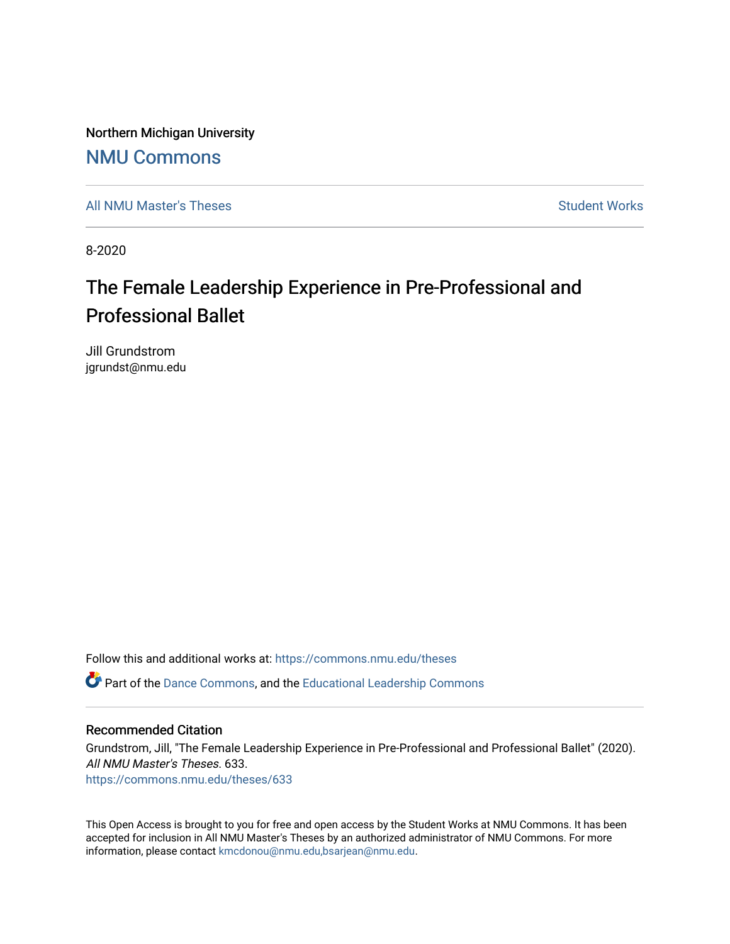Northern Michigan University

## [NMU Commons](https://commons.nmu.edu/)

[All NMU Master's Theses](https://commons.nmu.edu/theses) [Student Works](https://commons.nmu.edu/student_works) and Student Works Student Works Student Works

8-2020

# The Female Leadership Experience in Pre-Professional and Professional Ballet

Jill Grundstrom jgrundst@nmu.edu

Follow this and additional works at: [https://commons.nmu.edu/theses](https://commons.nmu.edu/theses?utm_source=commons.nmu.edu%2Ftheses%2F633&utm_medium=PDF&utm_campaign=PDFCoverPages)

Part of the [Dance Commons,](http://network.bepress.com/hgg/discipline/554?utm_source=commons.nmu.edu%2Ftheses%2F633&utm_medium=PDF&utm_campaign=PDFCoverPages) and the [Educational Leadership Commons](http://network.bepress.com/hgg/discipline/1230?utm_source=commons.nmu.edu%2Ftheses%2F633&utm_medium=PDF&utm_campaign=PDFCoverPages)

#### Recommended Citation

Grundstrom, Jill, "The Female Leadership Experience in Pre-Professional and Professional Ballet" (2020). All NMU Master's Theses. 633. [https://commons.nmu.edu/theses/633](https://commons.nmu.edu/theses/633?utm_source=commons.nmu.edu%2Ftheses%2F633&utm_medium=PDF&utm_campaign=PDFCoverPages) 

This Open Access is brought to you for free and open access by the Student Works at NMU Commons. It has been accepted for inclusion in All NMU Master's Theses by an authorized administrator of NMU Commons. For more information, please contact [kmcdonou@nmu.edu,bsarjean@nmu.edu](mailto:kmcdonou@nmu.edu,bsarjean@nmu.edu).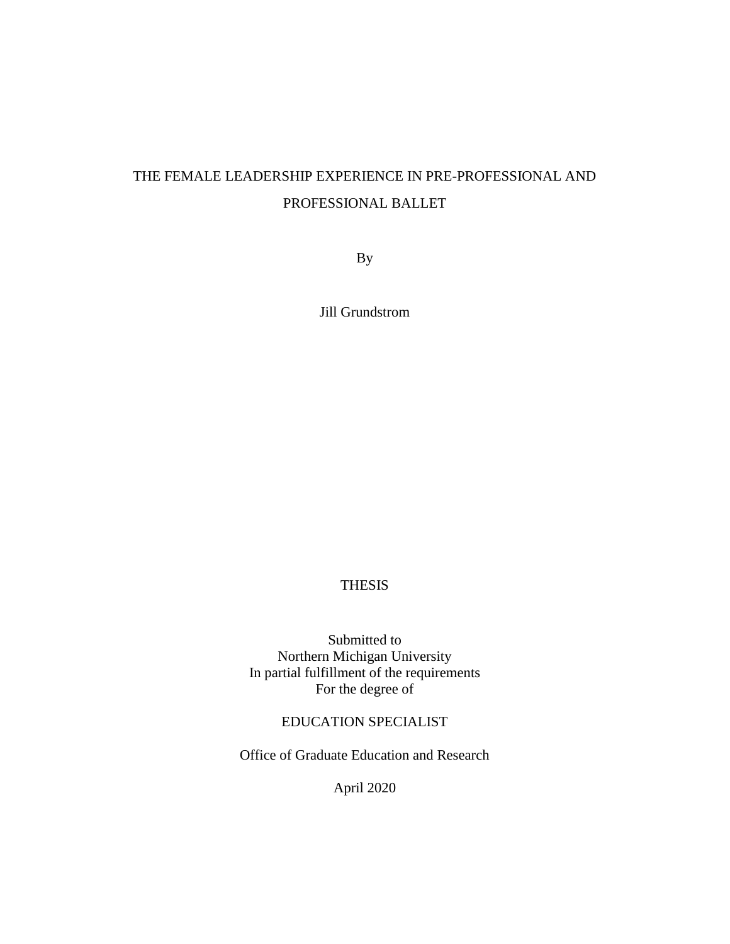## THE FEMALE LEADERSHIP EXPERIENCE IN PRE-PROFESSIONAL AND PROFESSIONAL BALLET

By

Jill Grundstrom

## THESIS

Submitted to Northern Michigan University In partial fulfillment of the requirements For the degree of

### EDUCATION SPECIALIST

Office of Graduate Education and Research

April 2020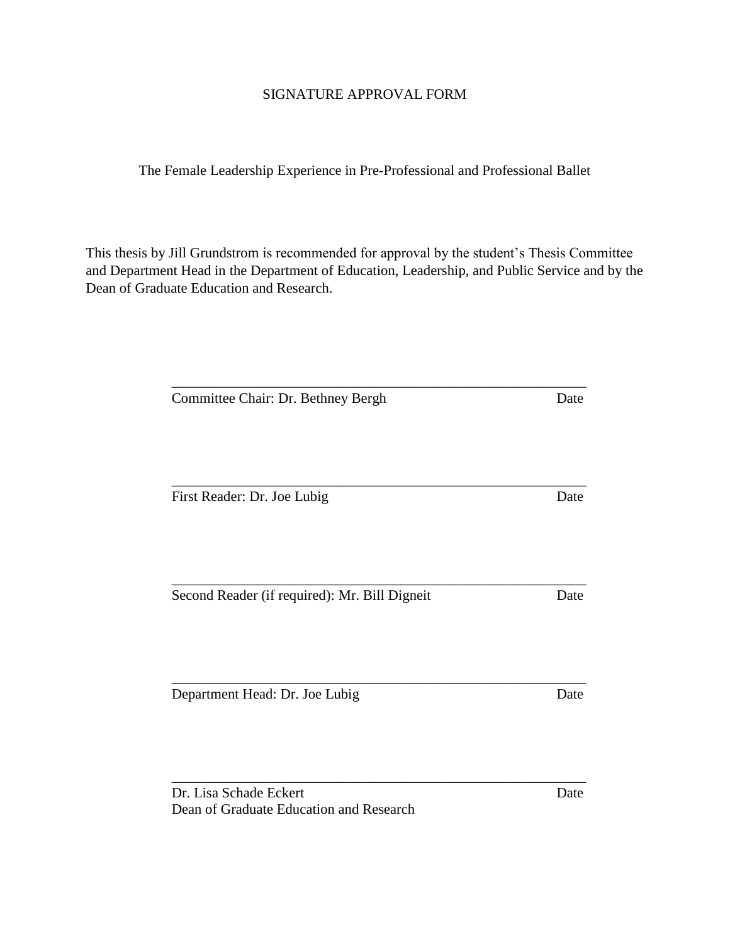### SIGNATURE APPROVAL FORM

The Female Leadership Experience in Pre-Professional and Professional Ballet

This thesis by Jill Grundstrom is recommended for approval by the student's Thesis Committee and Department Head in the Department of Education, Leadership, and Public Service and by the Dean of Graduate Education and Research.

| Committee Chair: Dr. Bethney Bergh            | Date |
|-----------------------------------------------|------|
| First Reader: Dr. Joe Lubig                   | Date |
|                                               |      |
| Second Reader (if required): Mr. Bill Digneit | Date |
| Department Head: Dr. Joe Lubig                | Date |
| Dr. Lisa Schade Eckert                        | Date |

Dean of Graduate Education and Research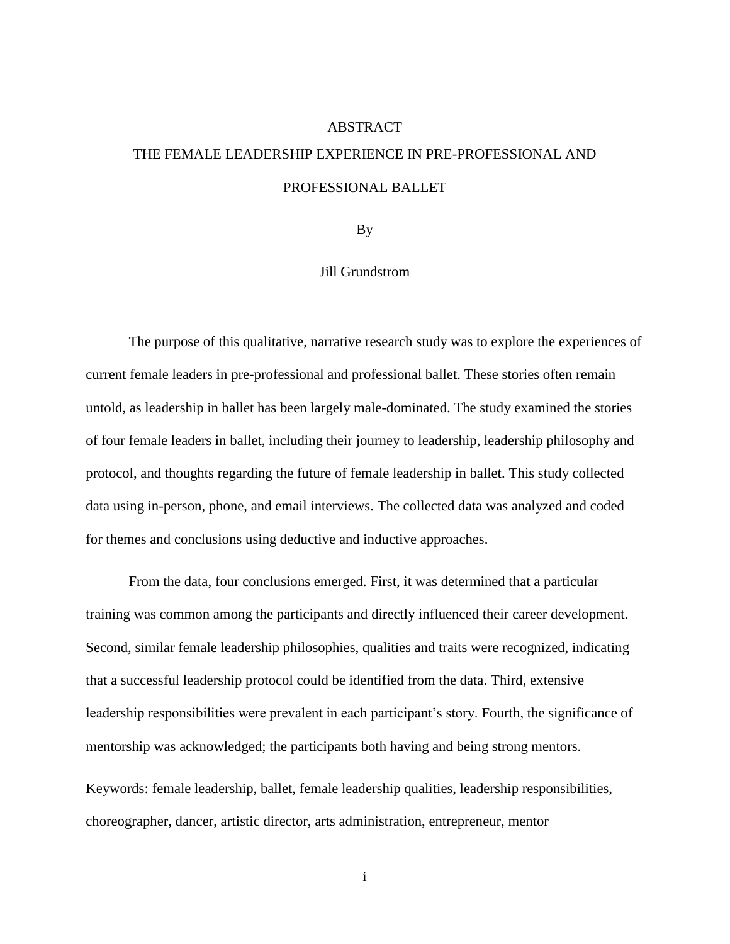# **ABSTRACT** THE FEMALE LEADERSHIP EXPERIENCE IN PRE-PROFESSIONAL AND PROFESSIONAL BALLET

#### By

#### Jill Grundstrom

The purpose of this qualitative, narrative research study was to explore the experiences of current female leaders in pre-professional and professional ballet. These stories often remain untold, as leadership in ballet has been largely male-dominated. The study examined the stories of four female leaders in ballet, including their journey to leadership, leadership philosophy and protocol, and thoughts regarding the future of female leadership in ballet. This study collected data using in-person, phone, and email interviews. The collected data was analyzed and coded for themes and conclusions using deductive and inductive approaches.

From the data, four conclusions emerged. First, it was determined that a particular training was common among the participants and directly influenced their career development. Second, similar female leadership philosophies, qualities and traits were recognized, indicating that a successful leadership protocol could be identified from the data. Third, extensive leadership responsibilities were prevalent in each participant's story. Fourth, the significance of mentorship was acknowledged; the participants both having and being strong mentors.

Keywords: female leadership, ballet, female leadership qualities, leadership responsibilities, choreographer, dancer, artistic director, arts administration, entrepreneur, mentor

i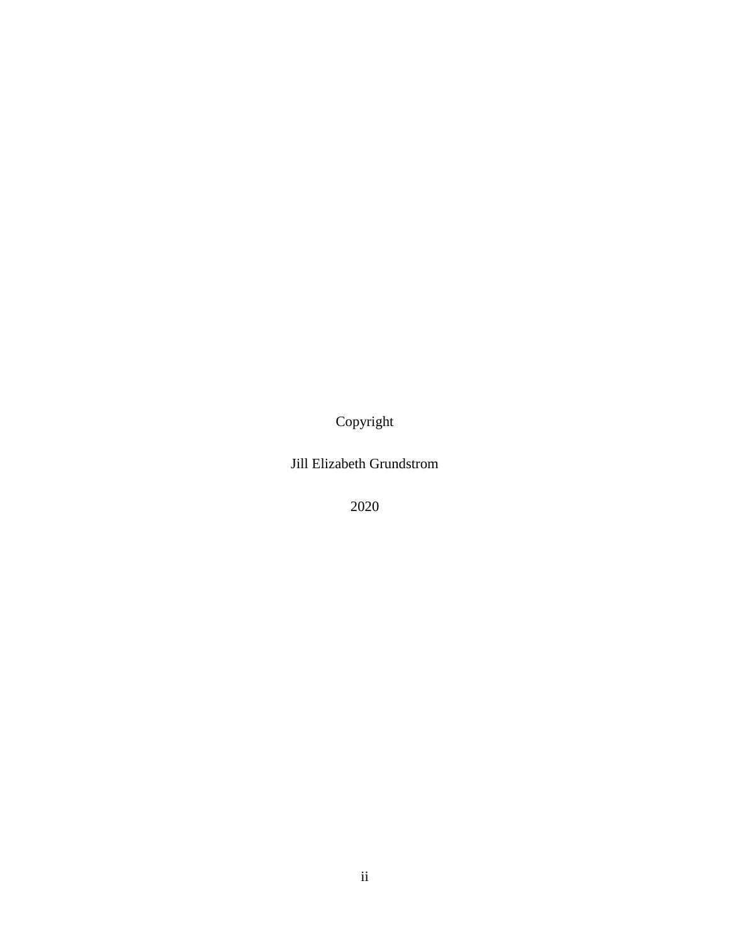Copyright

Jill Elizabeth Grundstrom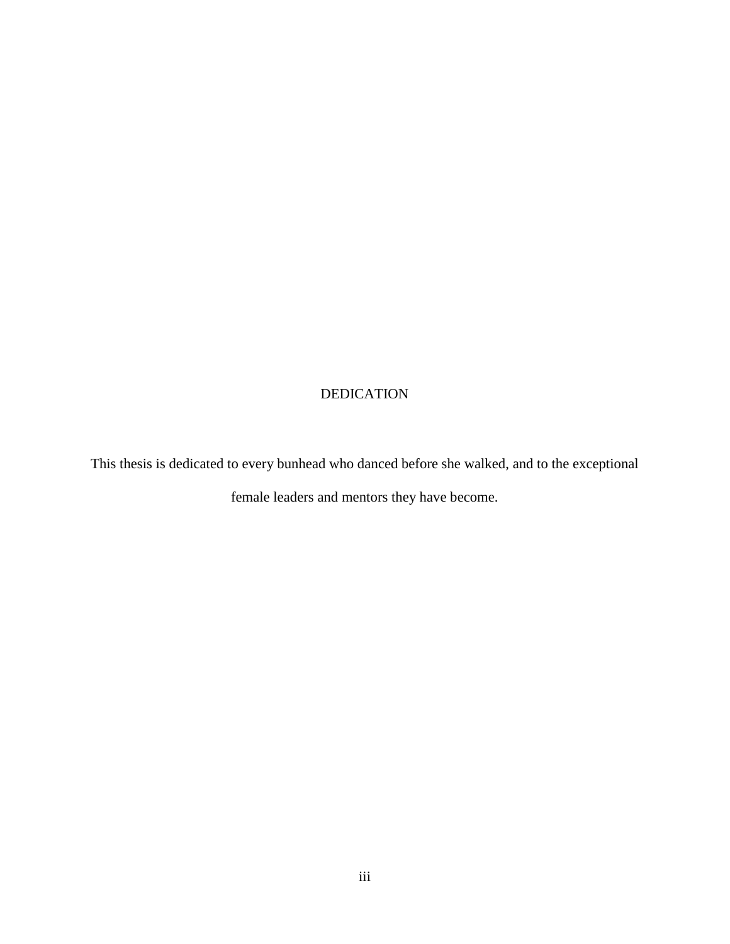## DEDICATION

This thesis is dedicated to every bunhead who danced before she walked, and to the exceptional

female leaders and mentors they have become.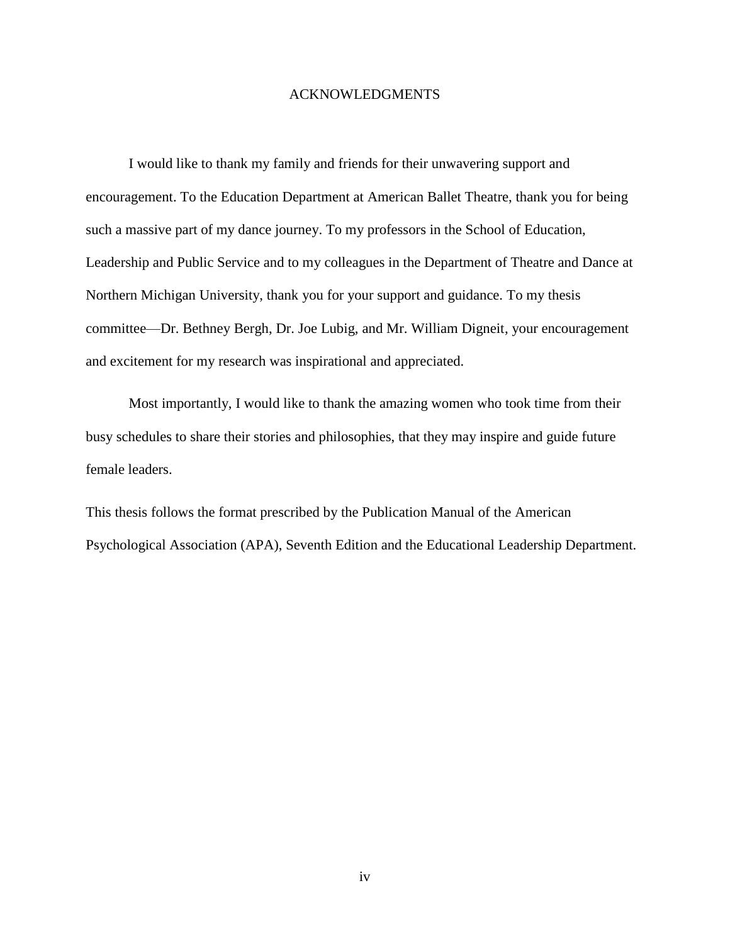#### ACKNOWLEDGMENTS

I would like to thank my family and friends for their unwavering support and encouragement. To the Education Department at American Ballet Theatre, thank you for being such a massive part of my dance journey. To my professors in the School of Education, Leadership and Public Service and to my colleagues in the Department of Theatre and Dance at Northern Michigan University, thank you for your support and guidance. To my thesis committee—Dr. Bethney Bergh, Dr. Joe Lubig, and Mr. William Digneit, your encouragement and excitement for my research was inspirational and appreciated.

Most importantly, I would like to thank the amazing women who took time from their busy schedules to share their stories and philosophies, that they may inspire and guide future female leaders.

This thesis follows the format prescribed by the Publication Manual of the American Psychological Association (APA), Seventh Edition and the Educational Leadership Department.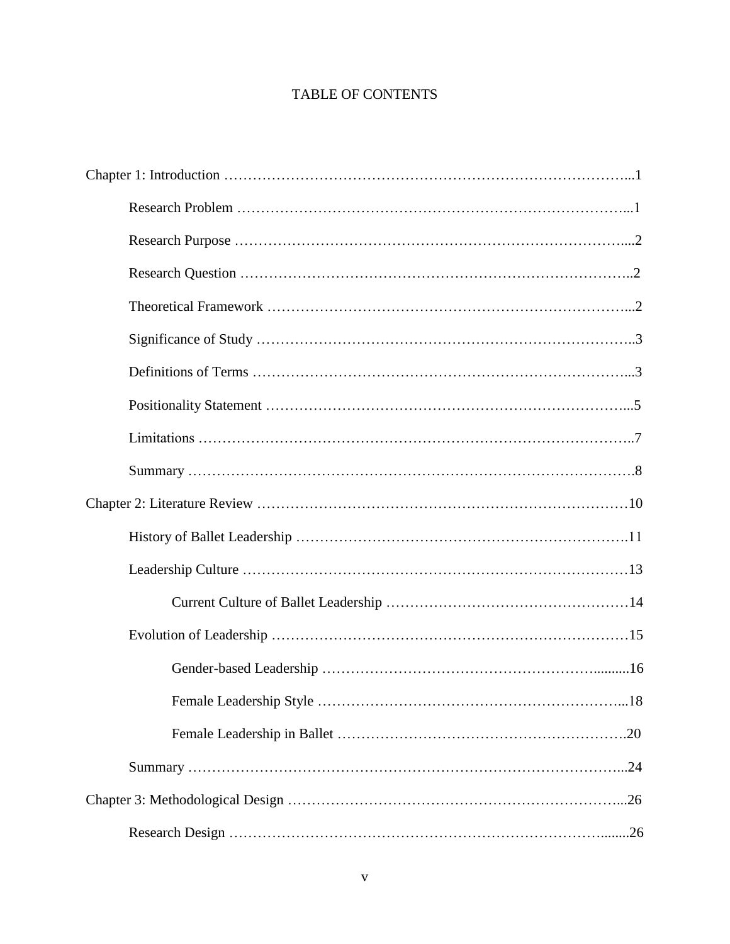## TABLE OF CONTENTS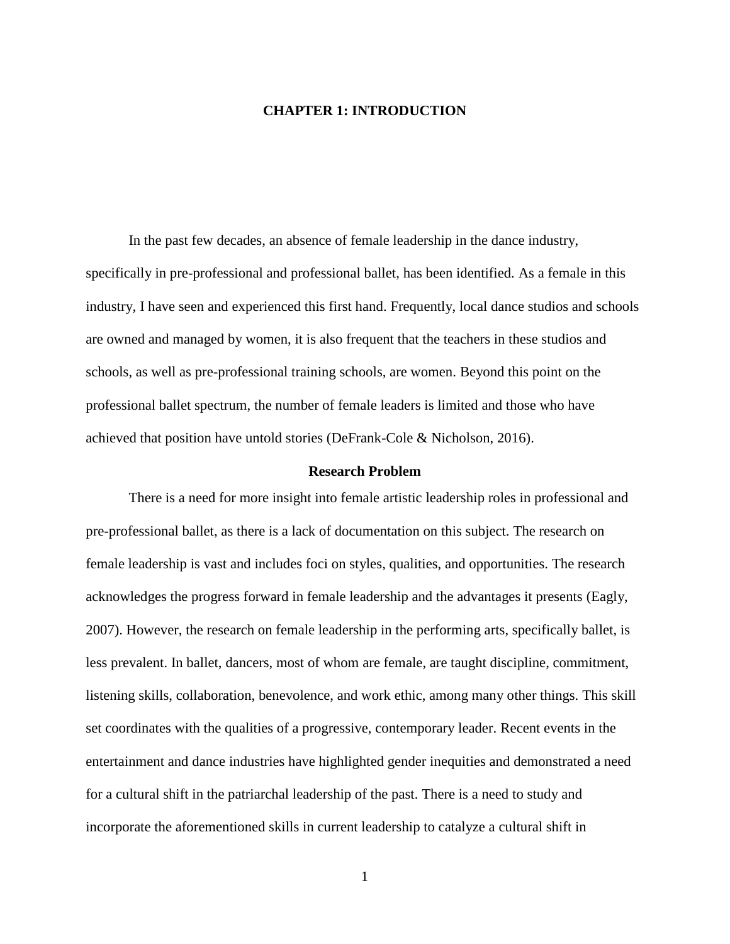#### **CHAPTER 1: INTRODUCTION**

In the past few decades, an absence of female leadership in the dance industry, specifically in pre-professional and professional ballet, has been identified. As a female in this industry, I have seen and experienced this first hand. Frequently, local dance studios and schools are owned and managed by women, it is also frequent that the teachers in these studios and schools, as well as pre-professional training schools, are women. Beyond this point on the professional ballet spectrum, the number of female leaders is limited and those who have achieved that position have untold stories (DeFrank-Cole & Nicholson, 2016).

#### **Research Problem**

There is a need for more insight into female artistic leadership roles in professional and pre-professional ballet, as there is a lack of documentation on this subject. The research on female leadership is vast and includes foci on styles, qualities, and opportunities. The research acknowledges the progress forward in female leadership and the advantages it presents (Eagly, 2007). However, the research on female leadership in the performing arts, specifically ballet, is less prevalent. In ballet, dancers, most of whom are female, are taught discipline, commitment, listening skills, collaboration, benevolence, and work ethic, among many other things. This skill set coordinates with the qualities of a progressive, contemporary leader. Recent events in the entertainment and dance industries have highlighted gender inequities and demonstrated a need for a cultural shift in the patriarchal leadership of the past. There is a need to study and incorporate the aforementioned skills in current leadership to catalyze a cultural shift in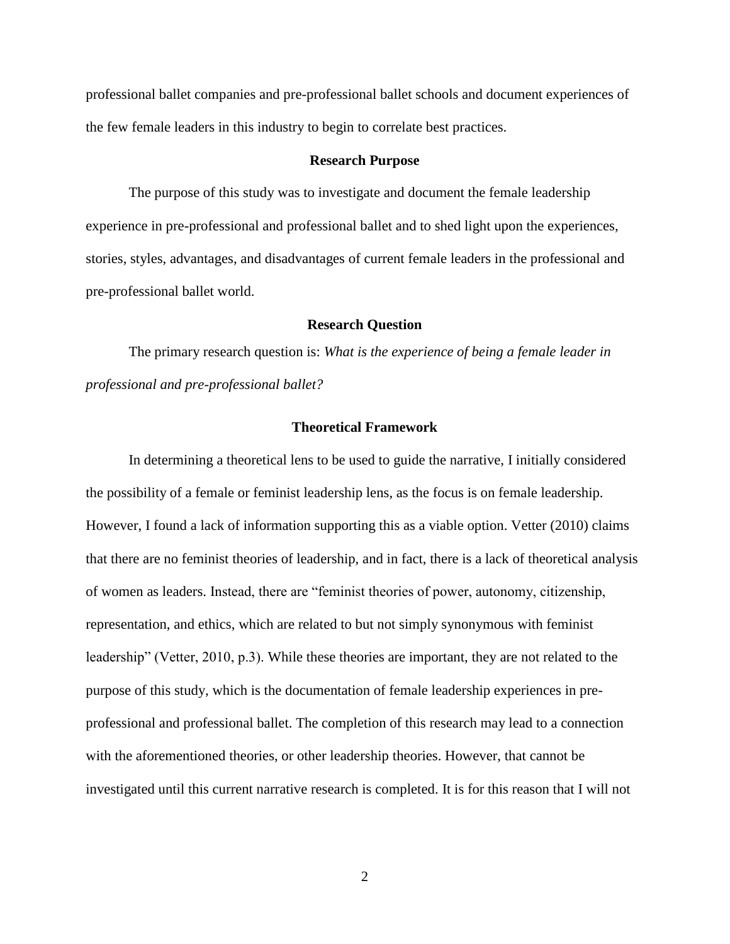professional ballet companies and pre-professional ballet schools and document experiences of the few female leaders in this industry to begin to correlate best practices.

#### **Research Purpose**

The purpose of this study was to investigate and document the female leadership experience in pre-professional and professional ballet and to shed light upon the experiences, stories, styles, advantages, and disadvantages of current female leaders in the professional and pre-professional ballet world.

#### **Research Question**

The primary research question is: *What is the experience of being a female leader in professional and pre-professional ballet?*

#### **Theoretical Framework**

In determining a theoretical lens to be used to guide the narrative, I initially considered the possibility of a female or feminist leadership lens, as the focus is on female leadership. However, I found a lack of information supporting this as a viable option. Vetter (2010) claims that there are no feminist theories of leadership, and in fact, there is a lack of theoretical analysis of women as leaders. Instead, there are "feminist theories of power, autonomy, citizenship, representation, and ethics, which are related to but not simply synonymous with feminist leadership" (Vetter, 2010, p.3). While these theories are important, they are not related to the purpose of this study, which is the documentation of female leadership experiences in preprofessional and professional ballet. The completion of this research may lead to a connection with the aforementioned theories, or other leadership theories. However, that cannot be investigated until this current narrative research is completed. It is for this reason that I will not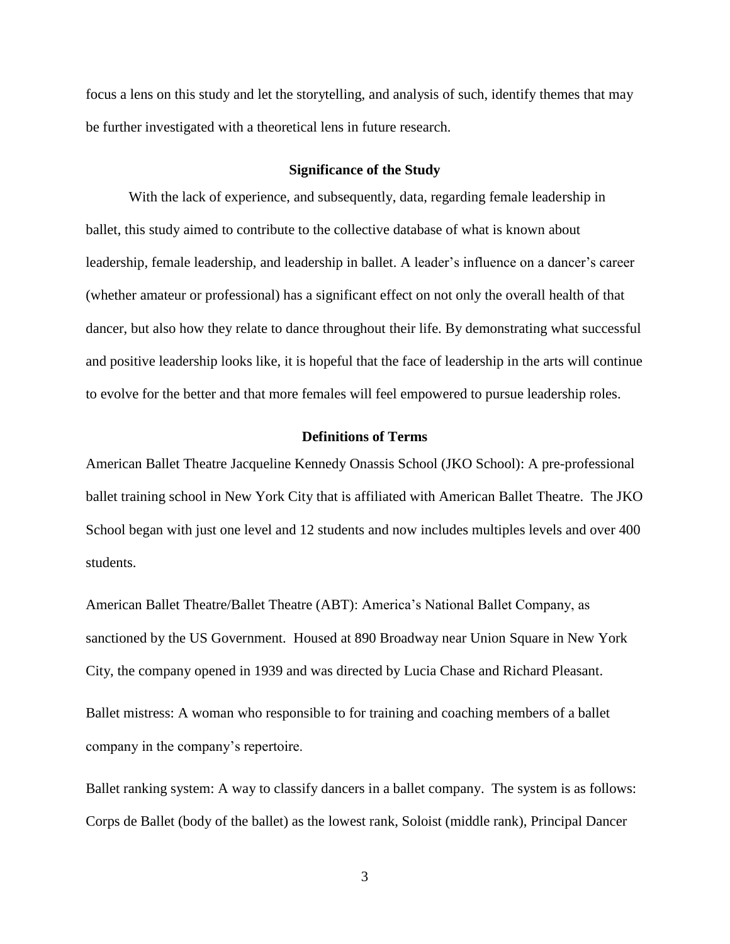focus a lens on this study and let the storytelling, and analysis of such, identify themes that may be further investigated with a theoretical lens in future research.

#### **Significance of the Study**

With the lack of experience, and subsequently, data, regarding female leadership in ballet, this study aimed to contribute to the collective database of what is known about leadership, female leadership, and leadership in ballet. A leader's influence on a dancer's career (whether amateur or professional) has a significant effect on not only the overall health of that dancer, but also how they relate to dance throughout their life. By demonstrating what successful and positive leadership looks like, it is hopeful that the face of leadership in the arts will continue to evolve for the better and that more females will feel empowered to pursue leadership roles.

#### **Definitions of Terms**

American Ballet Theatre Jacqueline Kennedy Onassis School (JKO School): A pre-professional ballet training school in New York City that is affiliated with American Ballet Theatre. The JKO School began with just one level and 12 students and now includes multiples levels and over 400 students.

American Ballet Theatre/Ballet Theatre (ABT): America's National Ballet Company, as sanctioned by the US Government. Housed at 890 Broadway near Union Square in New York City, the company opened in 1939 and was directed by Lucia Chase and Richard Pleasant.

Ballet mistress: A woman who responsible to for training and coaching members of a ballet company in the company's repertoire.

Ballet ranking system: A way to classify dancers in a ballet company. The system is as follows: Corps de Ballet (body of the ballet) as the lowest rank, Soloist (middle rank), Principal Dancer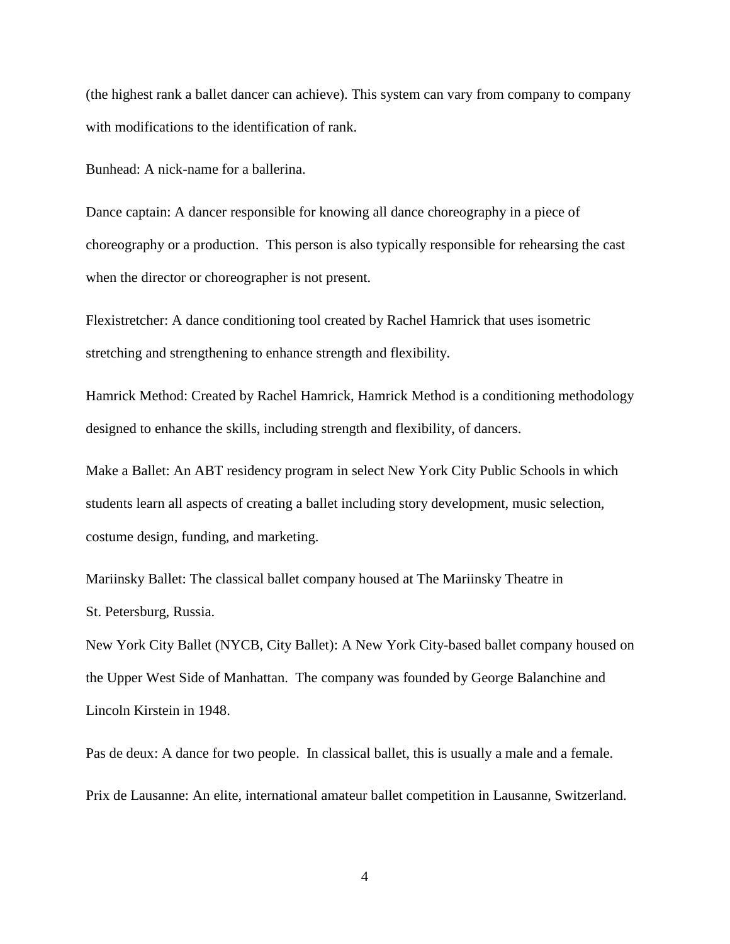(the highest rank a ballet dancer can achieve). This system can vary from company to company with modifications to the identification of rank.

Bunhead: A nick-name for a ballerina.

Dance captain: A dancer responsible for knowing all dance choreography in a piece of choreography or a production. This person is also typically responsible for rehearsing the cast when the director or choreographer is not present.

Flexistretcher: A dance conditioning tool created by Rachel Hamrick that uses isometric stretching and strengthening to enhance strength and flexibility.

Hamrick Method: Created by Rachel Hamrick, Hamrick Method is a conditioning methodology designed to enhance the skills, including strength and flexibility, of dancers.

Make a Ballet: An ABT residency program in select New York City Public Schools in which students learn all aspects of creating a ballet including story development, music selection, costume design, funding, and marketing.

Mariinsky Ballet: The classical ballet company housed at The Mariinsky Theatre in St. Petersburg, Russia.

New York City Ballet (NYCB, City Ballet): A New York City-based ballet company housed on the Upper West Side of Manhattan. The company was founded by George Balanchine and Lincoln Kirstein in 1948.

Pas de deux: A dance for two people. In classical ballet, this is usually a male and a female. Prix de Lausanne: An elite, international amateur ballet competition in Lausanne, Switzerland.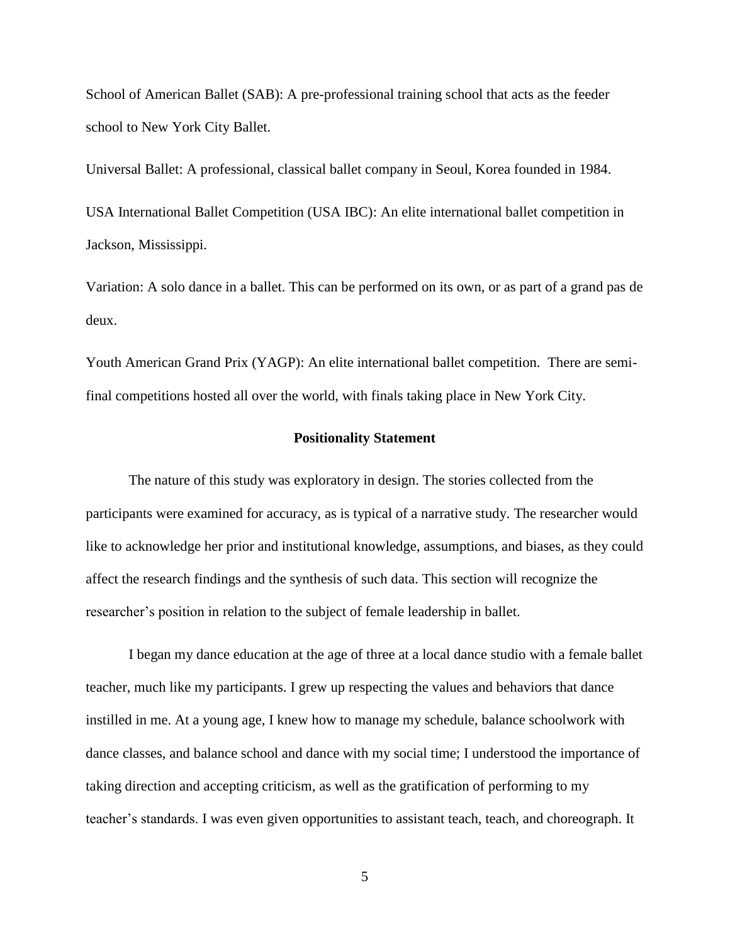School of American Ballet (SAB): A pre-professional training school that acts as the feeder school to New York City Ballet.

Universal Ballet: A professional, classical ballet company in Seoul, Korea founded in 1984.

USA International Ballet Competition (USA IBC): An elite international ballet competition in Jackson, Mississippi.

Variation: A solo dance in a ballet. This can be performed on its own, or as part of a grand pas de deux.

Youth American Grand Prix (YAGP): An elite international ballet competition. There are semifinal competitions hosted all over the world, with finals taking place in New York City.

#### **Positionality Statement**

The nature of this study was exploratory in design. The stories collected from the participants were examined for accuracy, as is typical of a narrative study. The researcher would like to acknowledge her prior and institutional knowledge, assumptions, and biases, as they could affect the research findings and the synthesis of such data. This section will recognize the researcher's position in relation to the subject of female leadership in ballet.

I began my dance education at the age of three at a local dance studio with a female ballet teacher, much like my participants. I grew up respecting the values and behaviors that dance instilled in me. At a young age, I knew how to manage my schedule, balance schoolwork with dance classes, and balance school and dance with my social time; I understood the importance of taking direction and accepting criticism, as well as the gratification of performing to my teacher's standards. I was even given opportunities to assistant teach, teach, and choreograph. It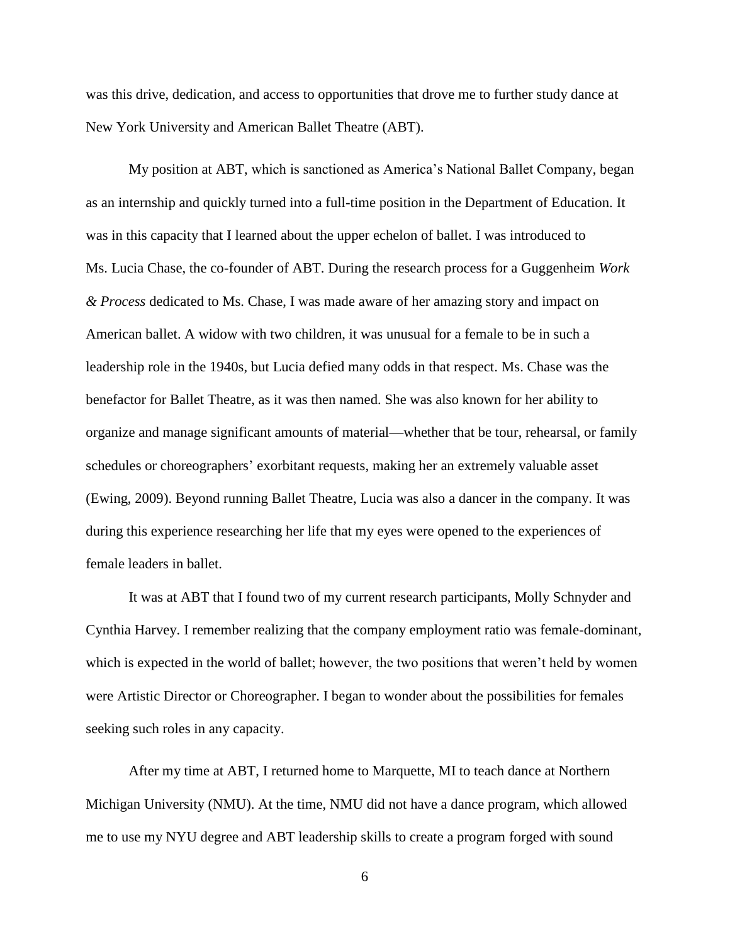was this drive, dedication, and access to opportunities that drove me to further study dance at New York University and American Ballet Theatre (ABT).

My position at ABT, which is sanctioned as America's National Ballet Company, began as an internship and quickly turned into a full-time position in the Department of Education. It was in this capacity that I learned about the upper echelon of ballet. I was introduced to Ms. Lucia Chase, the co-founder of ABT. During the research process for a Guggenheim *Work & Process* dedicated to Ms. Chase, I was made aware of her amazing story and impact on American ballet. A widow with two children, it was unusual for a female to be in such a leadership role in the 1940s, but Lucia defied many odds in that respect. Ms. Chase was the benefactor for Ballet Theatre, as it was then named. She was also known for her ability to organize and manage significant amounts of material—whether that be tour, rehearsal, or family schedules or choreographers' exorbitant requests, making her an extremely valuable asset (Ewing, 2009). Beyond running Ballet Theatre, Lucia was also a dancer in the company. It was during this experience researching her life that my eyes were opened to the experiences of female leaders in ballet.

It was at ABT that I found two of my current research participants, Molly Schnyder and Cynthia Harvey. I remember realizing that the company employment ratio was female-dominant, which is expected in the world of ballet; however, the two positions that weren't held by women were Artistic Director or Choreographer. I began to wonder about the possibilities for females seeking such roles in any capacity.

After my time at ABT, I returned home to Marquette, MI to teach dance at Northern Michigan University (NMU). At the time, NMU did not have a dance program, which allowed me to use my NYU degree and ABT leadership skills to create a program forged with sound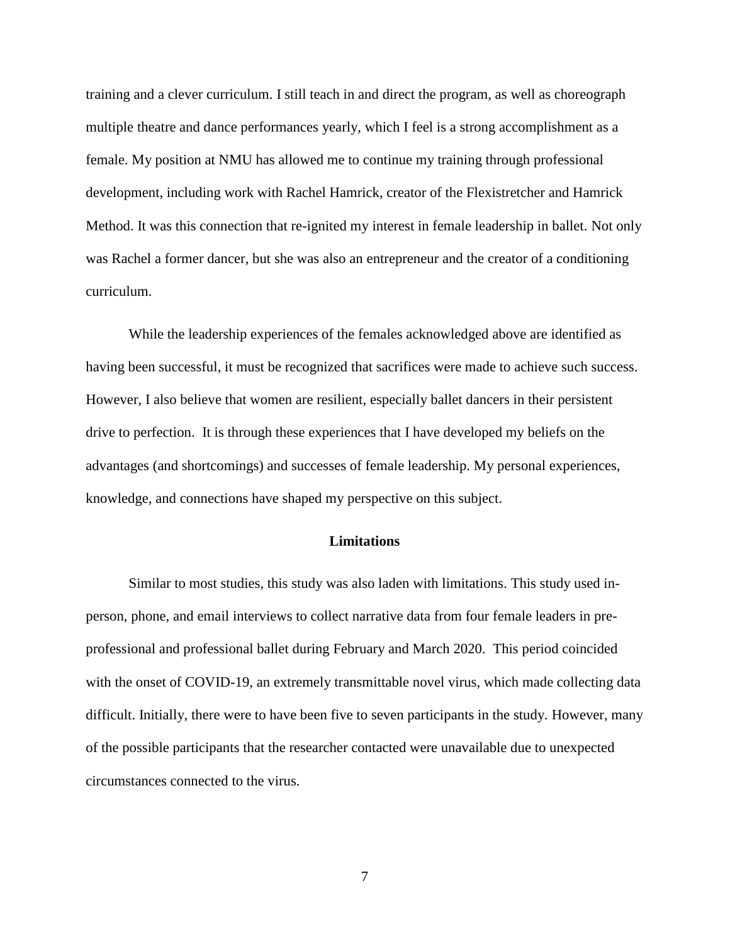training and a clever curriculum. I still teach in and direct the program, as well as choreograph multiple theatre and dance performances yearly, which I feel is a strong accomplishment as a female. My position at NMU has allowed me to continue my training through professional development, including work with Rachel Hamrick, creator of the Flexistretcher and Hamrick Method. It was this connection that re-ignited my interest in female leadership in ballet. Not only was Rachel a former dancer, but she was also an entrepreneur and the creator of a conditioning curriculum.

While the leadership experiences of the females acknowledged above are identified as having been successful, it must be recognized that sacrifices were made to achieve such success. However, I also believe that women are resilient, especially ballet dancers in their persistent drive to perfection. It is through these experiences that I have developed my beliefs on the advantages (and shortcomings) and successes of female leadership. My personal experiences, knowledge, and connections have shaped my perspective on this subject.

#### **Limitations**

Similar to most studies, this study was also laden with limitations. This study used inperson, phone, and email interviews to collect narrative data from four female leaders in preprofessional and professional ballet during February and March 2020. This period coincided with the onset of COVID-19, an extremely transmittable novel virus, which made collecting data difficult. Initially, there were to have been five to seven participants in the study. However, many of the possible participants that the researcher contacted were unavailable due to unexpected circumstances connected to the virus.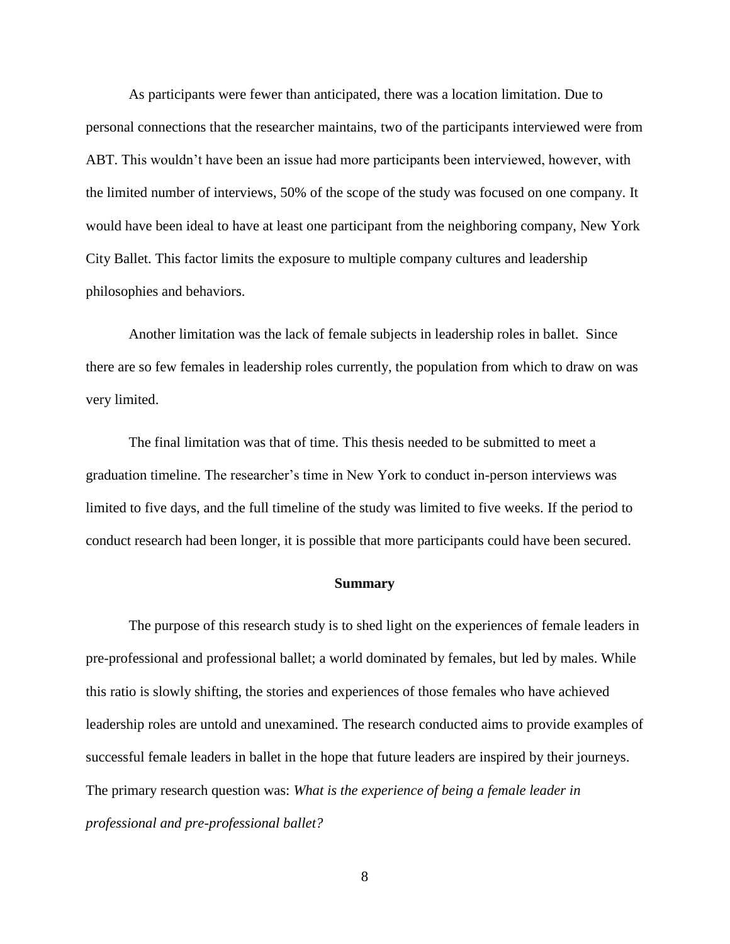As participants were fewer than anticipated, there was a location limitation. Due to personal connections that the researcher maintains, two of the participants interviewed were from ABT. This wouldn't have been an issue had more participants been interviewed, however, with the limited number of interviews, 50% of the scope of the study was focused on one company. It would have been ideal to have at least one participant from the neighboring company, New York City Ballet. This factor limits the exposure to multiple company cultures and leadership philosophies and behaviors.

Another limitation was the lack of female subjects in leadership roles in ballet. Since there are so few females in leadership roles currently, the population from which to draw on was very limited.

The final limitation was that of time. This thesis needed to be submitted to meet a graduation timeline. The researcher's time in New York to conduct in-person interviews was limited to five days, and the full timeline of the study was limited to five weeks. If the period to conduct research had been longer, it is possible that more participants could have been secured.

#### **Summary**

The purpose of this research study is to shed light on the experiences of female leaders in pre-professional and professional ballet; a world dominated by females, but led by males. While this ratio is slowly shifting, the stories and experiences of those females who have achieved leadership roles are untold and unexamined. The research conducted aims to provide examples of successful female leaders in ballet in the hope that future leaders are inspired by their journeys. The primary research question was: *What is the experience of being a female leader in professional and pre-professional ballet?*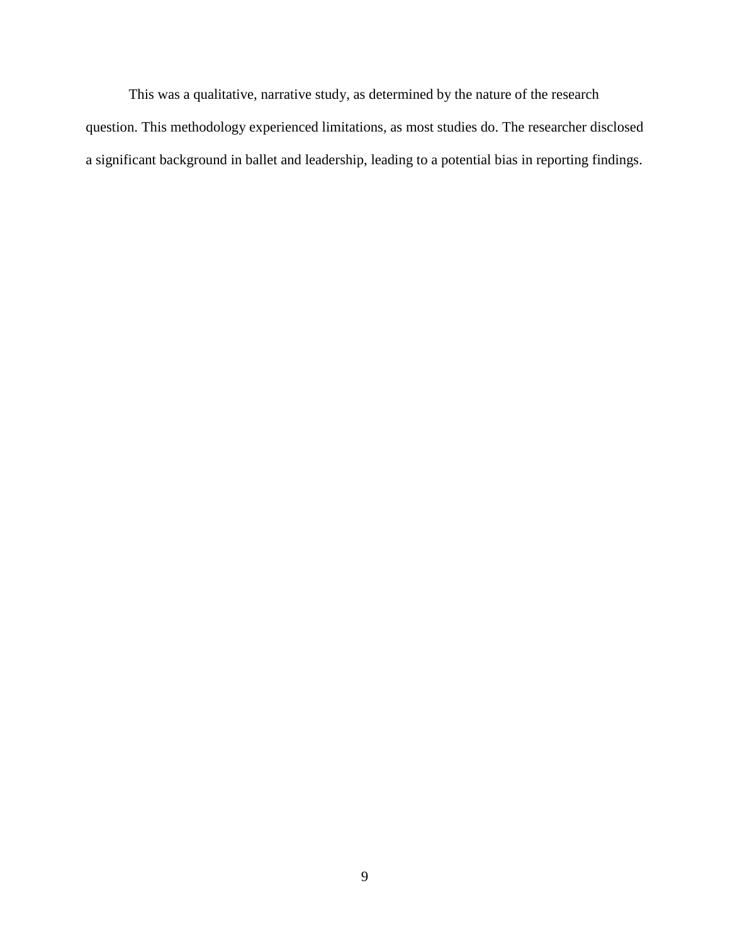This was a qualitative, narrative study, as determined by the nature of the research question. This methodology experienced limitations, as most studies do. The researcher disclosed a significant background in ballet and leadership, leading to a potential bias in reporting findings.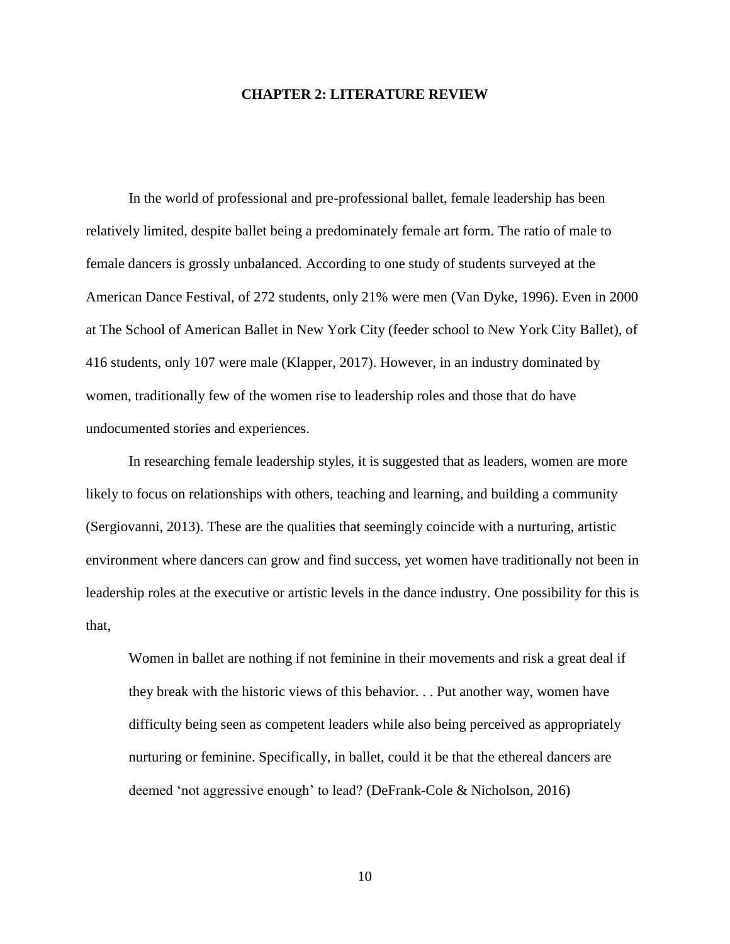#### **CHAPTER 2: LITERATURE REVIEW**

In the world of professional and pre-professional ballet, female leadership has been relatively limited, despite ballet being a predominately female art form. The ratio of male to female dancers is grossly unbalanced. According to one study of students surveyed at the American Dance Festival, of 272 students, only 21% were men (Van Dyke, 1996). Even in 2000 at The School of American Ballet in New York City (feeder school to New York City Ballet), of 416 students, only 107 were male (Klapper, 2017). However, in an industry dominated by women, traditionally few of the women rise to leadership roles and those that do have undocumented stories and experiences.

In researching female leadership styles, it is suggested that as leaders, women are more likely to focus on relationships with others, teaching and learning, and building a community (Sergiovanni, 2013). These are the qualities that seemingly coincide with a nurturing, artistic environment where dancers can grow and find success, yet women have traditionally not been in leadership roles at the executive or artistic levels in the dance industry. One possibility for this is that,

Women in ballet are nothing if not feminine in their movements and risk a great deal if they break with the historic views of this behavior. . . Put another way, women have difficulty being seen as competent leaders while also being perceived as appropriately nurturing or feminine. Specifically, in ballet, could it be that the ethereal dancers are deemed 'not aggressive enough' to lead? (DeFrank-Cole & Nicholson, 2016)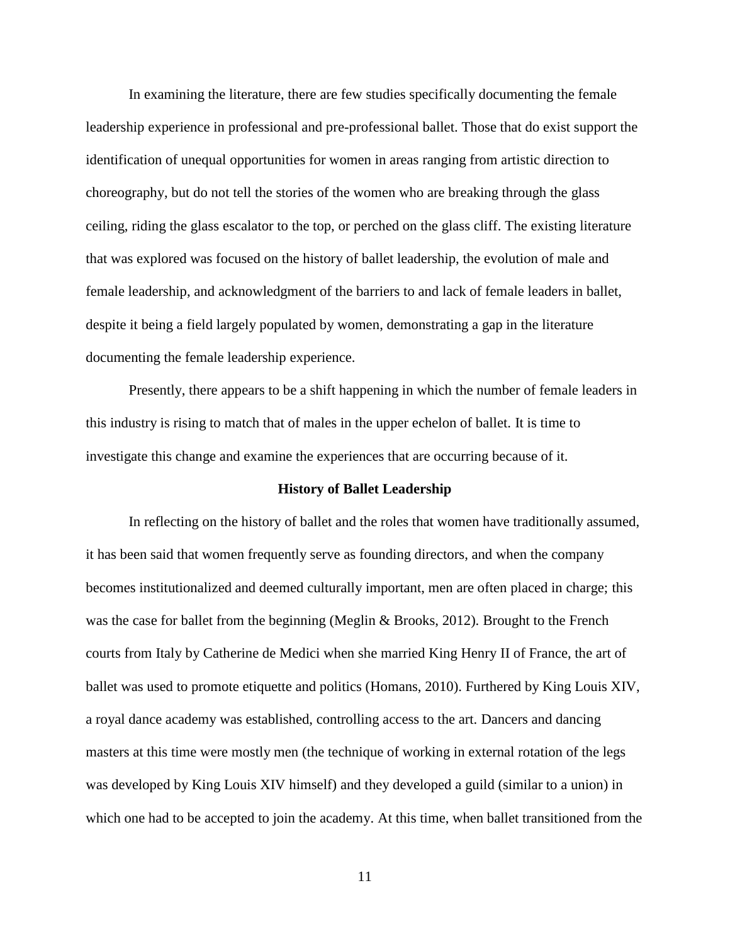In examining the literature, there are few studies specifically documenting the female leadership experience in professional and pre-professional ballet. Those that do exist support the identification of unequal opportunities for women in areas ranging from artistic direction to choreography, but do not tell the stories of the women who are breaking through the glass ceiling, riding the glass escalator to the top, or perched on the glass cliff. The existing literature that was explored was focused on the history of ballet leadership, the evolution of male and female leadership, and acknowledgment of the barriers to and lack of female leaders in ballet, despite it being a field largely populated by women, demonstrating a gap in the literature documenting the female leadership experience.

Presently, there appears to be a shift happening in which the number of female leaders in this industry is rising to match that of males in the upper echelon of ballet. It is time to investigate this change and examine the experiences that are occurring because of it.

#### **History of Ballet Leadership**

In reflecting on the history of ballet and the roles that women have traditionally assumed, it has been said that women frequently serve as founding directors, and when the company becomes institutionalized and deemed culturally important, men are often placed in charge; this was the case for ballet from the beginning (Meglin & Brooks, 2012). Brought to the French courts from Italy by Catherine de Medici when she married King Henry II of France, the art of ballet was used to promote etiquette and politics (Homans, 2010). Furthered by King Louis XIV, a royal dance academy was established, controlling access to the art. Dancers and dancing masters at this time were mostly men (the technique of working in external rotation of the legs was developed by King Louis XIV himself) and they developed a guild (similar to a union) in which one had to be accepted to join the academy. At this time, when ballet transitioned from the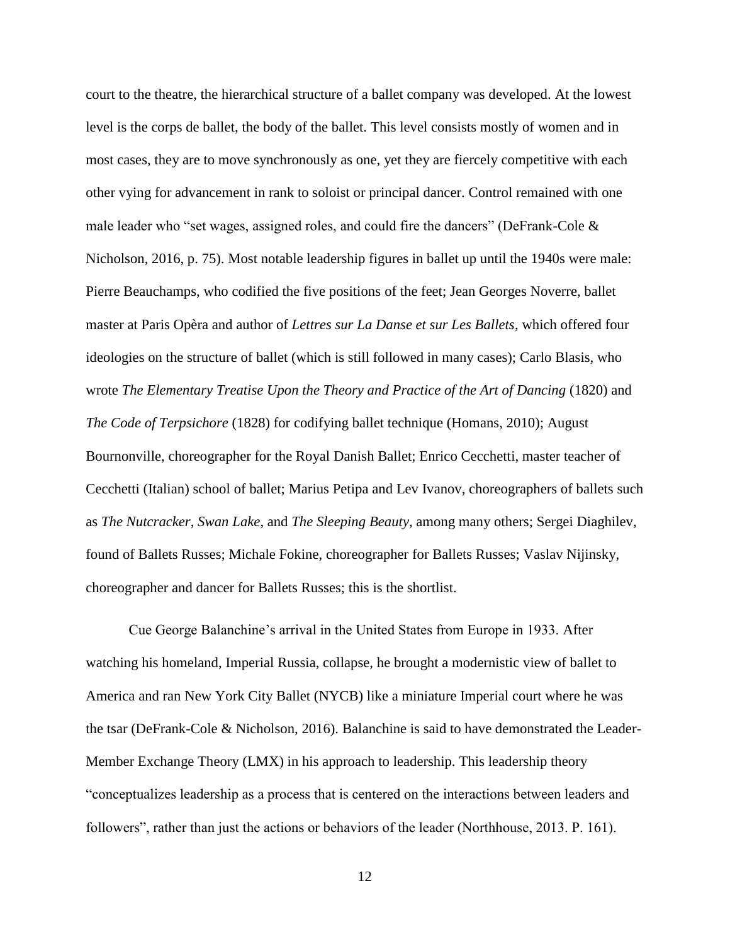court to the theatre, the hierarchical structure of a ballet company was developed. At the lowest level is the corps de ballet, the body of the ballet. This level consists mostly of women and in most cases, they are to move synchronously as one, yet they are fiercely competitive with each other vying for advancement in rank to soloist or principal dancer. Control remained with one male leader who "set wages, assigned roles, and could fire the dancers" (DeFrank-Cole  $\&$ Nicholson, 2016, p. 75). Most notable leadership figures in ballet up until the 1940s were male: Pierre Beauchamps, who codified the five positions of the feet; Jean Georges Noverre, ballet master at Paris Opèra and author of *Lettres sur La Danse et sur Les Ballets,* which offered four ideologies on the structure of ballet (which is still followed in many cases); Carlo Blasis, who wrote *The Elementary Treatise Upon the Theory and Practice of the Art of Dancing* (1820) and *The Code of Terpsichore* (1828) for codifying ballet technique (Homans, 2010); August Bournonville, choreographer for the Royal Danish Ballet; Enrico Cecchetti, master teacher of Cecchetti (Italian) school of ballet; Marius Petipa and Lev Ivanov, choreographers of ballets such as *The Nutcracker*, *Swan Lake*, and *The Sleeping Beauty*, among many others; Sergei Diaghilev, found of Ballets Russes; Michale Fokine, choreographer for Ballets Russes; Vaslav Nijinsky, choreographer and dancer for Ballets Russes; this is the shortlist.

Cue George Balanchine's arrival in the United States from Europe in 1933. After watching his homeland, Imperial Russia, collapse, he brought a modernistic view of ballet to America and ran New York City Ballet (NYCB) like a miniature Imperial court where he was the tsar (DeFrank-Cole & Nicholson, 2016). Balanchine is said to have demonstrated the Leader-Member Exchange Theory (LMX) in his approach to leadership. This leadership theory "conceptualizes leadership as a process that is centered on the interactions between leaders and followers", rather than just the actions or behaviors of the leader (Northhouse, 2013. P. 161).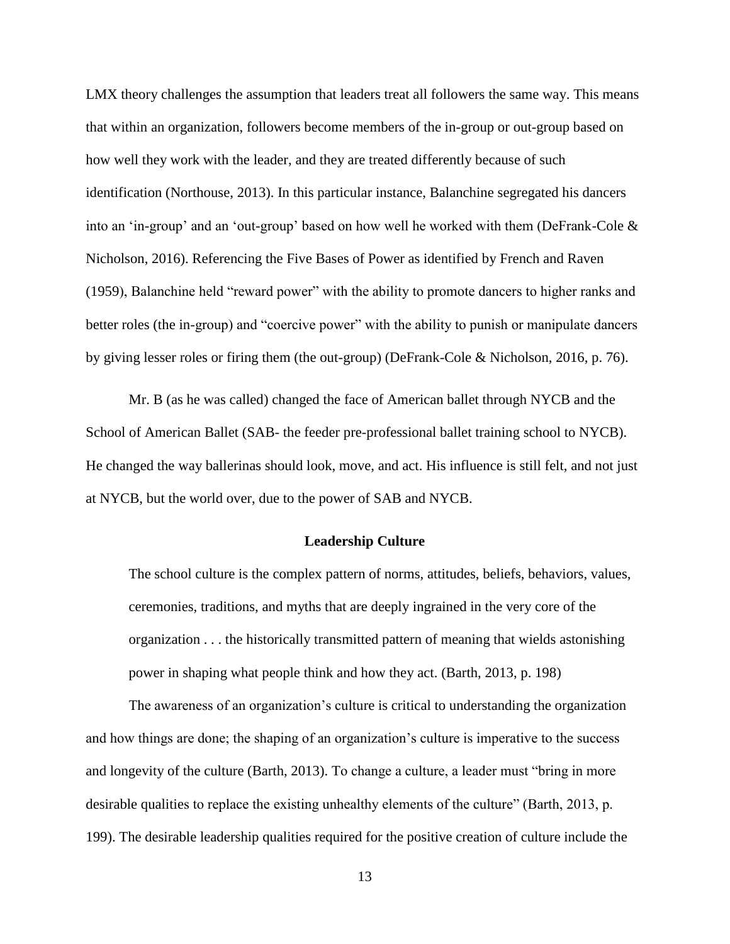LMX theory challenges the assumption that leaders treat all followers the same way. This means that within an organization, followers become members of the in-group or out-group based on how well they work with the leader, and they are treated differently because of such identification (Northouse, 2013). In this particular instance, Balanchine segregated his dancers into an 'in-group' and an 'out-group' based on how well he worked with them (DeFrank-Cole & Nicholson, 2016). Referencing the Five Bases of Power as identified by French and Raven (1959), Balanchine held "reward power" with the ability to promote dancers to higher ranks and better roles (the in-group) and "coercive power" with the ability to punish or manipulate dancers by giving lesser roles or firing them (the out-group) (DeFrank-Cole & Nicholson, 2016, p. 76).

Mr. B (as he was called) changed the face of American ballet through NYCB and the School of American Ballet (SAB- the feeder pre-professional ballet training school to NYCB). He changed the way ballerinas should look, move, and act. His influence is still felt, and not just at NYCB, but the world over, due to the power of SAB and NYCB.

#### **Leadership Culture**

The school culture is the complex pattern of norms, attitudes, beliefs, behaviors, values, ceremonies, traditions, and myths that are deeply ingrained in the very core of the organization . . . the historically transmitted pattern of meaning that wields astonishing power in shaping what people think and how they act. (Barth, 2013, p. 198)

The awareness of an organization's culture is critical to understanding the organization and how things are done; the shaping of an organization's culture is imperative to the success and longevity of the culture (Barth, 2013). To change a culture, a leader must "bring in more desirable qualities to replace the existing unhealthy elements of the culture" (Barth, 2013, p. 199). The desirable leadership qualities required for the positive creation of culture include the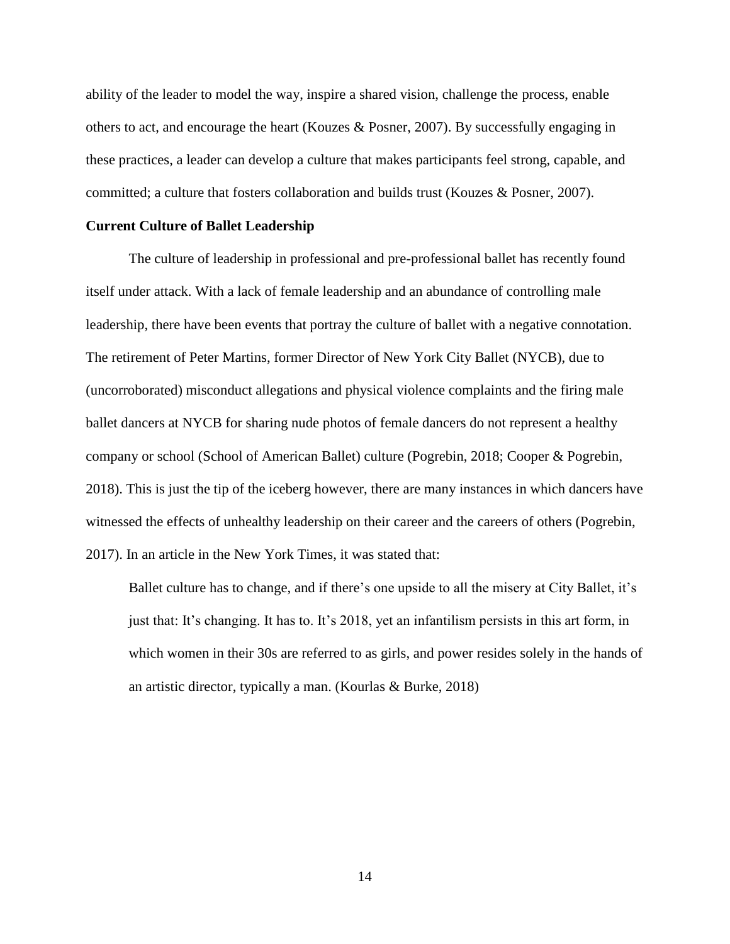ability of the leader to model the way, inspire a shared vision, challenge the process, enable others to act, and encourage the heart (Kouzes & Posner, 2007). By successfully engaging in these practices, a leader can develop a culture that makes participants feel strong, capable, and committed; a culture that fosters collaboration and builds trust (Kouzes & Posner, 2007).

#### **Current Culture of Ballet Leadership**

The culture of leadership in professional and pre-professional ballet has recently found itself under attack. With a lack of female leadership and an abundance of controlling male leadership, there have been events that portray the culture of ballet with a negative connotation. The retirement of Peter Martins, former Director of New York City Ballet (NYCB), due to (uncorroborated) misconduct allegations and physical violence complaints and the firing male ballet dancers at NYCB for sharing nude photos of female dancers do not represent a healthy company or school (School of American Ballet) culture (Pogrebin, 2018; Cooper & Pogrebin, 2018). This is just the tip of the iceberg however, there are many instances in which dancers have witnessed the effects of unhealthy leadership on their career and the careers of others (Pogrebin, 2017). In an article in the New York Times, it was stated that:

Ballet culture has to change, and if there's one upside to all the misery at City Ballet, it's just that: It's changing. It has to. It's 2018, yet an infantilism persists in this art form, in which women in their 30s are referred to as girls, and power resides solely in the hands of an artistic director, typically a man. (Kourlas & Burke, 2018)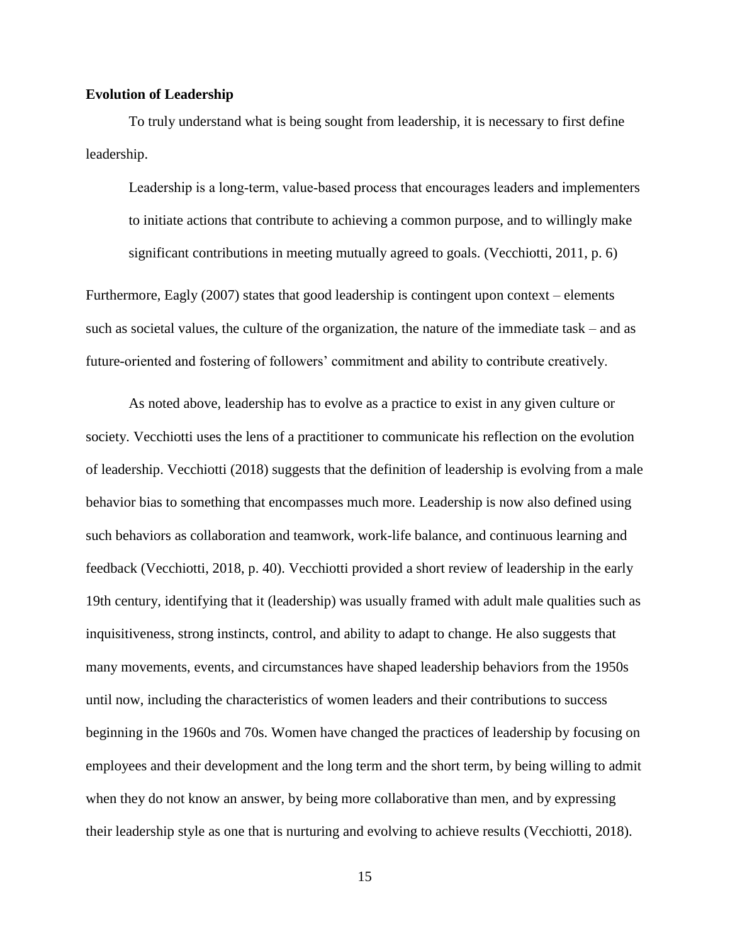#### **Evolution of Leadership**

To truly understand what is being sought from leadership, it is necessary to first define leadership.

Leadership is a long-term, value-based process that encourages leaders and implementers to initiate actions that contribute to achieving a common purpose, and to willingly make significant contributions in meeting mutually agreed to goals. (Vecchiotti, 2011, p. 6)

Furthermore, Eagly (2007) states that good leadership is contingent upon context – elements such as societal values, the culture of the organization, the nature of the immediate task – and as future-oriented and fostering of followers' commitment and ability to contribute creatively.

As noted above, leadership has to evolve as a practice to exist in any given culture or society. Vecchiotti uses the lens of a practitioner to communicate his reflection on the evolution of leadership. Vecchiotti (2018) suggests that the definition of leadership is evolving from a male behavior bias to something that encompasses much more. Leadership is now also defined using such behaviors as collaboration and teamwork, work-life balance, and continuous learning and feedback (Vecchiotti, 2018, p. 40). Vecchiotti provided a short review of leadership in the early 19th century, identifying that it (leadership) was usually framed with adult male qualities such as inquisitiveness, strong instincts, control, and ability to adapt to change. He also suggests that many movements, events, and circumstances have shaped leadership behaviors from the 1950s until now, including the characteristics of women leaders and their contributions to success beginning in the 1960s and 70s. Women have changed the practices of leadership by focusing on employees and their development and the long term and the short term, by being willing to admit when they do not know an answer, by being more collaborative than men, and by expressing their leadership style as one that is nurturing and evolving to achieve results (Vecchiotti, 2018).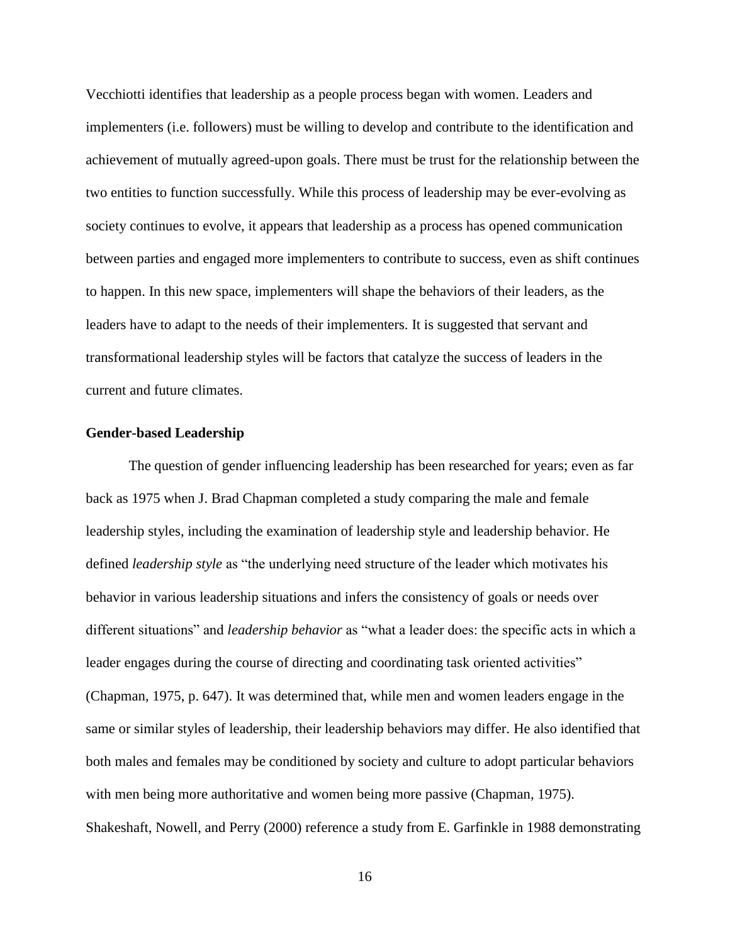Vecchiotti identifies that leadership as a people process began with women. Leaders and implementers (i.e. followers) must be willing to develop and contribute to the identification and achievement of mutually agreed-upon goals. There must be trust for the relationship between the two entities to function successfully. While this process of leadership may be ever-evolving as society continues to evolve, it appears that leadership as a process has opened communication between parties and engaged more implementers to contribute to success, even as shift continues to happen. In this new space, implementers will shape the behaviors of their leaders, as the leaders have to adapt to the needs of their implementers. It is suggested that servant and transformational leadership styles will be factors that catalyze the success of leaders in the current and future climates.

#### **Gender-based Leadership**

The question of gender influencing leadership has been researched for years; even as far back as 1975 when J. Brad Chapman completed a study comparing the male and female leadership styles, including the examination of leadership style and leadership behavior. He defined *leadership style* as "the underlying need structure of the leader which motivates his behavior in various leadership situations and infers the consistency of goals or needs over different situations" and *leadership behavior* as "what a leader does: the specific acts in which a leader engages during the course of directing and coordinating task oriented activities" (Chapman, 1975, p. 647). It was determined that, while men and women leaders engage in the same or similar styles of leadership, their leadership behaviors may differ. He also identified that both males and females may be conditioned by society and culture to adopt particular behaviors with men being more authoritative and women being more passive (Chapman, 1975). Shakeshaft, Nowell, and Perry (2000) reference a study from E. Garfinkle in 1988 demonstrating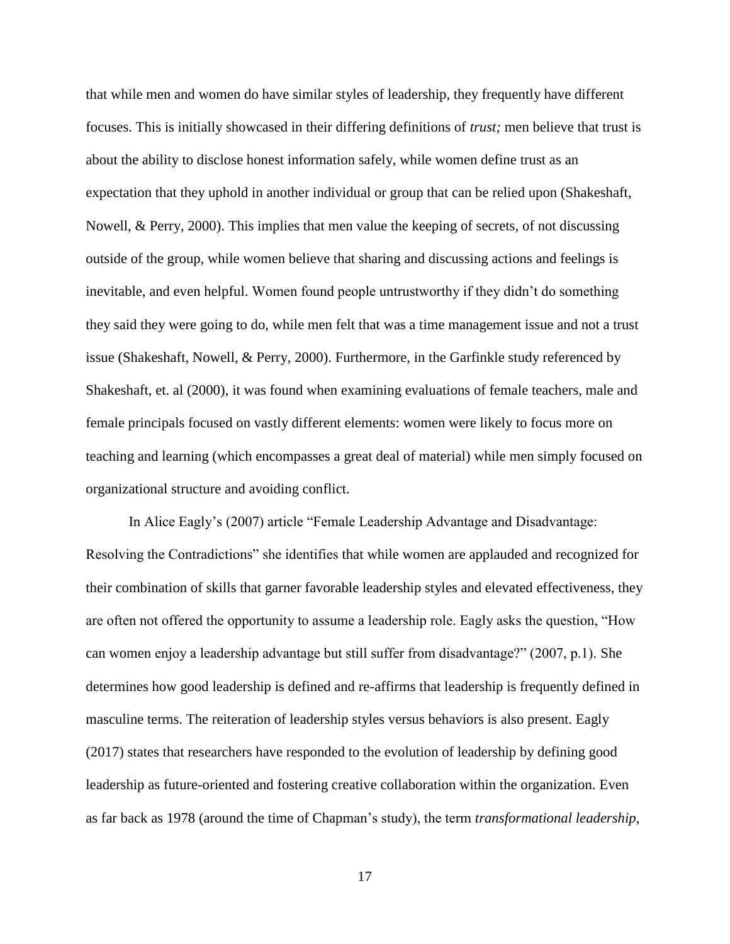that while men and women do have similar styles of leadership, they frequently have different focuses. This is initially showcased in their differing definitions of *trust;* men believe that trust is about the ability to disclose honest information safely, while women define trust as an expectation that they uphold in another individual or group that can be relied upon (Shakeshaft, Nowell, & Perry, 2000). This implies that men value the keeping of secrets, of not discussing outside of the group, while women believe that sharing and discussing actions and feelings is inevitable, and even helpful. Women found people untrustworthy if they didn't do something they said they were going to do, while men felt that was a time management issue and not a trust issue (Shakeshaft, Nowell, & Perry, 2000). Furthermore, in the Garfinkle study referenced by Shakeshaft, et. al (2000), it was found when examining evaluations of female teachers, male and female principals focused on vastly different elements: women were likely to focus more on teaching and learning (which encompasses a great deal of material) while men simply focused on organizational structure and avoiding conflict.

In Alice Eagly's (2007) article "Female Leadership Advantage and Disadvantage: Resolving the Contradictions" she identifies that while women are applauded and recognized for their combination of skills that garner favorable leadership styles and elevated effectiveness, they are often not offered the opportunity to assume a leadership role. Eagly asks the question, "How can women enjoy a leadership advantage but still suffer from disadvantage?" (2007, p.1). She determines how good leadership is defined and re-affirms that leadership is frequently defined in masculine terms. The reiteration of leadership styles versus behaviors is also present. Eagly (2017) states that researchers have responded to the evolution of leadership by defining good leadership as future-oriented and fostering creative collaboration within the organization. Even as far back as 1978 (around the time of Chapman's study), the term *transformational leadership*,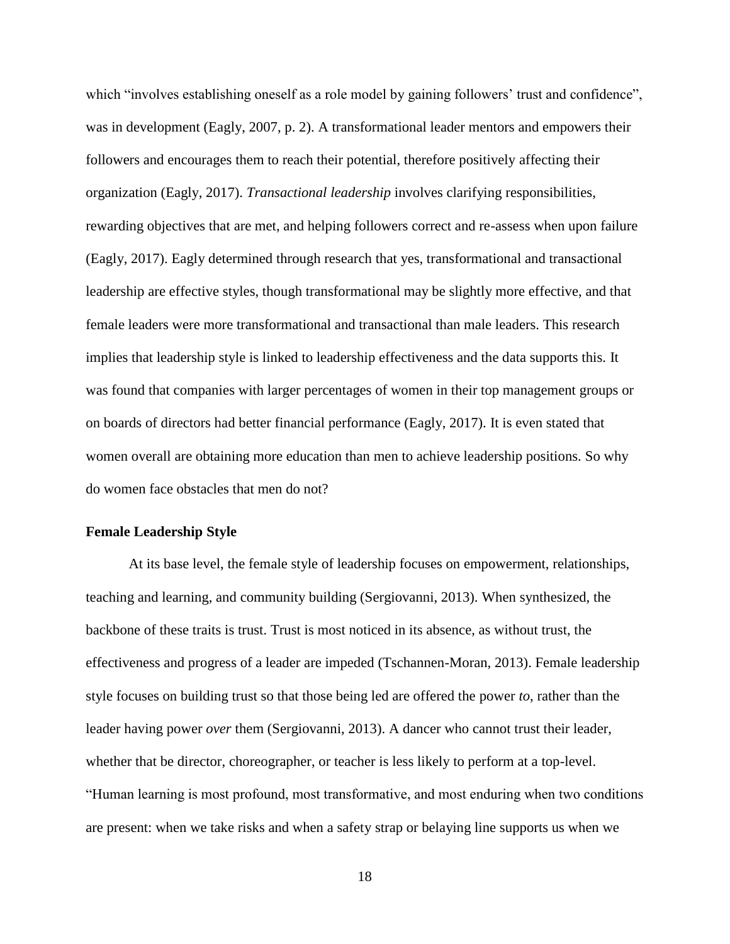which "involves establishing oneself as a role model by gaining followers' trust and confidence", was in development (Eagly, 2007, p. 2). A transformational leader mentors and empowers their followers and encourages them to reach their potential, therefore positively affecting their organization (Eagly, 2017). *Transactional leadership* involves clarifying responsibilities, rewarding objectives that are met, and helping followers correct and re-assess when upon failure (Eagly, 2017). Eagly determined through research that yes, transformational and transactional leadership are effective styles, though transformational may be slightly more effective, and that female leaders were more transformational and transactional than male leaders. This research implies that leadership style is linked to leadership effectiveness and the data supports this. It was found that companies with larger percentages of women in their top management groups or on boards of directors had better financial performance (Eagly, 2017). It is even stated that women overall are obtaining more education than men to achieve leadership positions. So why do women face obstacles that men do not?

#### **Female Leadership Style**

At its base level, the female style of leadership focuses on empowerment, relationships, teaching and learning, and community building (Sergiovanni, 2013). When synthesized, the backbone of these traits is trust. Trust is most noticed in its absence, as without trust, the effectiveness and progress of a leader are impeded (Tschannen-Moran, 2013). Female leadership style focuses on building trust so that those being led are offered the power *to*, rather than the leader having power *over* them (Sergiovanni, 2013). A dancer who cannot trust their leader, whether that be director, choreographer, or teacher is less likely to perform at a top-level. "Human learning is most profound, most transformative, and most enduring when two conditions are present: when we take risks and when a safety strap or belaying line supports us when we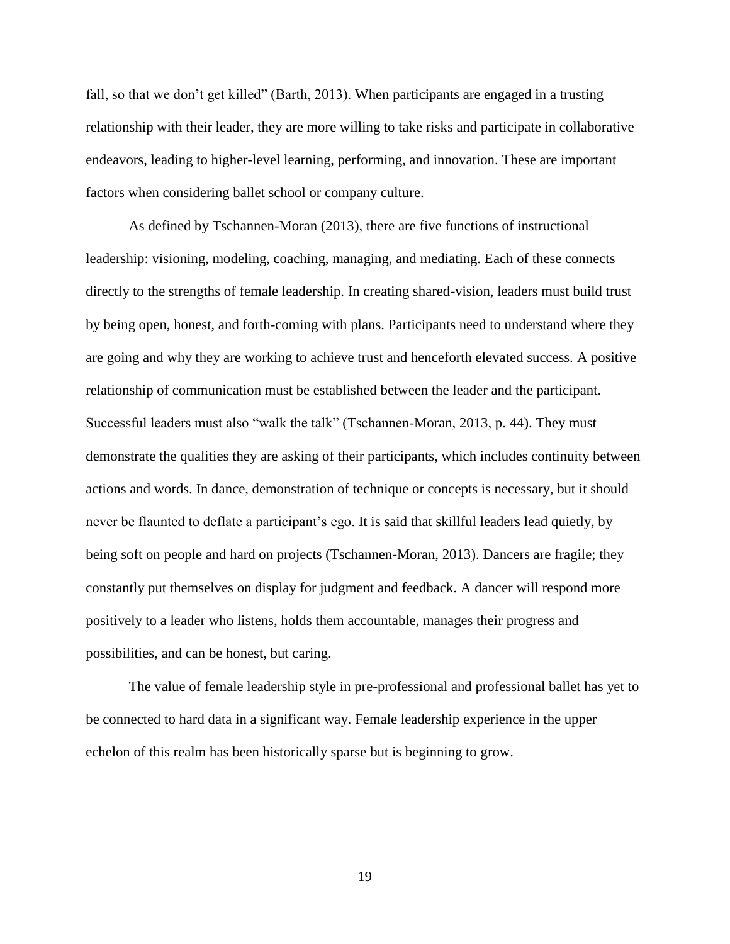fall, so that we don't get killed" (Barth, 2013). When participants are engaged in a trusting relationship with their leader, they are more willing to take risks and participate in collaborative endeavors, leading to higher-level learning, performing, and innovation. These are important factors when considering ballet school or company culture.

As defined by Tschannen-Moran (2013), there are five functions of instructional leadership: visioning, modeling, coaching, managing, and mediating. Each of these connects directly to the strengths of female leadership. In creating shared-vision, leaders must build trust by being open, honest, and forth-coming with plans. Participants need to understand where they are going and why they are working to achieve trust and henceforth elevated success. A positive relationship of communication must be established between the leader and the participant. Successful leaders must also "walk the talk" (Tschannen-Moran, 2013, p. 44). They must demonstrate the qualities they are asking of their participants, which includes continuity between actions and words. In dance, demonstration of technique or concepts is necessary, but it should never be flaunted to deflate a participant's ego. It is said that skillful leaders lead quietly, by being soft on people and hard on projects (Tschannen-Moran, 2013). Dancers are fragile; they constantly put themselves on display for judgment and feedback. A dancer will respond more positively to a leader who listens, holds them accountable, manages their progress and possibilities, and can be honest, but caring.

The value of female leadership style in pre-professional and professional ballet has yet to be connected to hard data in a significant way. Female leadership experience in the upper echelon of this realm has been historically sparse but is beginning to grow.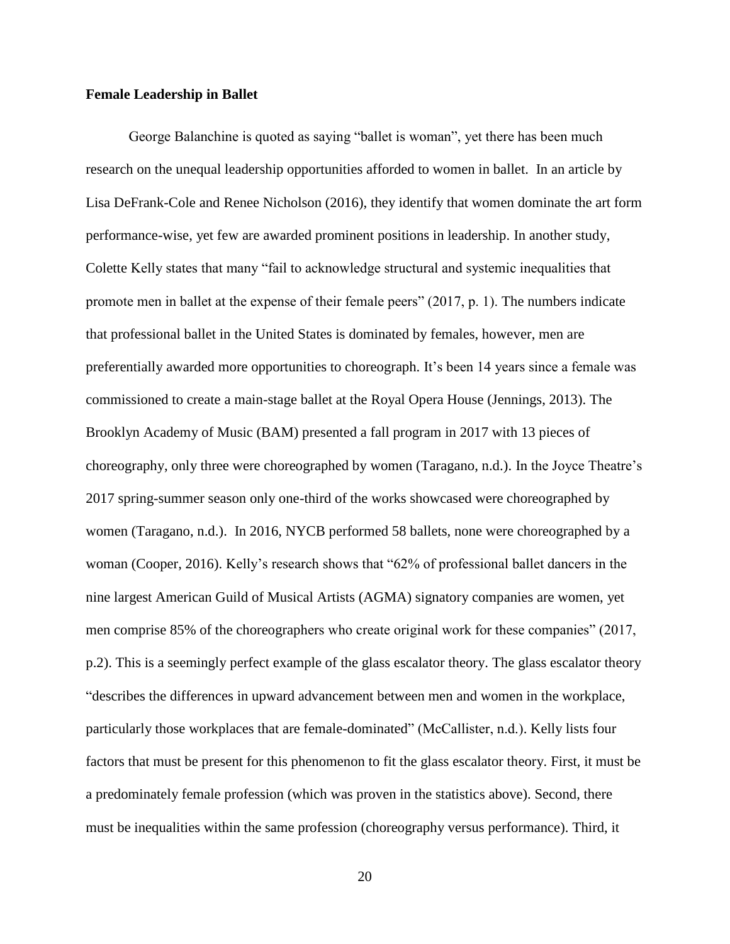#### **Female Leadership in Ballet**

George Balanchine is quoted as saying "ballet is woman", yet there has been much research on the unequal leadership opportunities afforded to women in ballet. In an article by Lisa DeFrank-Cole and Renee Nicholson (2016), they identify that women dominate the art form performance-wise, yet few are awarded prominent positions in leadership. In another study, Colette Kelly states that many "fail to acknowledge structural and systemic inequalities that promote men in ballet at the expense of their female peers" (2017, p. 1). The numbers indicate that professional ballet in the United States is dominated by females, however, men are preferentially awarded more opportunities to choreograph. It's been 14 years since a female was commissioned to create a main-stage ballet at the Royal Opera House (Jennings, 2013). The Brooklyn Academy of Music (BAM) presented a fall program in 2017 with 13 pieces of choreography, only three were choreographed by women (Taragano, n.d.). In the Joyce Theatre's 2017 spring-summer season only one-third of the works showcased were choreographed by women (Taragano, n.d.). In 2016, NYCB performed 58 ballets, none were choreographed by a woman (Cooper, 2016). Kelly's research shows that "62% of professional ballet dancers in the nine largest American Guild of Musical Artists (AGMA) signatory companies are women, yet men comprise 85% of the choreographers who create original work for these companies" (2017, p.2). This is a seemingly perfect example of the glass escalator theory. The glass escalator theory "describes the differences in upward advancement between men and women in the workplace, particularly those workplaces that are female-dominated" (McCallister, n.d.). Kelly lists four factors that must be present for this phenomenon to fit the glass escalator theory. First, it must be a predominately female profession (which was proven in the statistics above). Second, there must be inequalities within the same profession (choreography versus performance). Third, it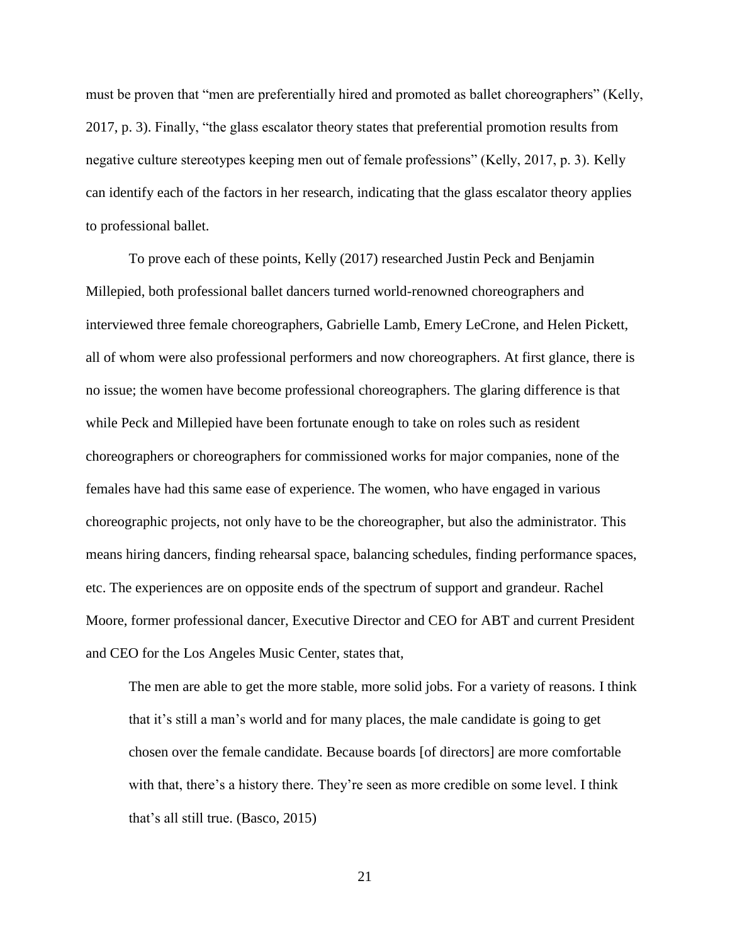must be proven that "men are preferentially hired and promoted as ballet choreographers" (Kelly, 2017, p. 3). Finally, "the glass escalator theory states that preferential promotion results from negative culture stereotypes keeping men out of female professions" (Kelly, 2017, p. 3). Kelly can identify each of the factors in her research, indicating that the glass escalator theory applies to professional ballet.

To prove each of these points, Kelly (2017) researched Justin Peck and Benjamin Millepied, both professional ballet dancers turned world-renowned choreographers and interviewed three female choreographers, Gabrielle Lamb, Emery LeCrone, and Helen Pickett, all of whom were also professional performers and now choreographers. At first glance, there is no issue; the women have become professional choreographers. The glaring difference is that while Peck and Millepied have been fortunate enough to take on roles such as resident choreographers or choreographers for commissioned works for major companies, none of the females have had this same ease of experience. The women, who have engaged in various choreographic projects, not only have to be the choreographer, but also the administrator. This means hiring dancers, finding rehearsal space, balancing schedules, finding performance spaces, etc. The experiences are on opposite ends of the spectrum of support and grandeur. Rachel Moore, former professional dancer, Executive Director and CEO for ABT and current President and CEO for the Los Angeles Music Center, states that,

The men are able to get the more stable, more solid jobs. For a variety of reasons. I think that it's still a man's world and for many places, the male candidate is going to get chosen over the female candidate. Because boards [of directors] are more comfortable with that, there's a history there. They're seen as more credible on some level. I think that's all still true. (Basco, 2015)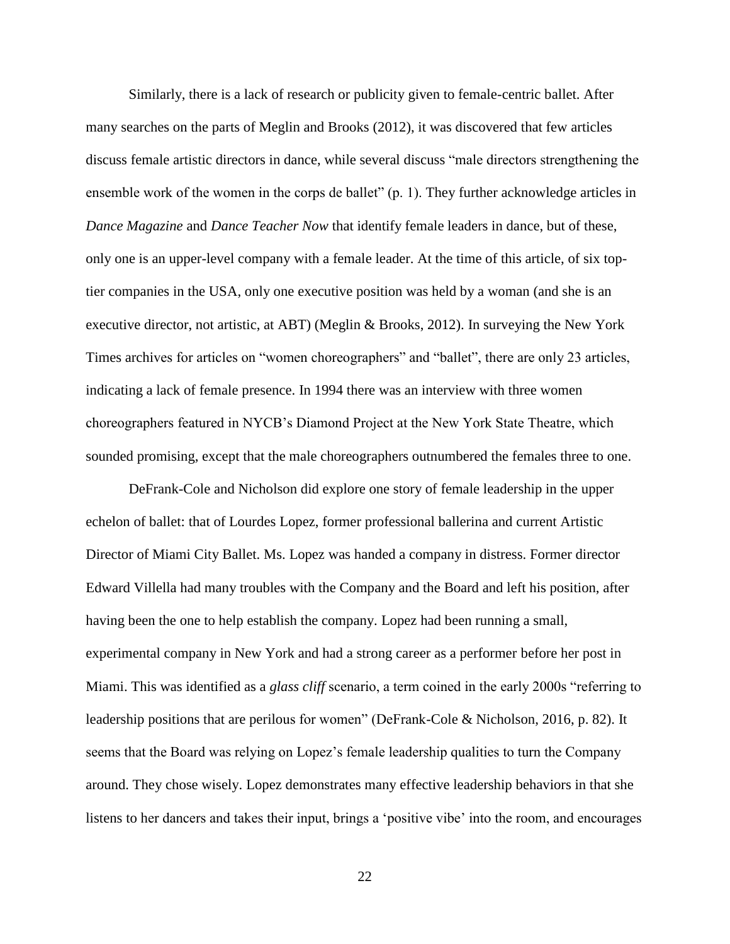Similarly, there is a lack of research or publicity given to female-centric ballet. After many searches on the parts of Meglin and Brooks (2012), it was discovered that few articles discuss female artistic directors in dance, while several discuss "male directors strengthening the ensemble work of the women in the corps de ballet" (p. 1). They further acknowledge articles in *Dance Magazine* and *Dance Teacher Now* that identify female leaders in dance, but of these, only one is an upper-level company with a female leader. At the time of this article, of six toptier companies in the USA, only one executive position was held by a woman (and she is an executive director, not artistic, at ABT) (Meglin & Brooks, 2012). In surveying the New York Times archives for articles on "women choreographers" and "ballet", there are only 23 articles, indicating a lack of female presence. In 1994 there was an interview with three women choreographers featured in NYCB's Diamond Project at the New York State Theatre, which sounded promising, except that the male choreographers outnumbered the females three to one.

DeFrank-Cole and Nicholson did explore one story of female leadership in the upper echelon of ballet: that of Lourdes Lopez, former professional ballerina and current Artistic Director of Miami City Ballet. Ms. Lopez was handed a company in distress. Former director Edward Villella had many troubles with the Company and the Board and left his position, after having been the one to help establish the company. Lopez had been running a small, experimental company in New York and had a strong career as a performer before her post in Miami. This was identified as a *glass cliff* scenario, a term coined in the early 2000s "referring to leadership positions that are perilous for women" (DeFrank-Cole & Nicholson, 2016, p. 82). It seems that the Board was relying on Lopez's female leadership qualities to turn the Company around. They chose wisely. Lopez demonstrates many effective leadership behaviors in that she listens to her dancers and takes their input, brings a 'positive vibe' into the room, and encourages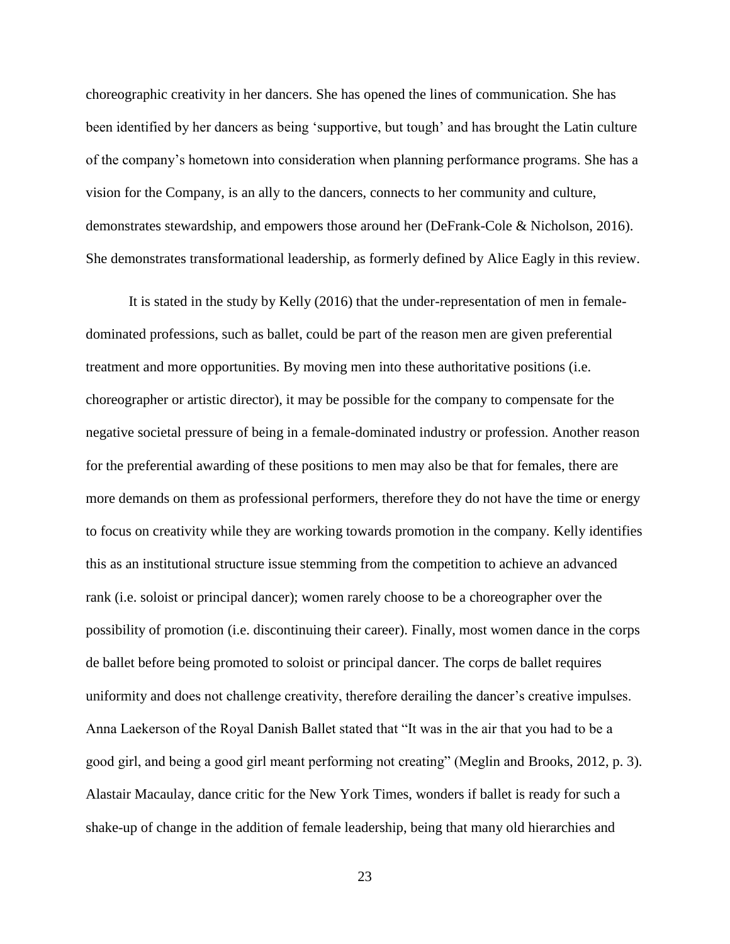choreographic creativity in her dancers. She has opened the lines of communication. She has been identified by her dancers as being 'supportive, but tough' and has brought the Latin culture of the company's hometown into consideration when planning performance programs. She has a vision for the Company, is an ally to the dancers, connects to her community and culture, demonstrates stewardship, and empowers those around her (DeFrank-Cole & Nicholson, 2016). She demonstrates transformational leadership, as formerly defined by Alice Eagly in this review.

It is stated in the study by Kelly (2016) that the under-representation of men in femaledominated professions, such as ballet, could be part of the reason men are given preferential treatment and more opportunities. By moving men into these authoritative positions (i.e. choreographer or artistic director), it may be possible for the company to compensate for the negative societal pressure of being in a female-dominated industry or profession. Another reason for the preferential awarding of these positions to men may also be that for females, there are more demands on them as professional performers, therefore they do not have the time or energy to focus on creativity while they are working towards promotion in the company. Kelly identifies this as an institutional structure issue stemming from the competition to achieve an advanced rank (i.e. soloist or principal dancer); women rarely choose to be a choreographer over the possibility of promotion (i.e. discontinuing their career). Finally, most women dance in the corps de ballet before being promoted to soloist or principal dancer. The corps de ballet requires uniformity and does not challenge creativity, therefore derailing the dancer's creative impulses. Anna Laekerson of the Royal Danish Ballet stated that "It was in the air that you had to be a good girl, and being a good girl meant performing not creating" (Meglin and Brooks, 2012, p. 3). Alastair Macaulay, dance critic for the New York Times, wonders if ballet is ready for such a shake-up of change in the addition of female leadership, being that many old hierarchies and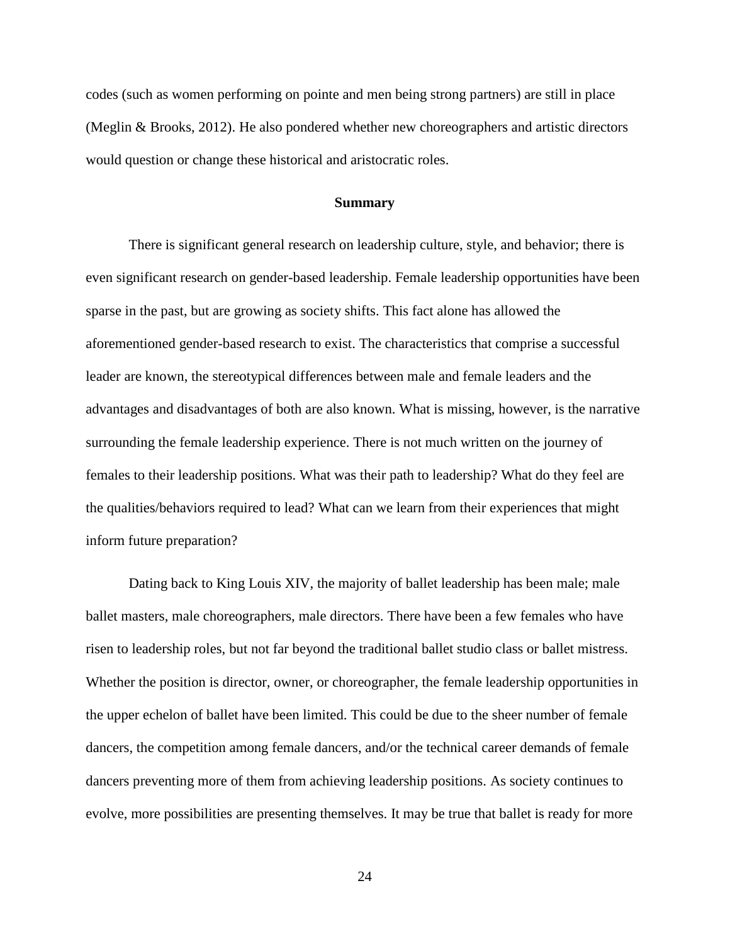codes (such as women performing on pointe and men being strong partners) are still in place (Meglin & Brooks, 2012). He also pondered whether new choreographers and artistic directors would question or change these historical and aristocratic roles.

#### **Summary**

There is significant general research on leadership culture, style, and behavior; there is even significant research on gender-based leadership. Female leadership opportunities have been sparse in the past, but are growing as society shifts. This fact alone has allowed the aforementioned gender-based research to exist. The characteristics that comprise a successful leader are known, the stereotypical differences between male and female leaders and the advantages and disadvantages of both are also known. What is missing, however, is the narrative surrounding the female leadership experience. There is not much written on the journey of females to their leadership positions. What was their path to leadership? What do they feel are the qualities/behaviors required to lead? What can we learn from their experiences that might inform future preparation?

Dating back to King Louis XIV, the majority of ballet leadership has been male; male ballet masters, male choreographers, male directors. There have been a few females who have risen to leadership roles, but not far beyond the traditional ballet studio class or ballet mistress. Whether the position is director, owner, or choreographer, the female leadership opportunities in the upper echelon of ballet have been limited. This could be due to the sheer number of female dancers, the competition among female dancers, and/or the technical career demands of female dancers preventing more of them from achieving leadership positions. As society continues to evolve, more possibilities are presenting themselves. It may be true that ballet is ready for more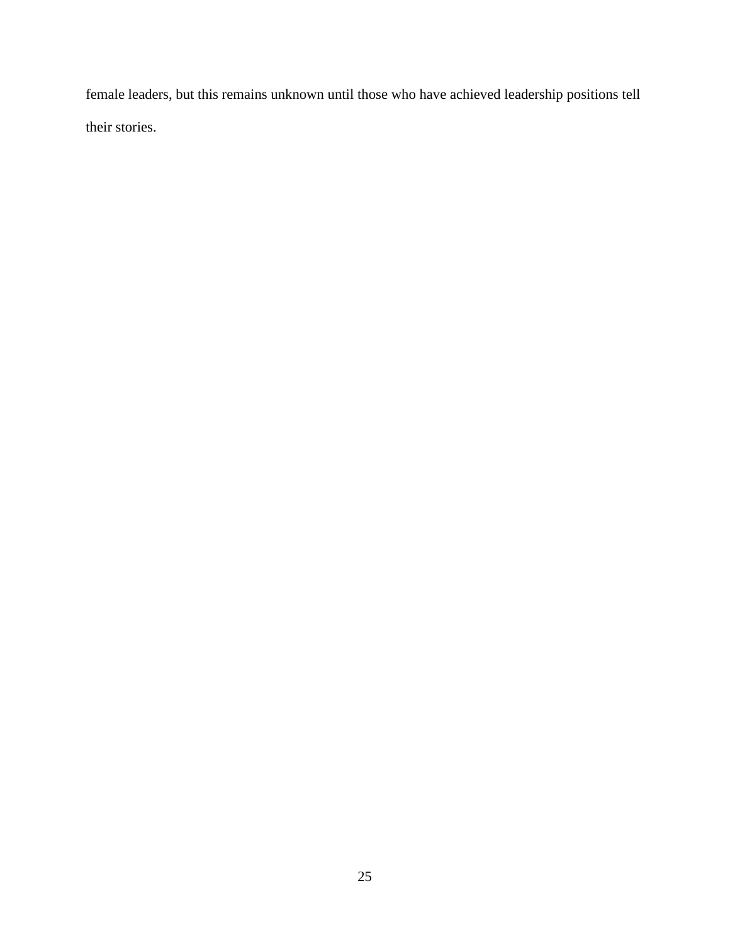female leaders, but this remains unknown until those who have achieved leadership positions tell their stories.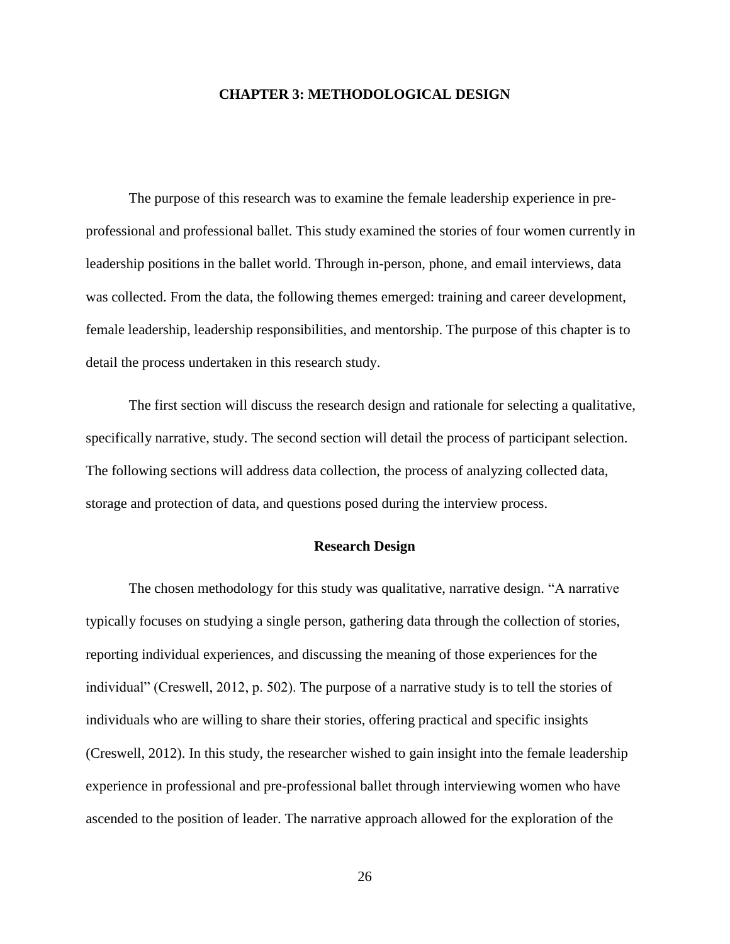# **CHAPTER 3: METHODOLOGICAL DESIGN**

The purpose of this research was to examine the female leadership experience in preprofessional and professional ballet. This study examined the stories of four women currently in leadership positions in the ballet world. Through in-person, phone, and email interviews, data was collected. From the data, the following themes emerged: training and career development, female leadership, leadership responsibilities, and mentorship. The purpose of this chapter is to detail the process undertaken in this research study.

The first section will discuss the research design and rationale for selecting a qualitative, specifically narrative, study. The second section will detail the process of participant selection. The following sections will address data collection, the process of analyzing collected data, storage and protection of data, and questions posed during the interview process.

# **Research Design**

The chosen methodology for this study was qualitative, narrative design. "A narrative typically focuses on studying a single person, gathering data through the collection of stories, reporting individual experiences, and discussing the meaning of those experiences for the individual" (Creswell, 2012, p. 502). The purpose of a narrative study is to tell the stories of individuals who are willing to share their stories, offering practical and specific insights (Creswell, 2012). In this study, the researcher wished to gain insight into the female leadership experience in professional and pre-professional ballet through interviewing women who have ascended to the position of leader. The narrative approach allowed for the exploration of the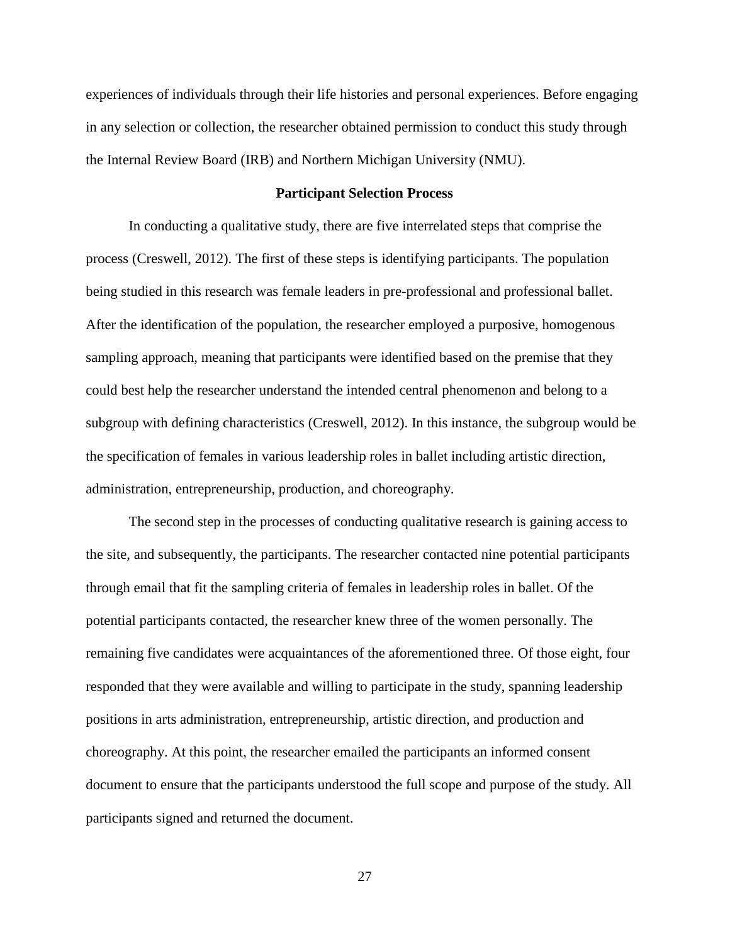experiences of individuals through their life histories and personal experiences. Before engaging in any selection or collection, the researcher obtained permission to conduct this study through the Internal Review Board (IRB) and Northern Michigan University (NMU).

# **Participant Selection Process**

In conducting a qualitative study, there are five interrelated steps that comprise the process (Creswell, 2012). The first of these steps is identifying participants. The population being studied in this research was female leaders in pre-professional and professional ballet. After the identification of the population, the researcher employed a purposive, homogenous sampling approach, meaning that participants were identified based on the premise that they could best help the researcher understand the intended central phenomenon and belong to a subgroup with defining characteristics (Creswell, 2012). In this instance, the subgroup would be the specification of females in various leadership roles in ballet including artistic direction, administration, entrepreneurship, production, and choreography.

The second step in the processes of conducting qualitative research is gaining access to the site, and subsequently, the participants. The researcher contacted nine potential participants through email that fit the sampling criteria of females in leadership roles in ballet. Of the potential participants contacted, the researcher knew three of the women personally. The remaining five candidates were acquaintances of the aforementioned three. Of those eight, four responded that they were available and willing to participate in the study, spanning leadership positions in arts administration, entrepreneurship, artistic direction, and production and choreography. At this point, the researcher emailed the participants an informed consent document to ensure that the participants understood the full scope and purpose of the study. All participants signed and returned the document.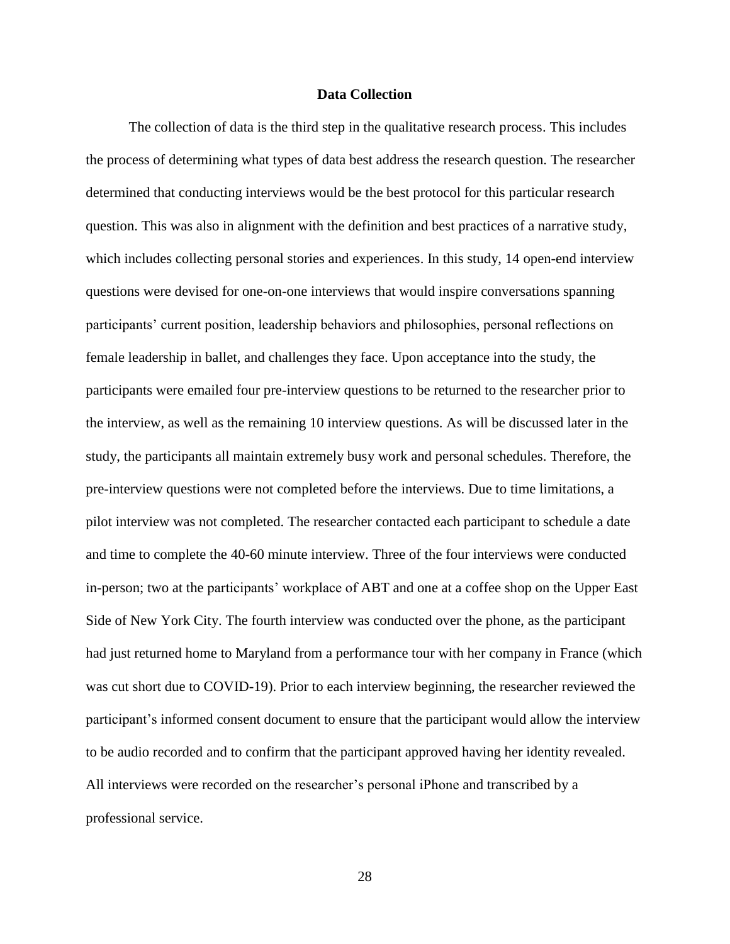# **Data Collection**

The collection of data is the third step in the qualitative research process. This includes the process of determining what types of data best address the research question. The researcher determined that conducting interviews would be the best protocol for this particular research question. This was also in alignment with the definition and best practices of a narrative study, which includes collecting personal stories and experiences. In this study, 14 open-end interview questions were devised for one-on-one interviews that would inspire conversations spanning participants' current position, leadership behaviors and philosophies, personal reflections on female leadership in ballet, and challenges they face. Upon acceptance into the study, the participants were emailed four pre-interview questions to be returned to the researcher prior to the interview, as well as the remaining 10 interview questions. As will be discussed later in the study, the participants all maintain extremely busy work and personal schedules. Therefore, the pre-interview questions were not completed before the interviews. Due to time limitations, a pilot interview was not completed. The researcher contacted each participant to schedule a date and time to complete the 40-60 minute interview. Three of the four interviews were conducted in-person; two at the participants' workplace of ABT and one at a coffee shop on the Upper East Side of New York City. The fourth interview was conducted over the phone, as the participant had just returned home to Maryland from a performance tour with her company in France (which was cut short due to COVID-19). Prior to each interview beginning, the researcher reviewed the participant's informed consent document to ensure that the participant would allow the interview to be audio recorded and to confirm that the participant approved having her identity revealed. All interviews were recorded on the researcher's personal iPhone and transcribed by a professional service.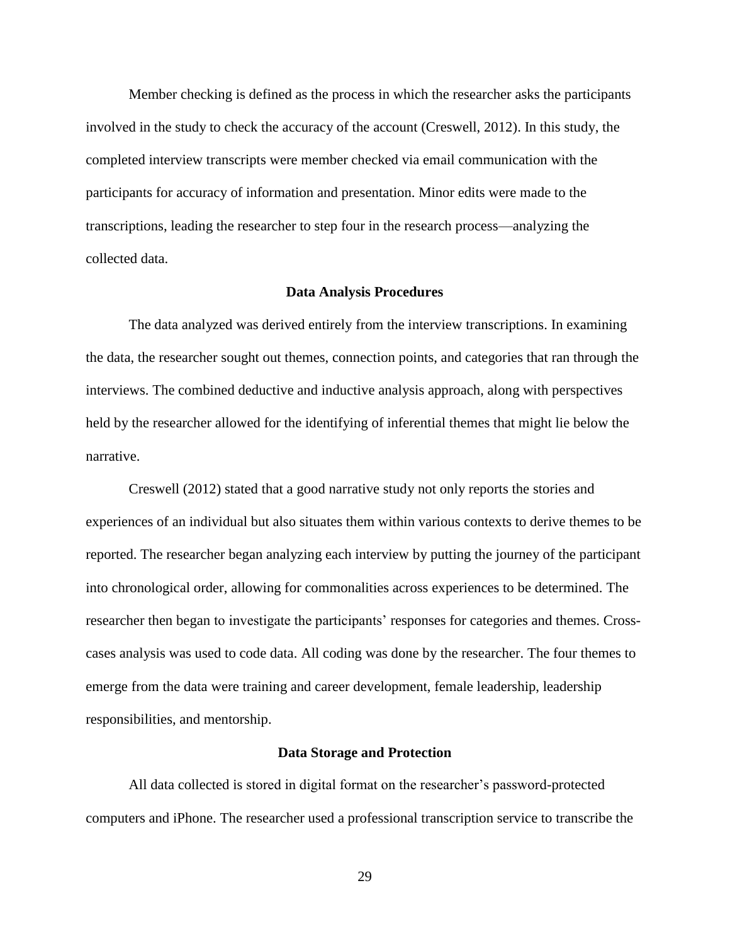Member checking is defined as the process in which the researcher asks the participants involved in the study to check the accuracy of the account (Creswell, 2012). In this study, the completed interview transcripts were member checked via email communication with the participants for accuracy of information and presentation. Minor edits were made to the transcriptions, leading the researcher to step four in the research process—analyzing the collected data.

### **Data Analysis Procedures**

The data analyzed was derived entirely from the interview transcriptions. In examining the data, the researcher sought out themes, connection points, and categories that ran through the interviews. The combined deductive and inductive analysis approach, along with perspectives held by the researcher allowed for the identifying of inferential themes that might lie below the narrative.

Creswell (2012) stated that a good narrative study not only reports the stories and experiences of an individual but also situates them within various contexts to derive themes to be reported. The researcher began analyzing each interview by putting the journey of the participant into chronological order, allowing for commonalities across experiences to be determined. The researcher then began to investigate the participants' responses for categories and themes. Crosscases analysis was used to code data. All coding was done by the researcher. The four themes to emerge from the data were training and career development, female leadership, leadership responsibilities, and mentorship.

#### **Data Storage and Protection**

All data collected is stored in digital format on the researcher's password-protected computers and iPhone. The researcher used a professional transcription service to transcribe the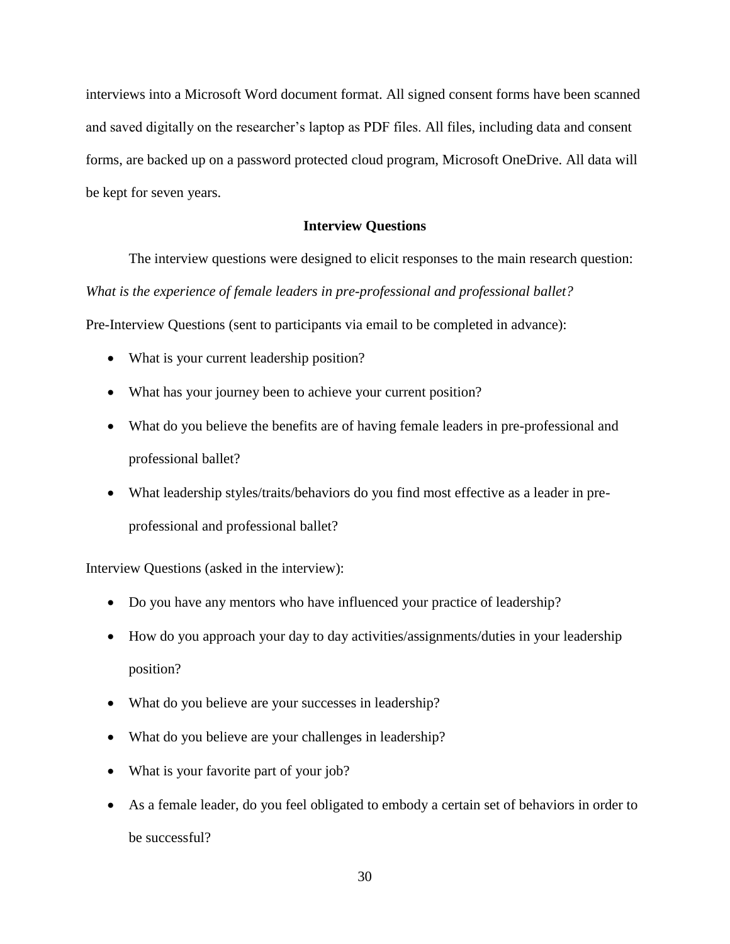interviews into a Microsoft Word document format. All signed consent forms have been scanned and saved digitally on the researcher's laptop as PDF files. All files, including data and consent forms, are backed up on a password protected cloud program, Microsoft OneDrive. All data will be kept for seven years.

# **Interview Questions**

The interview questions were designed to elicit responses to the main research question: *What is the experience of female leaders in pre-professional and professional ballet?* Pre-Interview Questions (sent to participants via email to be completed in advance):

- What is your current leadership position?
- What has your journey been to achieve your current position?
- What do you believe the benefits are of having female leaders in pre-professional and professional ballet?
- What leadership styles/traits/behaviors do you find most effective as a leader in preprofessional and professional ballet?

Interview Questions (asked in the interview):

- Do you have any mentors who have influenced your practice of leadership?
- How do you approach your day to day activities/assignments/duties in your leadership position?
- What do you believe are your successes in leadership?
- What do you believe are your challenges in leadership?
- What is your favorite part of your job?
- As a female leader, do you feel obligated to embody a certain set of behaviors in order to be successful?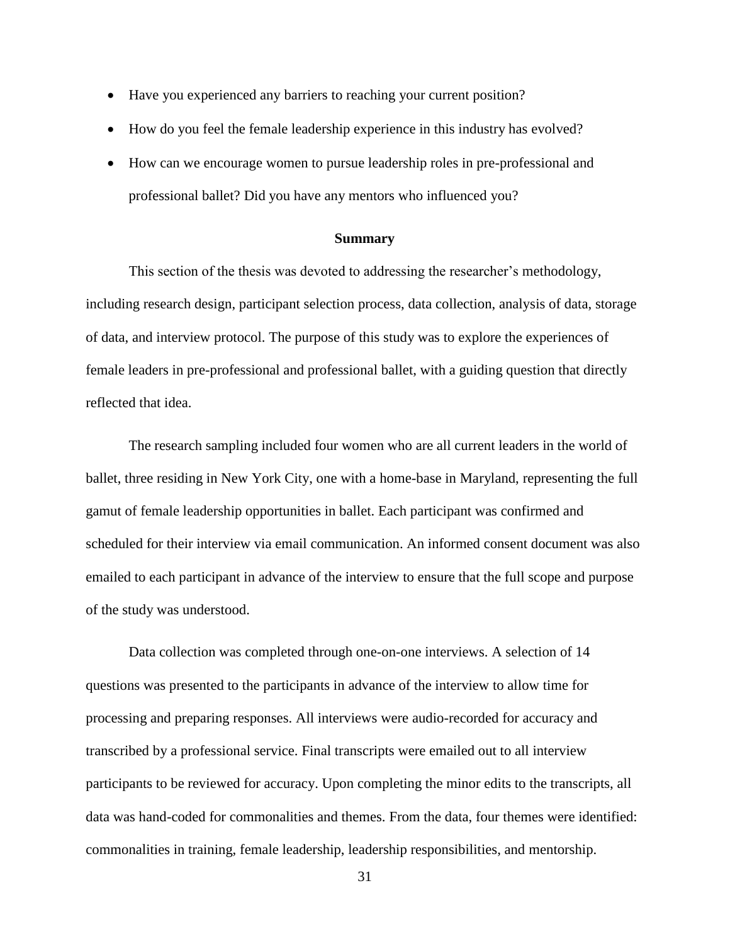- Have you experienced any barriers to reaching your current position?
- How do you feel the female leadership experience in this industry has evolved?
- How can we encourage women to pursue leadership roles in pre-professional and professional ballet? Did you have any mentors who influenced you?

# **Summary**

This section of the thesis was devoted to addressing the researcher's methodology, including research design, participant selection process, data collection, analysis of data, storage of data, and interview protocol. The purpose of this study was to explore the experiences of female leaders in pre-professional and professional ballet, with a guiding question that directly reflected that idea.

The research sampling included four women who are all current leaders in the world of ballet, three residing in New York City, one with a home-base in Maryland, representing the full gamut of female leadership opportunities in ballet. Each participant was confirmed and scheduled for their interview via email communication. An informed consent document was also emailed to each participant in advance of the interview to ensure that the full scope and purpose of the study was understood.

Data collection was completed through one-on-one interviews. A selection of 14 questions was presented to the participants in advance of the interview to allow time for processing and preparing responses. All interviews were audio-recorded for accuracy and transcribed by a professional service. Final transcripts were emailed out to all interview participants to be reviewed for accuracy. Upon completing the minor edits to the transcripts, all data was hand-coded for commonalities and themes. From the data, four themes were identified: commonalities in training, female leadership, leadership responsibilities, and mentorship.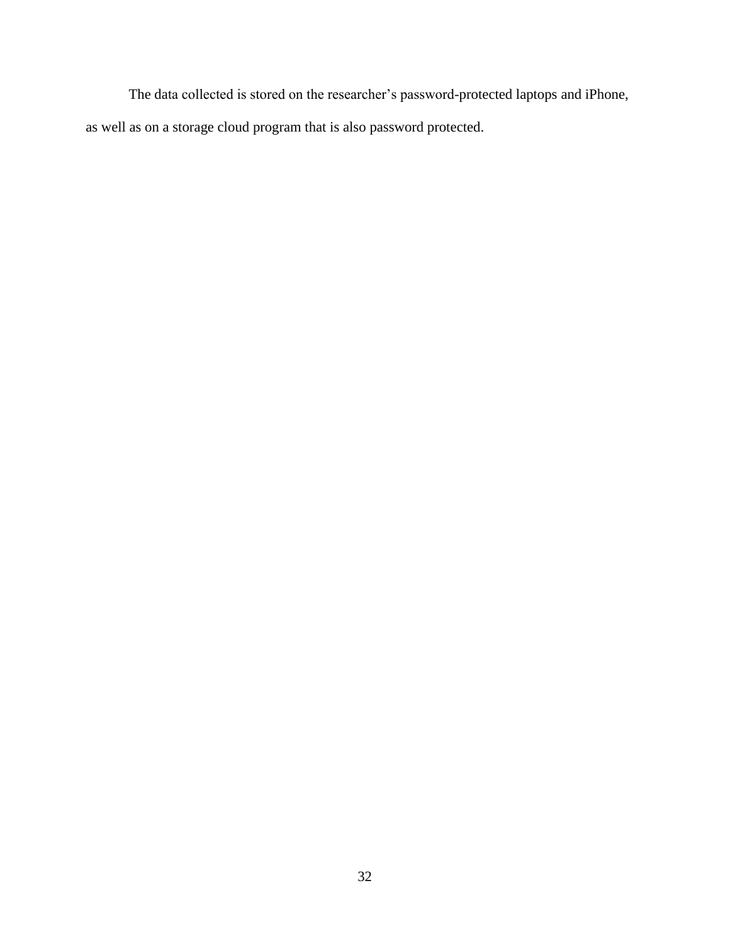The data collected is stored on the researcher's password-protected laptops and iPhone, as well as on a storage cloud program that is also password protected.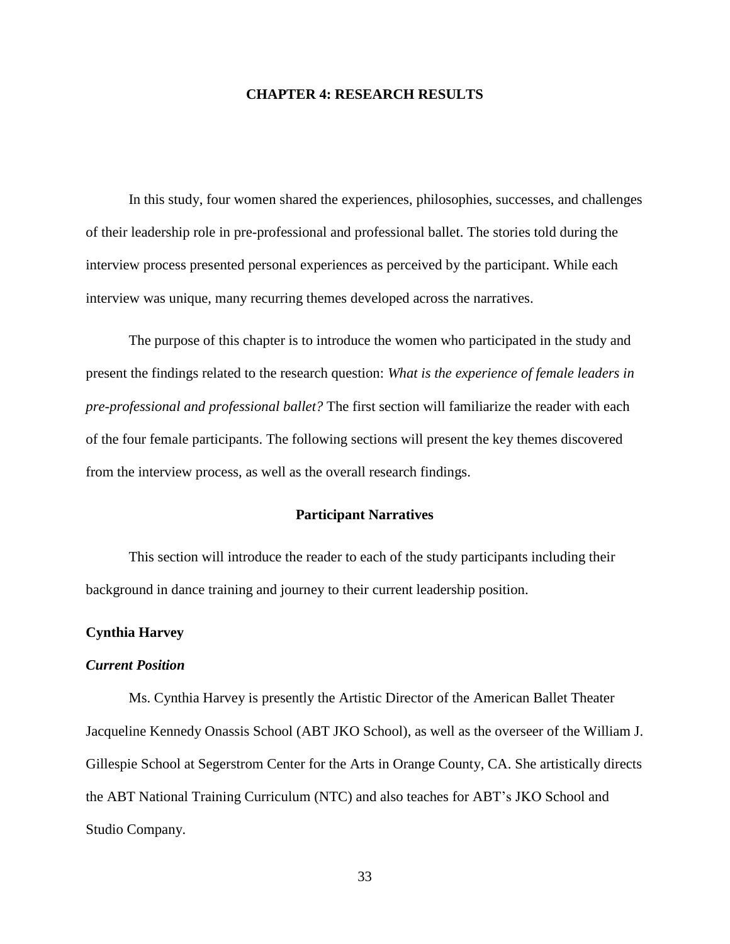# **CHAPTER 4: RESEARCH RESULTS**

In this study, four women shared the experiences, philosophies, successes, and challenges of their leadership role in pre-professional and professional ballet. The stories told during the interview process presented personal experiences as perceived by the participant. While each interview was unique, many recurring themes developed across the narratives.

The purpose of this chapter is to introduce the women who participated in the study and present the findings related to the research question: *What is the experience of female leaders in pre-professional and professional ballet?* The first section will familiarize the reader with each of the four female participants. The following sections will present the key themes discovered from the interview process, as well as the overall research findings.

# **Participant Narratives**

This section will introduce the reader to each of the study participants including their background in dance training and journey to their current leadership position.

# **Cynthia Harvey**

### *Current Position*

Ms. Cynthia Harvey is presently the Artistic Director of the American Ballet Theater Jacqueline Kennedy Onassis School (ABT JKO School), as well as the overseer of the William J. Gillespie School at Segerstrom Center for the Arts in Orange County, CA. She artistically directs the ABT National Training Curriculum (NTC) and also teaches for ABT's JKO School and Studio Company.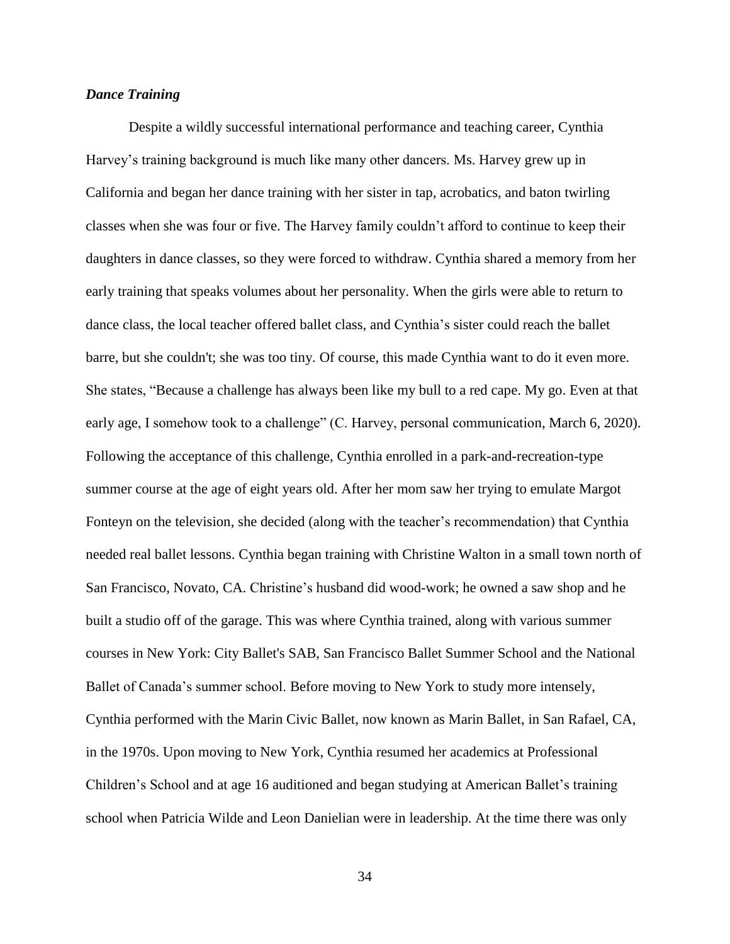# *Dance Training*

Despite a wildly successful international performance and teaching career, Cynthia Harvey's training background is much like many other dancers. Ms. Harvey grew up in California and began her dance training with her sister in tap, acrobatics, and baton twirling classes when she was four or five. The Harvey family couldn't afford to continue to keep their daughters in dance classes, so they were forced to withdraw. Cynthia shared a memory from her early training that speaks volumes about her personality. When the girls were able to return to dance class, the local teacher offered ballet class, and Cynthia's sister could reach the ballet barre, but she couldn't; she was too tiny. Of course, this made Cynthia want to do it even more. She states, "Because a challenge has always been like my bull to a red cape. My go. Even at that early age, I somehow took to a challenge" (C. Harvey, personal communication, March 6, 2020). Following the acceptance of this challenge, Cynthia enrolled in a park-and-recreation-type summer course at the age of eight years old. After her mom saw her trying to emulate Margot Fonteyn on the television, she decided (along with the teacher's recommendation) that Cynthia needed real ballet lessons. Cynthia began training with Christine Walton in a small town north of San Francisco, Novato, CA. Christine's husband did wood-work; he owned a saw shop and he built a studio off of the garage. This was where Cynthia trained, along with various summer courses in New York: City Ballet's SAB, San Francisco Ballet Summer School and the National Ballet of Canada's summer school. Before moving to New York to study more intensely, Cynthia performed with the Marin Civic Ballet, now known as Marin Ballet, in San Rafael, CA, in the 1970s. Upon moving to New York, Cynthia resumed her academics at Professional Children's School and at age 16 auditioned and began studying at American Ballet's training school when Patricia Wilde and Leon Danielian were in leadership. At the time there was only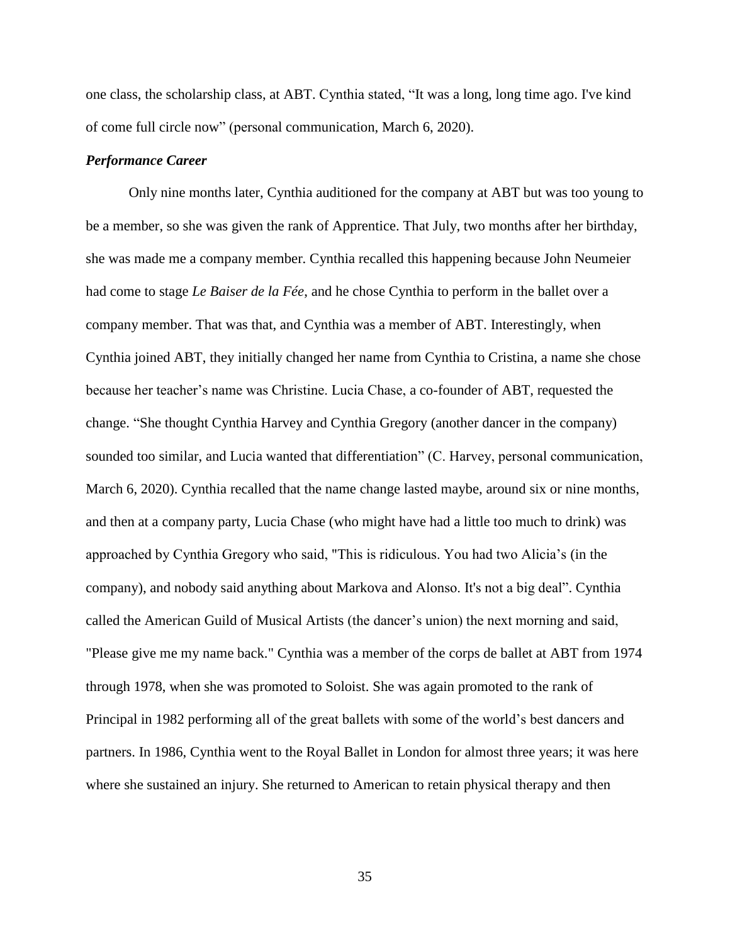one class, the scholarship class, at ABT. Cynthia stated, "It was a long, long time ago. I've kind of come full circle now" (personal communication, March 6, 2020).

## *Performance Career*

Only nine months later, Cynthia auditioned for the company at ABT but was too young to be a member, so she was given the rank of Apprentice. That July, two months after her birthday, she was made me a company member. Cynthia recalled this happening because John Neumeier had come to stage *Le Baiser de la Fée*, and he chose Cynthia to perform in the ballet over a company member. That was that, and Cynthia was a member of ABT. Interestingly, when Cynthia joined ABT, they initially changed her name from Cynthia to Cristina, a name she chose because her teacher's name was Christine. Lucia Chase, a co-founder of ABT, requested the change. "She thought Cynthia Harvey and Cynthia Gregory (another dancer in the company) sounded too similar, and Lucia wanted that differentiation" (C. Harvey, personal communication, March 6, 2020). Cynthia recalled that the name change lasted maybe, around six or nine months, and then at a company party, Lucia Chase (who might have had a little too much to drink) was approached by Cynthia Gregory who said, "This is ridiculous. You had two Alicia's (in the company), and nobody said anything about Markova and Alonso. It's not a big deal". Cynthia called the American Guild of Musical Artists (the dancer's union) the next morning and said, "Please give me my name back." Cynthia was a member of the corps de ballet at ABT from 1974 through 1978, when she was promoted to Soloist. She was again promoted to the rank of Principal in 1982 performing all of the great ballets with some of the world's best dancers and partners. In 1986, Cynthia went to the Royal Ballet in London for almost three years; it was here where she sustained an injury. She returned to American to retain physical therapy and then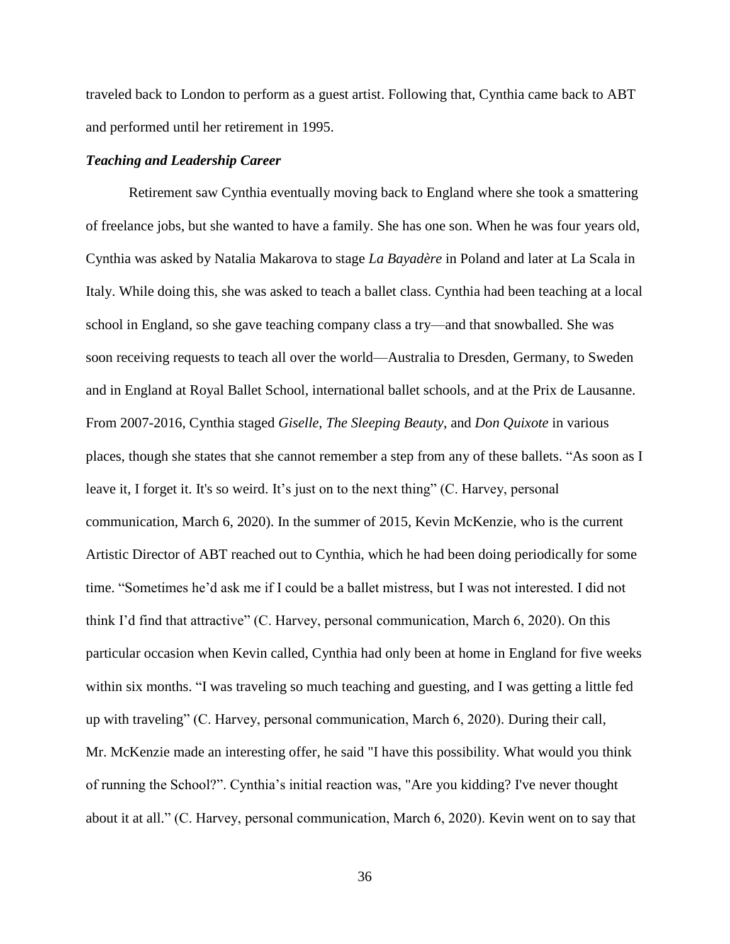traveled back to London to perform as a guest artist. Following that, Cynthia came back to ABT and performed until her retirement in 1995.

# *Teaching and Leadership Career*

Retirement saw Cynthia eventually moving back to England where she took a smattering of freelance jobs, but she wanted to have a family. She has one son. When he was four years old, Cynthia was asked by Natalia Makarova to stage *La Bayadère* in Poland and later at La Scala in Italy. While doing this, she was asked to teach a ballet class. Cynthia had been teaching at a local school in England, so she gave teaching company class a try—and that snowballed. She was soon receiving requests to teach all over the world—Australia to Dresden, Germany, to Sweden and in England at Royal Ballet School, international ballet schools, and at the Prix de Lausanne. From 2007-2016, Cynthia staged *Giselle*, *The Sleeping Beauty*, and *Don Quixote* in various places, though she states that she cannot remember a step from any of these ballets. "As soon as I leave it, I forget it. It's so weird. It's just on to the next thing" (C. Harvey, personal communication, March 6, 2020). In the summer of 2015, Kevin McKenzie, who is the current Artistic Director of ABT reached out to Cynthia, which he had been doing periodically for some time. "Sometimes he'd ask me if I could be a ballet mistress, but I was not interested. I did not think I'd find that attractive" (C. Harvey, personal communication, March 6, 2020). On this particular occasion when Kevin called, Cynthia had only been at home in England for five weeks within six months. "I was traveling so much teaching and guesting, and I was getting a little fed up with traveling" (C. Harvey, personal communication, March 6, 2020). During their call, Mr. McKenzie made an interesting offer, he said "I have this possibility. What would you think of running the School?". Cynthia's initial reaction was, "Are you kidding? I've never thought about it at all." (C. Harvey, personal communication, March 6, 2020). Kevin went on to say that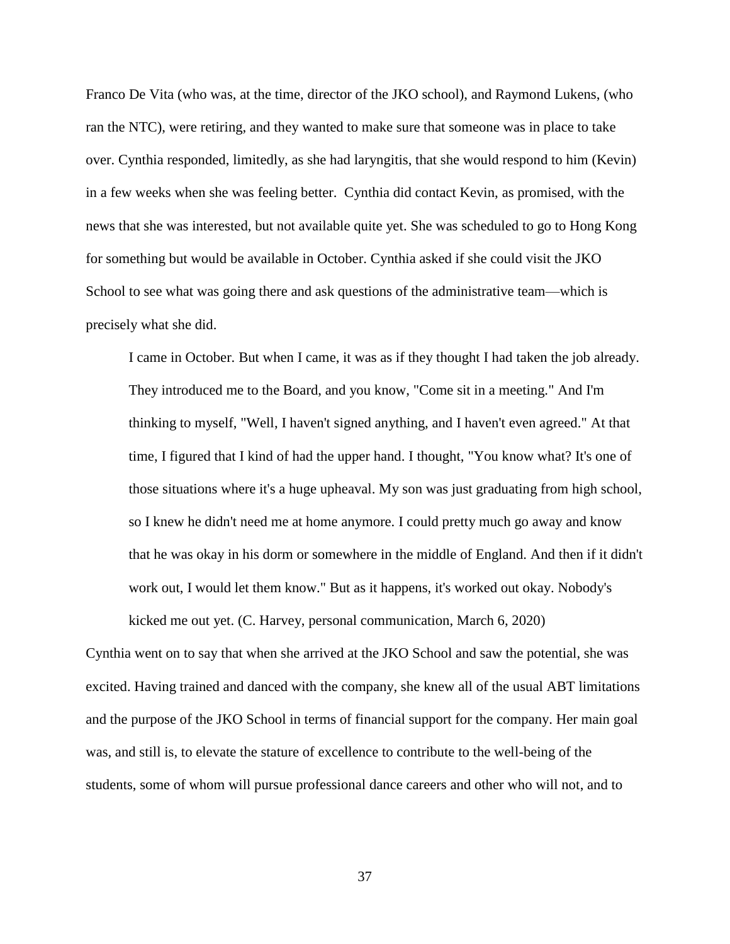Franco De Vita (who was, at the time, director of the JKO school), and Raymond Lukens, (who ran the NTC), were retiring, and they wanted to make sure that someone was in place to take over. Cynthia responded, limitedly, as she had laryngitis, that she would respond to him (Kevin) in a few weeks when she was feeling better. Cynthia did contact Kevin, as promised, with the news that she was interested, but not available quite yet. She was scheduled to go to Hong Kong for something but would be available in October. Cynthia asked if she could visit the JKO School to see what was going there and ask questions of the administrative team—which is precisely what she did.

I came in October. But when I came, it was as if they thought I had taken the job already. They introduced me to the Board, and you know, "Come sit in a meeting." And I'm thinking to myself, "Well, I haven't signed anything, and I haven't even agreed." At that time, I figured that I kind of had the upper hand. I thought, "You know what? It's one of those situations where it's a huge upheaval. My son was just graduating from high school, so I knew he didn't need me at home anymore. I could pretty much go away and know that he was okay in his dorm or somewhere in the middle of England. And then if it didn't work out, I would let them know." But as it happens, it's worked out okay. Nobody's kicked me out yet. (C. Harvey, personal communication, March 6, 2020)

Cynthia went on to say that when she arrived at the JKO School and saw the potential, she was excited. Having trained and danced with the company, she knew all of the usual ABT limitations and the purpose of the JKO School in terms of financial support for the company. Her main goal was, and still is, to elevate the stature of excellence to contribute to the well-being of the students, some of whom will pursue professional dance careers and other who will not, and to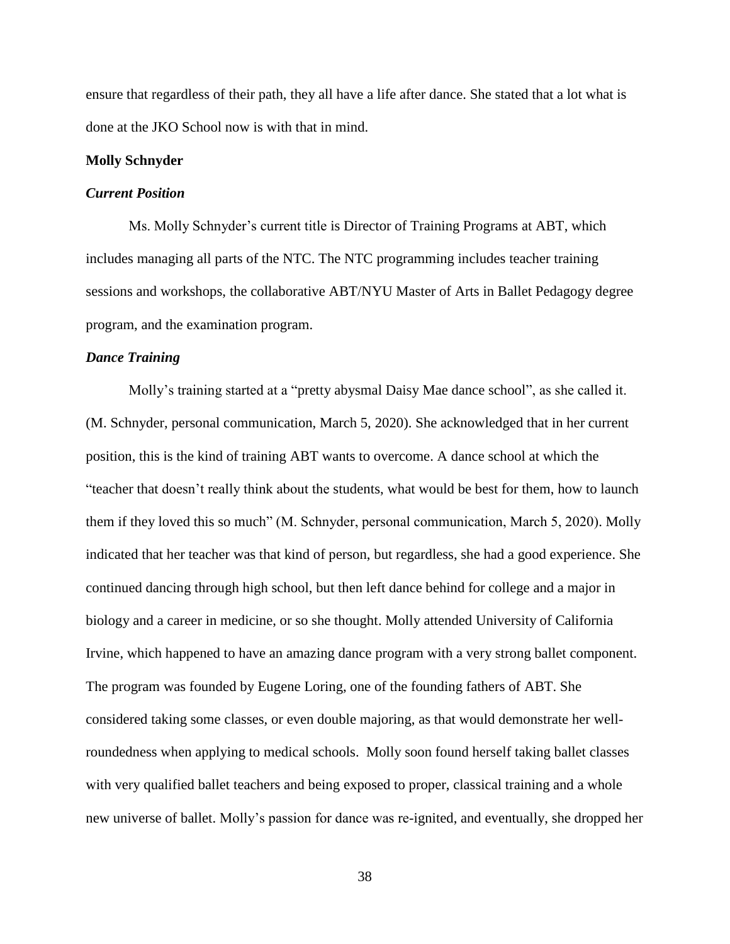ensure that regardless of their path, they all have a life after dance. She stated that a lot what is done at the JKO School now is with that in mind.

#### **Molly Schnyder**

### *Current Position*

Ms. Molly Schnyder's current title is Director of Training Programs at ABT, which includes managing all parts of the NTC. The NTC programming includes teacher training sessions and workshops, the collaborative ABT/NYU Master of Arts in Ballet Pedagogy degree program, and the examination program.

# *Dance Training*

Molly's training started at a "pretty abysmal Daisy Mae dance school", as she called it. (M. Schnyder, personal communication, March 5, 2020). She acknowledged that in her current position, this is the kind of training ABT wants to overcome. A dance school at which the "teacher that doesn't really think about the students, what would be best for them, how to launch them if they loved this so much" (M. Schnyder, personal communication, March 5, 2020). Molly indicated that her teacher was that kind of person, but regardless, she had a good experience. She continued dancing through high school, but then left dance behind for college and a major in biology and a career in medicine, or so she thought. Molly attended University of California Irvine, which happened to have an amazing dance program with a very strong ballet component. The program was founded by Eugene Loring, one of the founding fathers of ABT. She considered taking some classes, or even double majoring, as that would demonstrate her wellroundedness when applying to medical schools. Molly soon found herself taking ballet classes with very qualified ballet teachers and being exposed to proper, classical training and a whole new universe of ballet. Molly's passion for dance was re-ignited, and eventually, she dropped her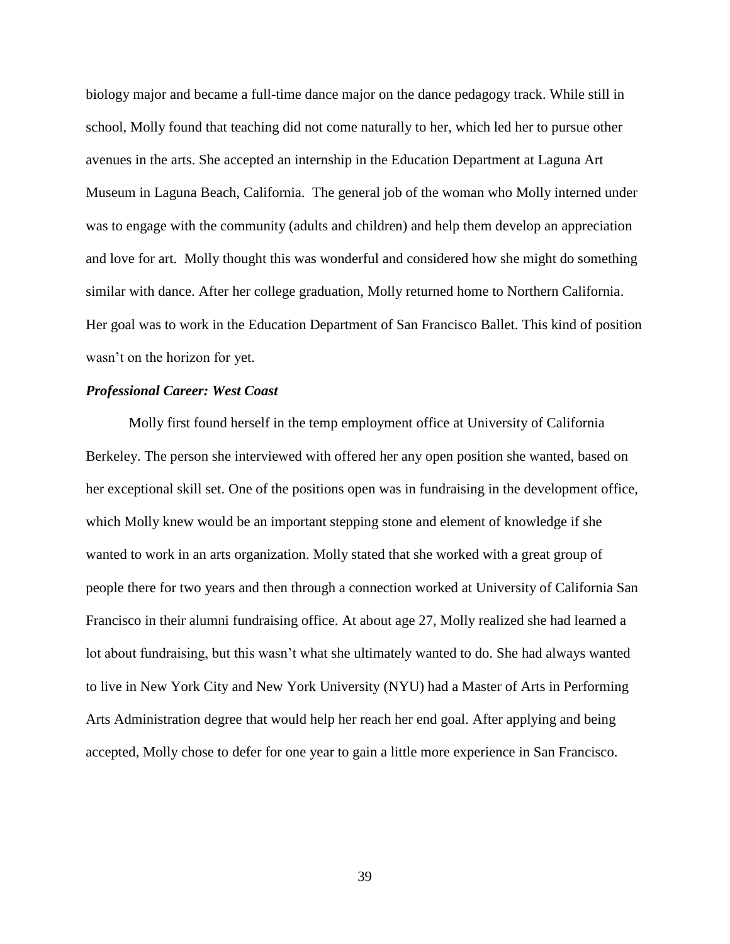biology major and became a full-time dance major on the dance pedagogy track. While still in school, Molly found that teaching did not come naturally to her, which led her to pursue other avenues in the arts. She accepted an internship in the Education Department at Laguna Art Museum in Laguna Beach, California. The general job of the woman who Molly interned under was to engage with the community (adults and children) and help them develop an appreciation and love for art. Molly thought this was wonderful and considered how she might do something similar with dance. After her college graduation, Molly returned home to Northern California. Her goal was to work in the Education Department of San Francisco Ballet. This kind of position wasn't on the horizon for yet.

#### *Professional Career: West Coast*

Molly first found herself in the temp employment office at University of California Berkeley. The person she interviewed with offered her any open position she wanted, based on her exceptional skill set. One of the positions open was in fundraising in the development office, which Molly knew would be an important stepping stone and element of knowledge if she wanted to work in an arts organization. Molly stated that she worked with a great group of people there for two years and then through a connection worked at University of California San Francisco in their alumni fundraising office. At about age 27, Molly realized she had learned a lot about fundraising, but this wasn't what she ultimately wanted to do. She had always wanted to live in New York City and New York University (NYU) had a Master of Arts in Performing Arts Administration degree that would help her reach her end goal. After applying and being accepted, Molly chose to defer for one year to gain a little more experience in San Francisco.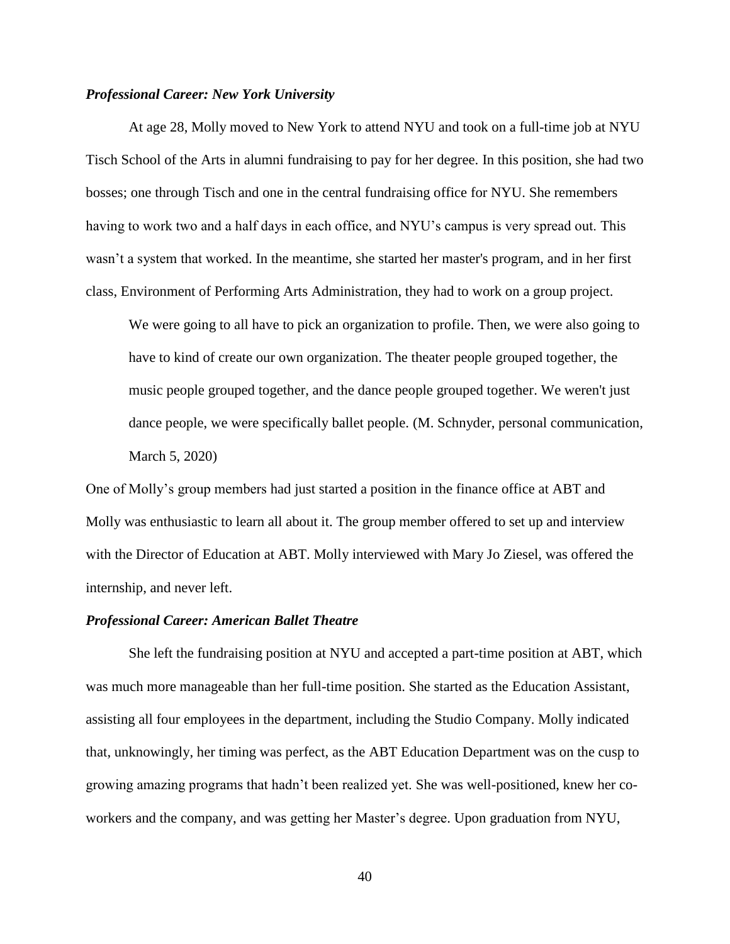# *Professional Career: New York University*

At age 28, Molly moved to New York to attend NYU and took on a full-time job at NYU Tisch School of the Arts in alumni fundraising to pay for her degree. In this position, she had two bosses; one through Tisch and one in the central fundraising office for NYU. She remembers having to work two and a half days in each office, and NYU's campus is very spread out. This wasn't a system that worked. In the meantime, she started her master's program, and in her first class, Environment of Performing Arts Administration, they had to work on a group project.

We were going to all have to pick an organization to profile. Then, we were also going to have to kind of create our own organization. The theater people grouped together, the music people grouped together, and the dance people grouped together. We weren't just dance people, we were specifically ballet people. (M. Schnyder, personal communication, March 5, 2020)

One of Molly's group members had just started a position in the finance office at ABT and Molly was enthusiastic to learn all about it. The group member offered to set up and interview with the Director of Education at ABT. Molly interviewed with Mary Jo Ziesel, was offered the internship, and never left.

### *Professional Career: American Ballet Theatre*

She left the fundraising position at NYU and accepted a part-time position at ABT, which was much more manageable than her full-time position. She started as the Education Assistant, assisting all four employees in the department, including the Studio Company. Molly indicated that, unknowingly, her timing was perfect, as the ABT Education Department was on the cusp to growing amazing programs that hadn't been realized yet. She was well-positioned, knew her coworkers and the company, and was getting her Master's degree. Upon graduation from NYU,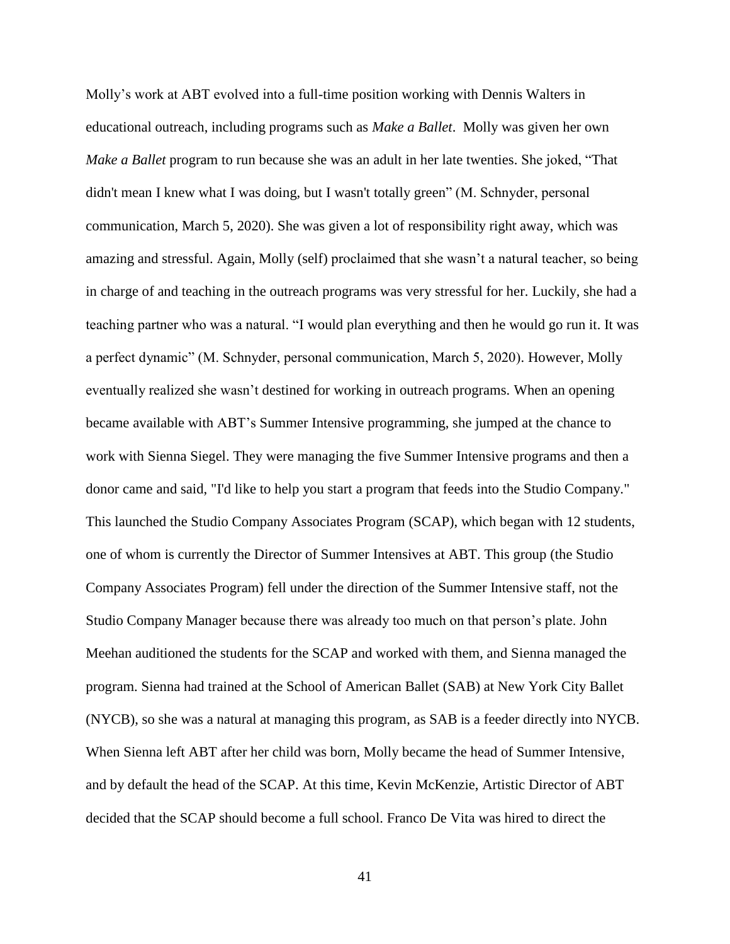Molly's work at ABT evolved into a full-time position working with Dennis Walters in educational outreach, including programs such as *Make a Ballet*. Molly was given her own *Make a Ballet* program to run because she was an adult in her late twenties. She joked, "That didn't mean I knew what I was doing, but I wasn't totally green" (M. Schnyder, personal communication, March 5, 2020). She was given a lot of responsibility right away, which was amazing and stressful. Again, Molly (self) proclaimed that she wasn't a natural teacher, so being in charge of and teaching in the outreach programs was very stressful for her. Luckily, she had a teaching partner who was a natural. "I would plan everything and then he would go run it. It was a perfect dynamic" (M. Schnyder, personal communication, March 5, 2020). However, Molly eventually realized she wasn't destined for working in outreach programs. When an opening became available with ABT's Summer Intensive programming, she jumped at the chance to work with Sienna Siegel. They were managing the five Summer Intensive programs and then a donor came and said, "I'd like to help you start a program that feeds into the Studio Company." This launched the Studio Company Associates Program (SCAP), which began with 12 students, one of whom is currently the Director of Summer Intensives at ABT. This group (the Studio Company Associates Program) fell under the direction of the Summer Intensive staff, not the Studio Company Manager because there was already too much on that person's plate. John Meehan auditioned the students for the SCAP and worked with them, and Sienna managed the program. Sienna had trained at the School of American Ballet (SAB) at New York City Ballet (NYCB), so she was a natural at managing this program, as SAB is a feeder directly into NYCB. When Sienna left ABT after her child was born, Molly became the head of Summer Intensive, and by default the head of the SCAP. At this time, Kevin McKenzie, Artistic Director of ABT decided that the SCAP should become a full school. Franco De Vita was hired to direct the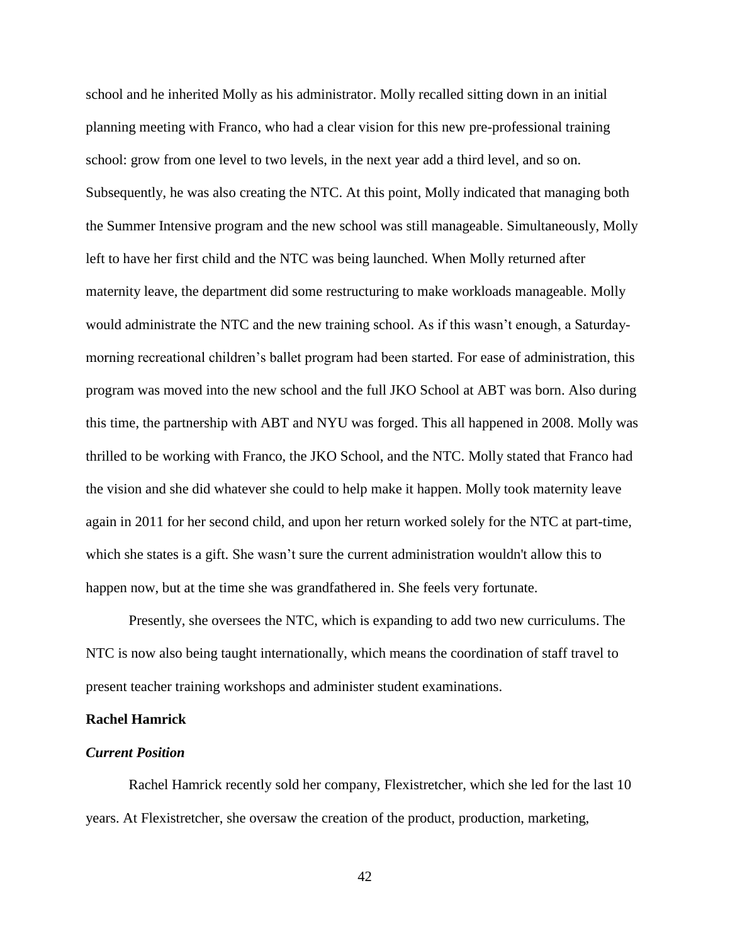school and he inherited Molly as his administrator. Molly recalled sitting down in an initial planning meeting with Franco, who had a clear vision for this new pre-professional training school: grow from one level to two levels, in the next year add a third level, and so on. Subsequently, he was also creating the NTC. At this point, Molly indicated that managing both the Summer Intensive program and the new school was still manageable. Simultaneously, Molly left to have her first child and the NTC was being launched. When Molly returned after maternity leave, the department did some restructuring to make workloads manageable. Molly would administrate the NTC and the new training school. As if this wasn't enough, a Saturdaymorning recreational children's ballet program had been started. For ease of administration, this program was moved into the new school and the full JKO School at ABT was born. Also during this time, the partnership with ABT and NYU was forged. This all happened in 2008. Molly was thrilled to be working with Franco, the JKO School, and the NTC. Molly stated that Franco had the vision and she did whatever she could to help make it happen. Molly took maternity leave again in 2011 for her second child, and upon her return worked solely for the NTC at part-time, which she states is a gift. She wasn't sure the current administration wouldn't allow this to happen now, but at the time she was grandfathered in. She feels very fortunate.

Presently, she oversees the NTC, which is expanding to add two new curriculums. The NTC is now also being taught internationally, which means the coordination of staff travel to present teacher training workshops and administer student examinations.

#### **Rachel Hamrick**

#### *Current Position*

Rachel Hamrick recently sold her company, Flexistretcher, which she led for the last 10 years. At Flexistretcher, she oversaw the creation of the product, production, marketing,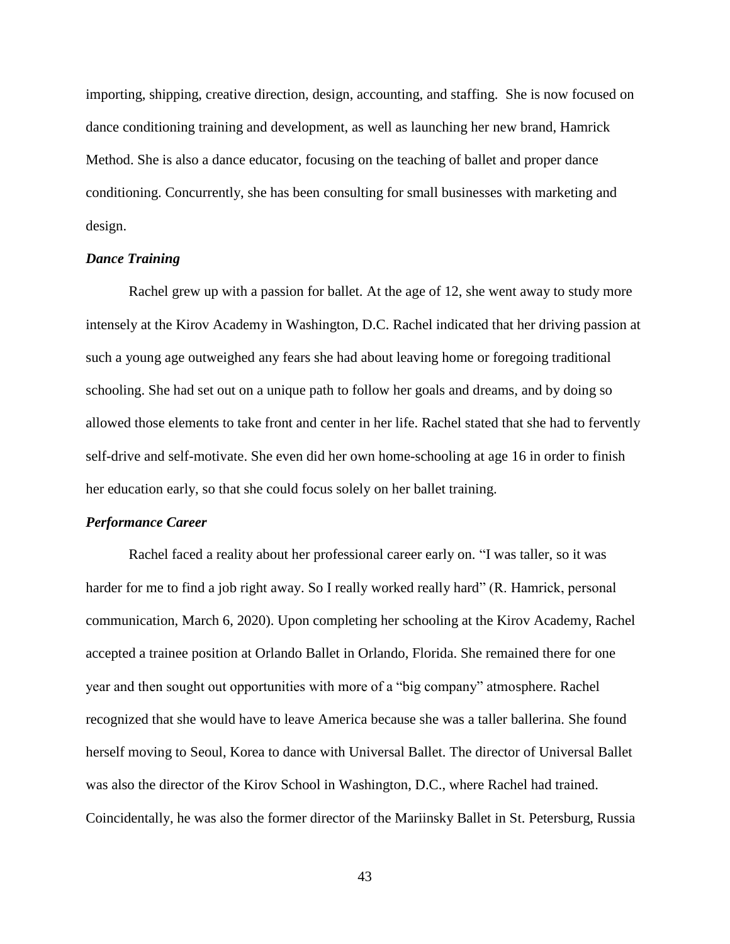importing, shipping, creative direction, design, accounting, and staffing. She is now focused on dance conditioning training and development, as well as launching her new brand, Hamrick Method. She is also a dance educator, focusing on the teaching of ballet and proper dance conditioning. Concurrently, she has been consulting for small businesses with marketing and design.

# *Dance Training*

Rachel grew up with a passion for ballet. At the age of 12, she went away to study more intensely at the Kirov Academy in Washington, D.C. Rachel indicated that her driving passion at such a young age outweighed any fears she had about leaving home or foregoing traditional schooling. She had set out on a unique path to follow her goals and dreams, and by doing so allowed those elements to take front and center in her life. Rachel stated that she had to fervently self-drive and self-motivate. She even did her own home-schooling at age 16 in order to finish her education early, so that she could focus solely on her ballet training.

#### *Performance Career*

Rachel faced a reality about her professional career early on. "I was taller, so it was harder for me to find a job right away. So I really worked really hard" (R. Hamrick, personal communication, March 6, 2020). Upon completing her schooling at the Kirov Academy, Rachel accepted a trainee position at Orlando Ballet in Orlando, Florida. She remained there for one year and then sought out opportunities with more of a "big company" atmosphere. Rachel recognized that she would have to leave America because she was a taller ballerina. She found herself moving to Seoul, Korea to dance with Universal Ballet. The director of Universal Ballet was also the director of the Kirov School in Washington, D.C., where Rachel had trained. Coincidentally, he was also the former director of the Mariinsky Ballet in St. Petersburg, Russia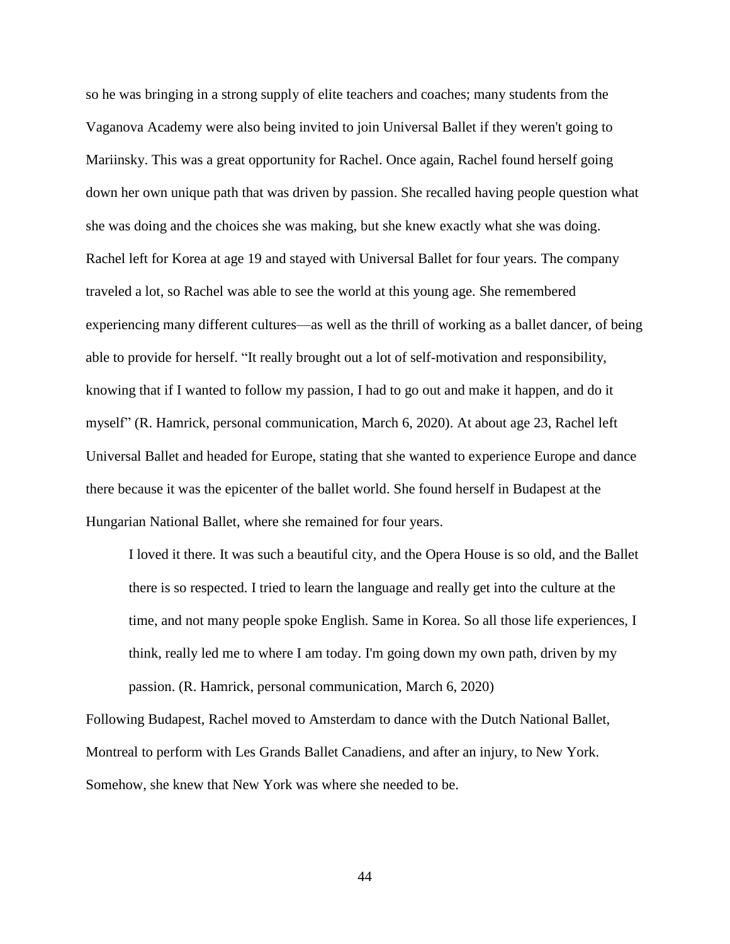so he was bringing in a strong supply of elite teachers and coaches; many students from the Vaganova Academy were also being invited to join Universal Ballet if they weren't going to Mariinsky. This was a great opportunity for Rachel. Once again, Rachel found herself going down her own unique path that was driven by passion. She recalled having people question what she was doing and the choices she was making, but she knew exactly what she was doing. Rachel left for Korea at age 19 and stayed with Universal Ballet for four years. The company traveled a lot, so Rachel was able to see the world at this young age. She remembered experiencing many different cultures—as well as the thrill of working as a ballet dancer, of being able to provide for herself. "It really brought out a lot of self-motivation and responsibility, knowing that if I wanted to follow my passion, I had to go out and make it happen, and do it myself" (R. Hamrick, personal communication, March 6, 2020). At about age 23, Rachel left Universal Ballet and headed for Europe, stating that she wanted to experience Europe and dance there because it was the epicenter of the ballet world. She found herself in Budapest at the Hungarian National Ballet, where she remained for four years.

I loved it there. It was such a beautiful city, and the Opera House is so old, and the Ballet there is so respected. I tried to learn the language and really get into the culture at the time, and not many people spoke English. Same in Korea. So all those life experiences, I think, really led me to where I am today. I'm going down my own path, driven by my passion. (R. Hamrick, personal communication, March 6, 2020)

Following Budapest, Rachel moved to Amsterdam to dance with the Dutch National Ballet, Montreal to perform with Les Grands Ballet Canadiens, and after an injury, to New York. Somehow, she knew that New York was where she needed to be.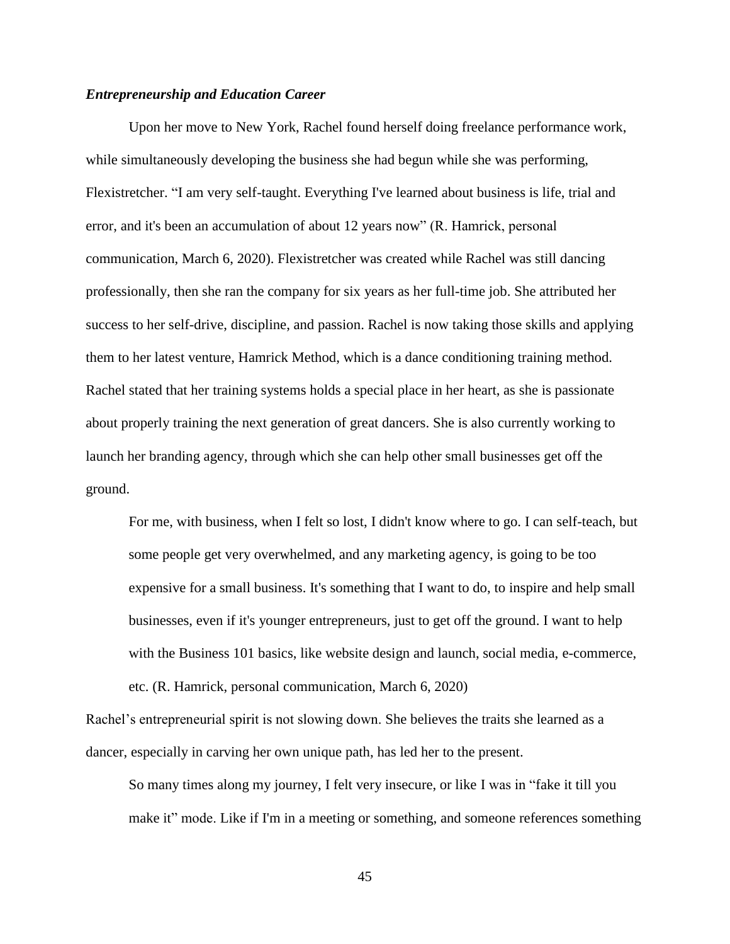# *Entrepreneurship and Education Career*

Upon her move to New York, Rachel found herself doing freelance performance work, while simultaneously developing the business she had begun while she was performing, Flexistretcher. "I am very self-taught. Everything I've learned about business is life, trial and error, and it's been an accumulation of about 12 years now" (R. Hamrick, personal communication, March 6, 2020). Flexistretcher was created while Rachel was still dancing professionally, then she ran the company for six years as her full-time job. She attributed her success to her self-drive, discipline, and passion. Rachel is now taking those skills and applying them to her latest venture, Hamrick Method, which is a dance conditioning training method. Rachel stated that her training systems holds a special place in her heart, as she is passionate about properly training the next generation of great dancers. She is also currently working to launch her branding agency, through which she can help other small businesses get off the ground.

For me, with business, when I felt so lost, I didn't know where to go. I can self-teach, but some people get very overwhelmed, and any marketing agency, is going to be too expensive for a small business. It's something that I want to do, to inspire and help small businesses, even if it's younger entrepreneurs, just to get off the ground. I want to help with the Business 101 basics, like website design and launch, social media, e-commerce, etc. (R. Hamrick, personal communication, March 6, 2020)

Rachel's entrepreneurial spirit is not slowing down. She believes the traits she learned as a dancer, especially in carving her own unique path, has led her to the present.

So many times along my journey, I felt very insecure, or like I was in "fake it till you make it" mode. Like if I'm in a meeting or something, and someone references something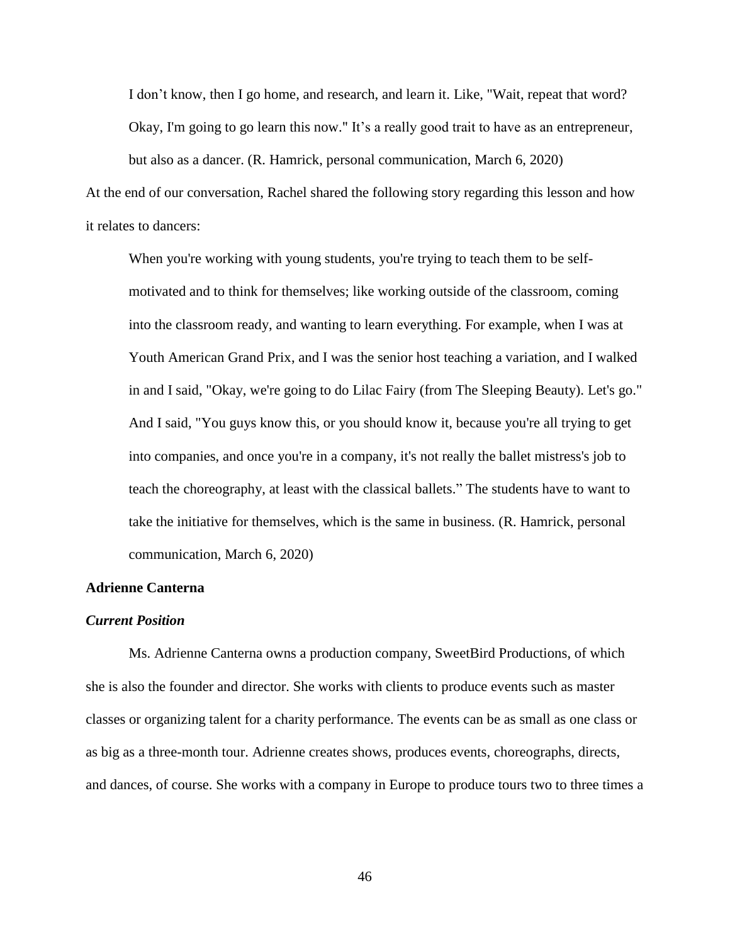I don't know, then I go home, and research, and learn it. Like, "Wait, repeat that word? Okay, I'm going to go learn this now." It's a really good trait to have as an entrepreneur, but also as a dancer. (R. Hamrick, personal communication, March 6, 2020)

At the end of our conversation, Rachel shared the following story regarding this lesson and how it relates to dancers:

When you're working with young students, you're trying to teach them to be selfmotivated and to think for themselves; like working outside of the classroom, coming into the classroom ready, and wanting to learn everything. For example, when I was at Youth American Grand Prix, and I was the senior host teaching a variation, and I walked in and I said, "Okay, we're going to do Lilac Fairy (from The Sleeping Beauty). Let's go." And I said, "You guys know this, or you should know it, because you're all trying to get into companies, and once you're in a company, it's not really the ballet mistress's job to teach the choreography, at least with the classical ballets." The students have to want to take the initiative for themselves, which is the same in business. (R. Hamrick, personal communication, March 6, 2020)

# **Adrienne Canterna**

### *Current Position*

Ms. Adrienne Canterna owns a production company, SweetBird Productions, of which she is also the founder and director. She works with clients to produce events such as master classes or organizing talent for a charity performance. The events can be as small as one class or as big as a three-month tour. Adrienne creates shows, produces events, choreographs, directs, and dances, of course. She works with a company in Europe to produce tours two to three times a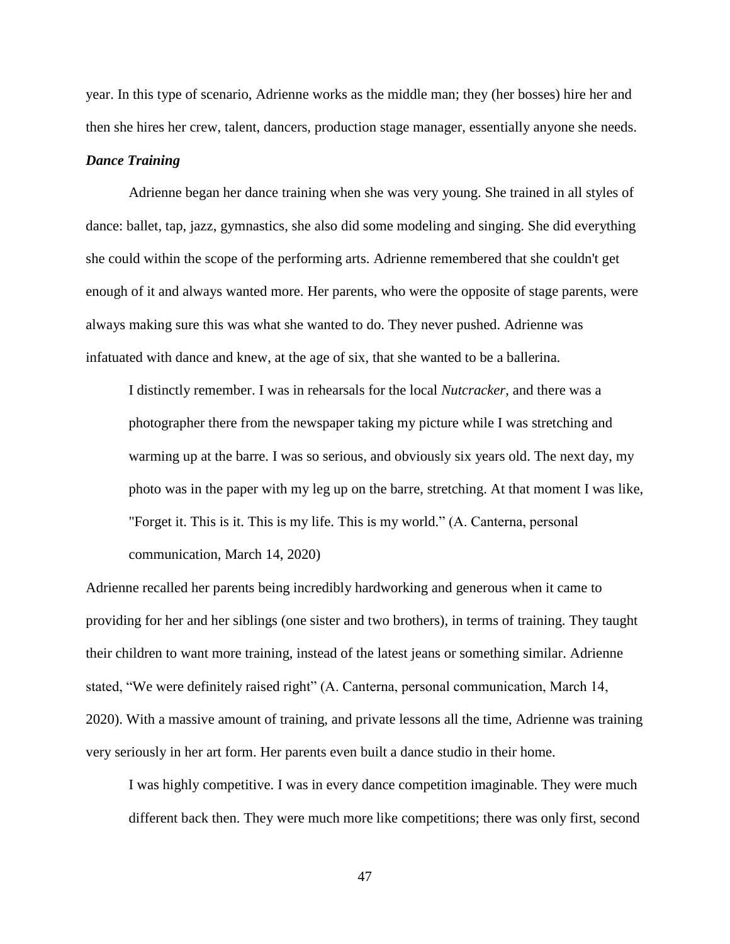year. In this type of scenario, Adrienne works as the middle man; they (her bosses) hire her and then she hires her crew, talent, dancers, production stage manager, essentially anyone she needs.

# *Dance Training*

Adrienne began her dance training when she was very young. She trained in all styles of dance: ballet, tap, jazz, gymnastics, she also did some modeling and singing. She did everything she could within the scope of the performing arts. Adrienne remembered that she couldn't get enough of it and always wanted more. Her parents, who were the opposite of stage parents, were always making sure this was what she wanted to do. They never pushed. Adrienne was infatuated with dance and knew, at the age of six, that she wanted to be a ballerina.

I distinctly remember. I was in rehearsals for the local *Nutcracker*, and there was a photographer there from the newspaper taking my picture while I was stretching and warming up at the barre. I was so serious, and obviously six years old. The next day, my photo was in the paper with my leg up on the barre, stretching. At that moment I was like, "Forget it. This is it. This is my life. This is my world." (A. Canterna, personal communication, March 14, 2020)

Adrienne recalled her parents being incredibly hardworking and generous when it came to providing for her and her siblings (one sister and two brothers), in terms of training. They taught their children to want more training, instead of the latest jeans or something similar. Adrienne stated, "We were definitely raised right" (A. Canterna, personal communication, March 14, 2020). With a massive amount of training, and private lessons all the time, Adrienne was training very seriously in her art form. Her parents even built a dance studio in their home.

I was highly competitive. I was in every dance competition imaginable. They were much different back then. They were much more like competitions; there was only first, second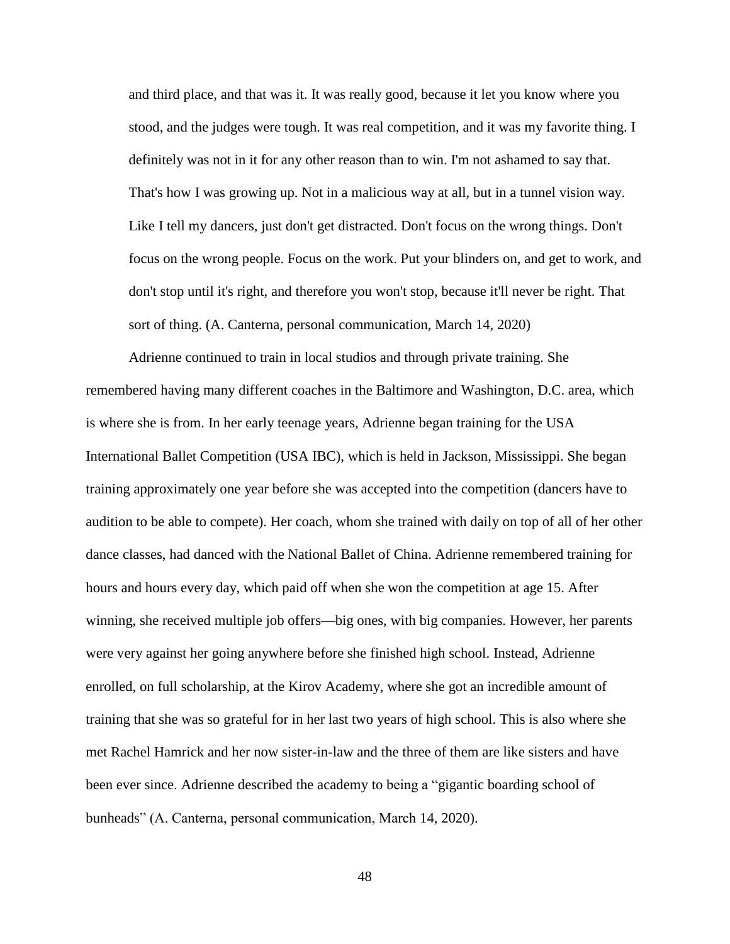and third place, and that was it. It was really good, because it let you know where you stood, and the judges were tough. It was real competition, and it was my favorite thing. I definitely was not in it for any other reason than to win. I'm not ashamed to say that. That's how I was growing up. Not in a malicious way at all, but in a tunnel vision way. Like I tell my dancers, just don't get distracted. Don't focus on the wrong things. Don't focus on the wrong people. Focus on the work. Put your blinders on, and get to work, and don't stop until it's right, and therefore you won't stop, because it'll never be right. That sort of thing. (A. Canterna, personal communication, March 14, 2020)

Adrienne continued to train in local studios and through private training. She remembered having many different coaches in the Baltimore and Washington, D.C. area, which is where she is from. In her early teenage years, Adrienne began training for the USA International Ballet Competition (USA IBC), which is held in Jackson, Mississippi. She began training approximately one year before she was accepted into the competition (dancers have to audition to be able to compete). Her coach, whom she trained with daily on top of all of her other dance classes, had danced with the National Ballet of China. Adrienne remembered training for hours and hours every day, which paid off when she won the competition at age 15. After winning, she received multiple job offers—big ones, with big companies. However, her parents were very against her going anywhere before she finished high school. Instead, Adrienne enrolled, on full scholarship, at the Kirov Academy, where she got an incredible amount of training that she was so grateful for in her last two years of high school. This is also where she met Rachel Hamrick and her now sister-in-law and the three of them are like sisters and have been ever since. Adrienne described the academy to being a "gigantic boarding school of bunheads" (A. Canterna, personal communication, March 14, 2020).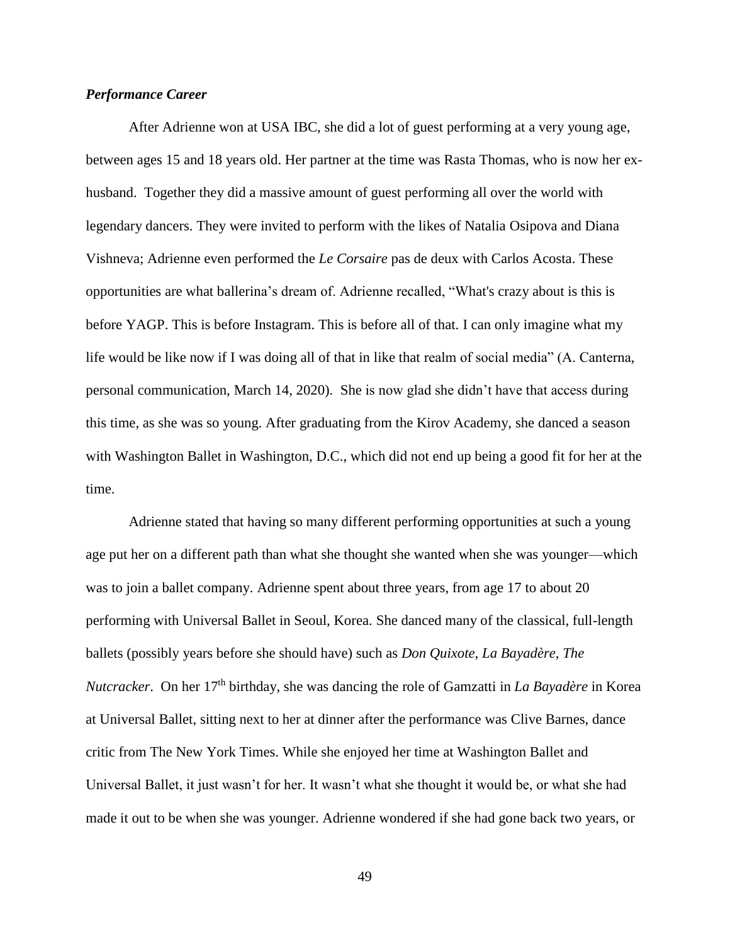# *Performance Career*

After Adrienne won at USA IBC, she did a lot of guest performing at a very young age, between ages 15 and 18 years old. Her partner at the time was Rasta Thomas, who is now her exhusband. Together they did a massive amount of guest performing all over the world with legendary dancers. They were invited to perform with the likes of Natalia Osipova and Diana Vishneva; Adrienne even performed the *Le Corsaire* pas de deux with Carlos Acosta. These opportunities are what ballerina's dream of. Adrienne recalled, "What's crazy about is this is before YAGP. This is before Instagram. This is before all of that. I can only imagine what my life would be like now if I was doing all of that in like that realm of social media" (A. Canterna, personal communication, March 14, 2020). She is now glad she didn't have that access during this time, as she was so young. After graduating from the Kirov Academy, she danced a season with Washington Ballet in Washington, D.C., which did not end up being a good fit for her at the time.

Adrienne stated that having so many different performing opportunities at such a young age put her on a different path than what she thought she wanted when she was younger—which was to join a ballet company. Adrienne spent about three years, from age 17 to about 20 performing with Universal Ballet in Seoul, Korea. She danced many of the classical, full-length ballets (possibly years before she should have) such as *Don Quixote*, *La Bayadère*, *The Nutcracker*. On her 17<sup>th</sup> birthday, she was dancing the role of Gamzatti in *La Bayadère* in Korea at Universal Ballet, sitting next to her at dinner after the performance was Clive Barnes, dance critic from The New York Times. While she enjoyed her time at Washington Ballet and Universal Ballet, it just wasn't for her. It wasn't what she thought it would be, or what she had made it out to be when she was younger. Adrienne wondered if she had gone back two years, or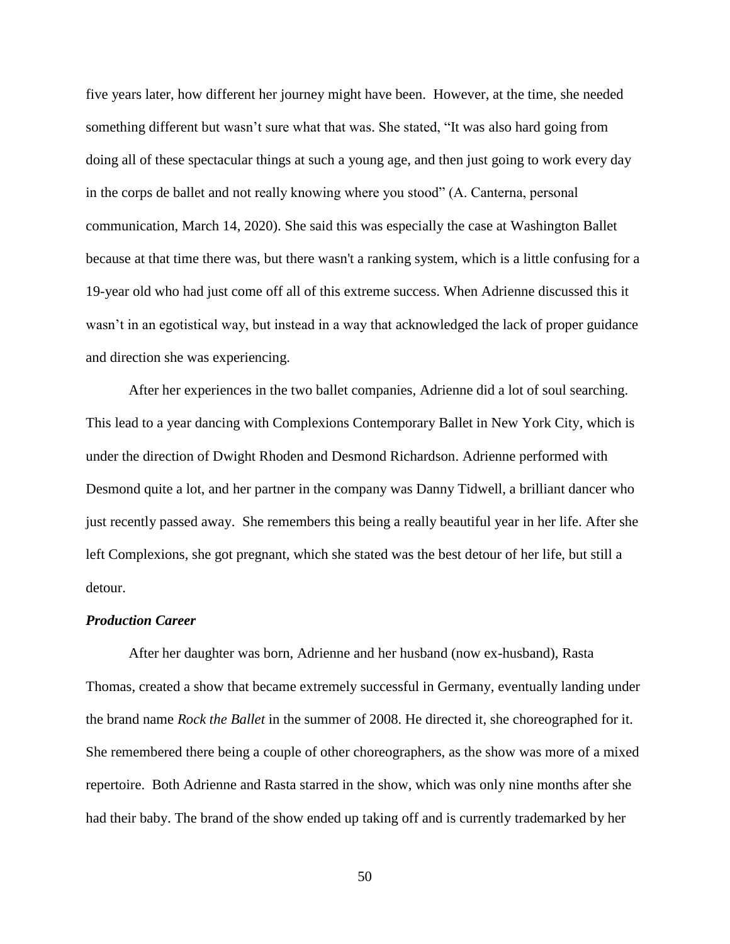five years later, how different her journey might have been. However, at the time, she needed something different but wasn't sure what that was. She stated, "It was also hard going from doing all of these spectacular things at such a young age, and then just going to work every day in the corps de ballet and not really knowing where you stood" (A. Canterna, personal communication, March 14, 2020). She said this was especially the case at Washington Ballet because at that time there was, but there wasn't a ranking system, which is a little confusing for a 19-year old who had just come off all of this extreme success. When Adrienne discussed this it wasn't in an egotistical way, but instead in a way that acknowledged the lack of proper guidance and direction she was experiencing.

After her experiences in the two ballet companies, Adrienne did a lot of soul searching. This lead to a year dancing with Complexions Contemporary Ballet in New York City, which is under the direction of Dwight Rhoden and Desmond Richardson. Adrienne performed with Desmond quite a lot, and her partner in the company was Danny Tidwell, a brilliant dancer who just recently passed away. She remembers this being a really beautiful year in her life. After she left Complexions, she got pregnant, which she stated was the best detour of her life, but still a detour.

# *Production Career*

After her daughter was born, Adrienne and her husband (now ex-husband), Rasta Thomas, created a show that became extremely successful in Germany, eventually landing under the brand name *Rock the Ballet* in the summer of 2008. He directed it, she choreographed for it. She remembered there being a couple of other choreographers, as the show was more of a mixed repertoire. Both Adrienne and Rasta starred in the show, which was only nine months after she had their baby. The brand of the show ended up taking off and is currently trademarked by her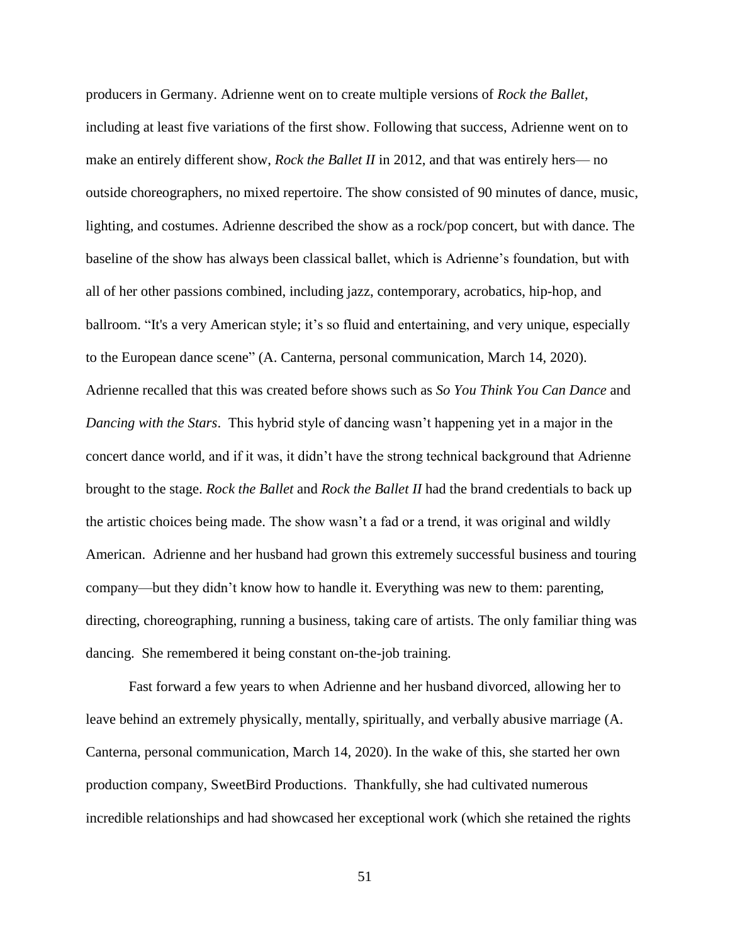producers in Germany. Adrienne went on to create multiple versions of *Rock the Ballet*, including at least five variations of the first show. Following that success, Adrienne went on to make an entirely different show, *Rock the Ballet II* in 2012, and that was entirely hers— no outside choreographers, no mixed repertoire. The show consisted of 90 minutes of dance, music, lighting, and costumes. Adrienne described the show as a rock/pop concert, but with dance. The baseline of the show has always been classical ballet, which is Adrienne's foundation, but with all of her other passions combined, including jazz, contemporary, acrobatics, hip-hop, and ballroom. "It's a very American style; it's so fluid and entertaining, and very unique, especially to the European dance scene" (A. Canterna, personal communication, March 14, 2020). Adrienne recalled that this was created before shows such as *So You Think You Can Dance* and *Dancing with the Stars*. This hybrid style of dancing wasn't happening yet in a major in the concert dance world, and if it was, it didn't have the strong technical background that Adrienne brought to the stage. *Rock the Ballet* and *Rock the Ballet II* had the brand credentials to back up the artistic choices being made. The show wasn't a fad or a trend, it was original and wildly American. Adrienne and her husband had grown this extremely successful business and touring company—but they didn't know how to handle it. Everything was new to them: parenting, directing, choreographing, running a business, taking care of artists. The only familiar thing was dancing. She remembered it being constant on-the-job training.

Fast forward a few years to when Adrienne and her husband divorced, allowing her to leave behind an extremely physically, mentally, spiritually, and verbally abusive marriage (A. Canterna, personal communication, March 14, 2020). In the wake of this, she started her own production company, SweetBird Productions. Thankfully, she had cultivated numerous incredible relationships and had showcased her exceptional work (which she retained the rights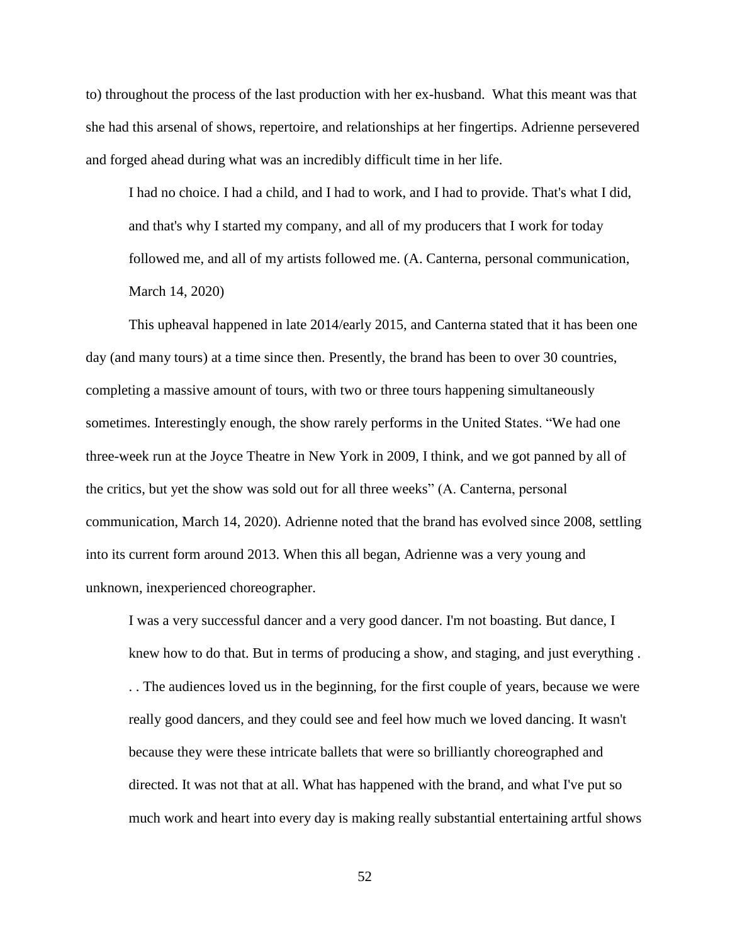to) throughout the process of the last production with her ex-husband. What this meant was that she had this arsenal of shows, repertoire, and relationships at her fingertips. Adrienne persevered and forged ahead during what was an incredibly difficult time in her life.

I had no choice. I had a child, and I had to work, and I had to provide. That's what I did, and that's why I started my company, and all of my producers that I work for today followed me, and all of my artists followed me. (A. Canterna, personal communication, March 14, 2020)

This upheaval happened in late 2014/early 2015, and Canterna stated that it has been one day (and many tours) at a time since then. Presently, the brand has been to over 30 countries, completing a massive amount of tours, with two or three tours happening simultaneously sometimes. Interestingly enough, the show rarely performs in the United States. "We had one three-week run at the Joyce Theatre in New York in 2009, I think, and we got panned by all of the critics, but yet the show was sold out for all three weeks" (A. Canterna, personal communication, March 14, 2020). Adrienne noted that the brand has evolved since 2008, settling into its current form around 2013. When this all began, Adrienne was a very young and unknown, inexperienced choreographer.

I was a very successful dancer and a very good dancer. I'm not boasting. But dance, I knew how to do that. But in terms of producing a show, and staging, and just everything . . . The audiences loved us in the beginning, for the first couple of years, because we were

really good dancers, and they could see and feel how much we loved dancing. It wasn't because they were these intricate ballets that were so brilliantly choreographed and directed. It was not that at all. What has happened with the brand, and what I've put so much work and heart into every day is making really substantial entertaining artful shows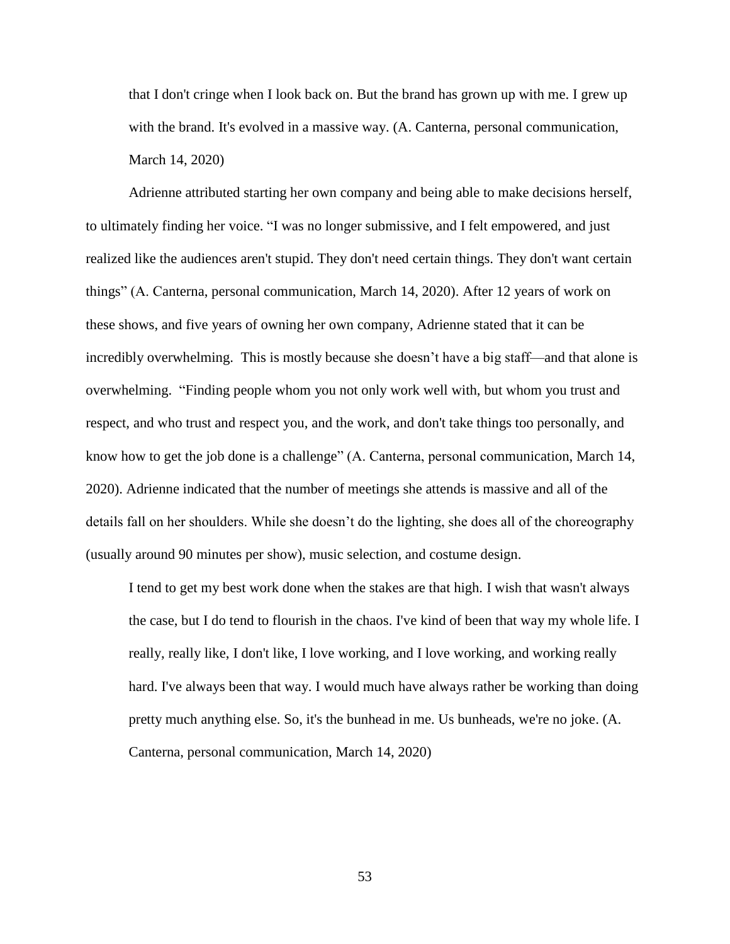that I don't cringe when I look back on. But the brand has grown up with me. I grew up with the brand. It's evolved in a massive way. (A. Canterna, personal communication, March 14, 2020)

Adrienne attributed starting her own company and being able to make decisions herself, to ultimately finding her voice. "I was no longer submissive, and I felt empowered, and just realized like the audiences aren't stupid. They don't need certain things. They don't want certain things" (A. Canterna, personal communication, March 14, 2020). After 12 years of work on these shows, and five years of owning her own company, Adrienne stated that it can be incredibly overwhelming. This is mostly because she doesn't have a big staff—and that alone is overwhelming. "Finding people whom you not only work well with, but whom you trust and respect, and who trust and respect you, and the work, and don't take things too personally, and know how to get the job done is a challenge" (A. Canterna, personal communication, March 14, 2020). Adrienne indicated that the number of meetings she attends is massive and all of the details fall on her shoulders. While she doesn't do the lighting, she does all of the choreography (usually around 90 minutes per show), music selection, and costume design.

I tend to get my best work done when the stakes are that high. I wish that wasn't always the case, but I do tend to flourish in the chaos. I've kind of been that way my whole life. I really, really like, I don't like, I love working, and I love working, and working really hard. I've always been that way. I would much have always rather be working than doing pretty much anything else. So, it's the bunhead in me. Us bunheads, we're no joke. (A. Canterna, personal communication, March 14, 2020)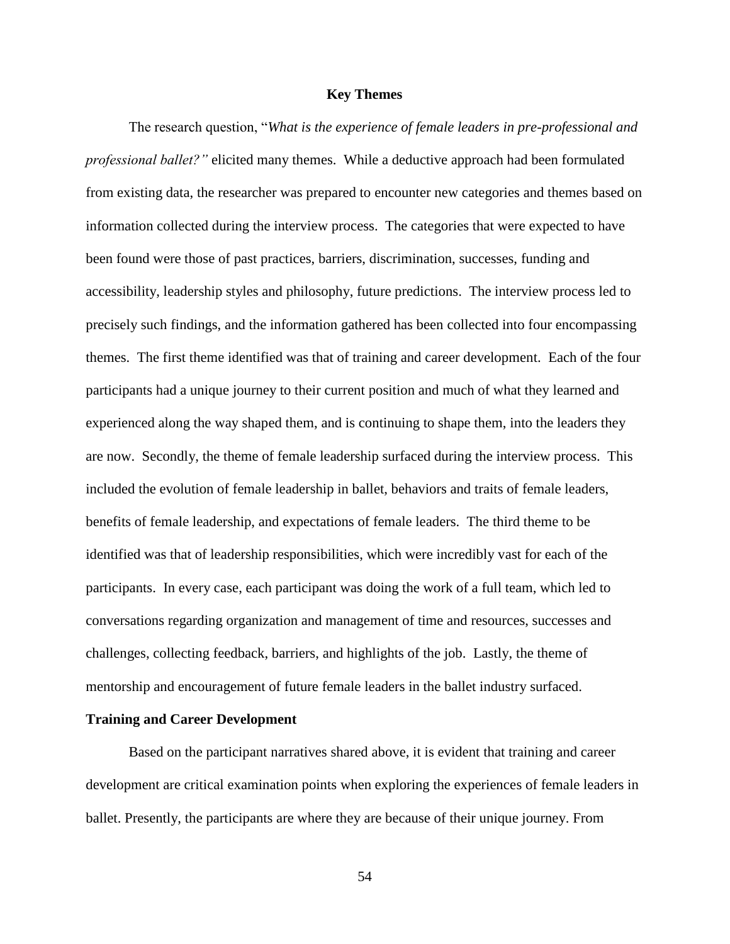# **Key Themes**

The research question, "*What is the experience of female leaders in pre-professional and professional ballet?"* elicited many themes. While a deductive approach had been formulated from existing data, the researcher was prepared to encounter new categories and themes based on information collected during the interview process. The categories that were expected to have been found were those of past practices, barriers, discrimination, successes, funding and accessibility, leadership styles and philosophy, future predictions. The interview process led to precisely such findings, and the information gathered has been collected into four encompassing themes. The first theme identified was that of training and career development. Each of the four participants had a unique journey to their current position and much of what they learned and experienced along the way shaped them, and is continuing to shape them, into the leaders they are now. Secondly, the theme of female leadership surfaced during the interview process. This included the evolution of female leadership in ballet, behaviors and traits of female leaders, benefits of female leadership, and expectations of female leaders. The third theme to be identified was that of leadership responsibilities, which were incredibly vast for each of the participants. In every case, each participant was doing the work of a full team, which led to conversations regarding organization and management of time and resources, successes and challenges, collecting feedback, barriers, and highlights of the job. Lastly, the theme of mentorship and encouragement of future female leaders in the ballet industry surfaced.

# **Training and Career Development**

Based on the participant narratives shared above, it is evident that training and career development are critical examination points when exploring the experiences of female leaders in ballet. Presently, the participants are where they are because of their unique journey. From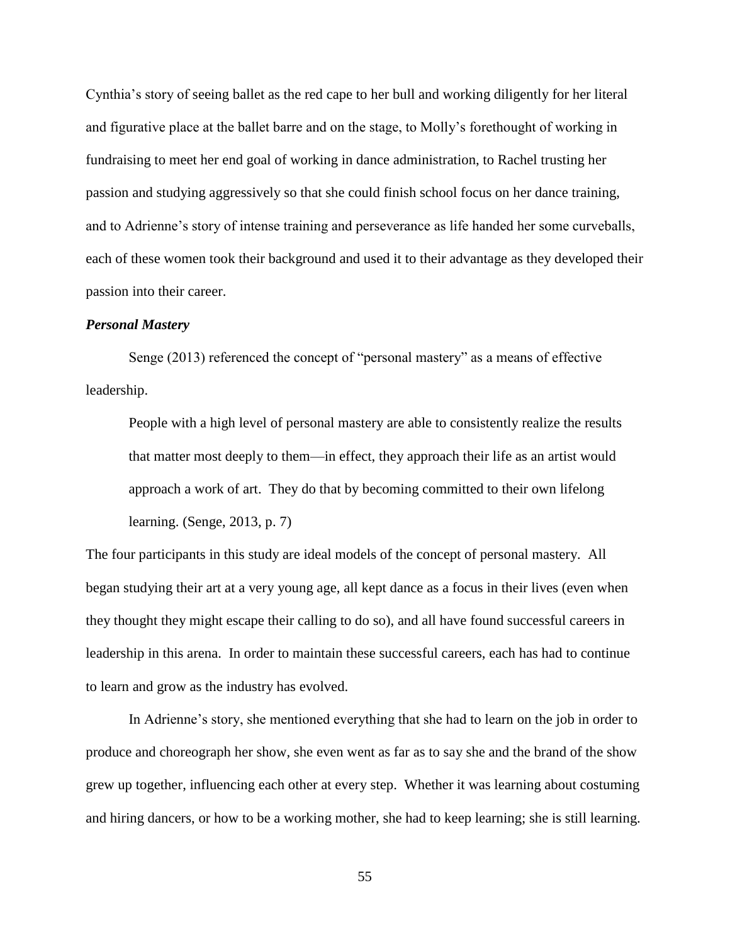Cynthia's story of seeing ballet as the red cape to her bull and working diligently for her literal and figurative place at the ballet barre and on the stage, to Molly's forethought of working in fundraising to meet her end goal of working in dance administration, to Rachel trusting her passion and studying aggressively so that she could finish school focus on her dance training, and to Adrienne's story of intense training and perseverance as life handed her some curveballs, each of these women took their background and used it to their advantage as they developed their passion into their career.

### *Personal Mastery*

Senge (2013) referenced the concept of "personal mastery" as a means of effective leadership.

People with a high level of personal mastery are able to consistently realize the results that matter most deeply to them—in effect, they approach their life as an artist would approach a work of art. They do that by becoming committed to their own lifelong learning. (Senge, 2013, p. 7)

The four participants in this study are ideal models of the concept of personal mastery. All began studying their art at a very young age, all kept dance as a focus in their lives (even when they thought they might escape their calling to do so), and all have found successful careers in leadership in this arena. In order to maintain these successful careers, each has had to continue to learn and grow as the industry has evolved.

In Adrienne's story, she mentioned everything that she had to learn on the job in order to produce and choreograph her show, she even went as far as to say she and the brand of the show grew up together, influencing each other at every step. Whether it was learning about costuming and hiring dancers, or how to be a working mother, she had to keep learning; she is still learning.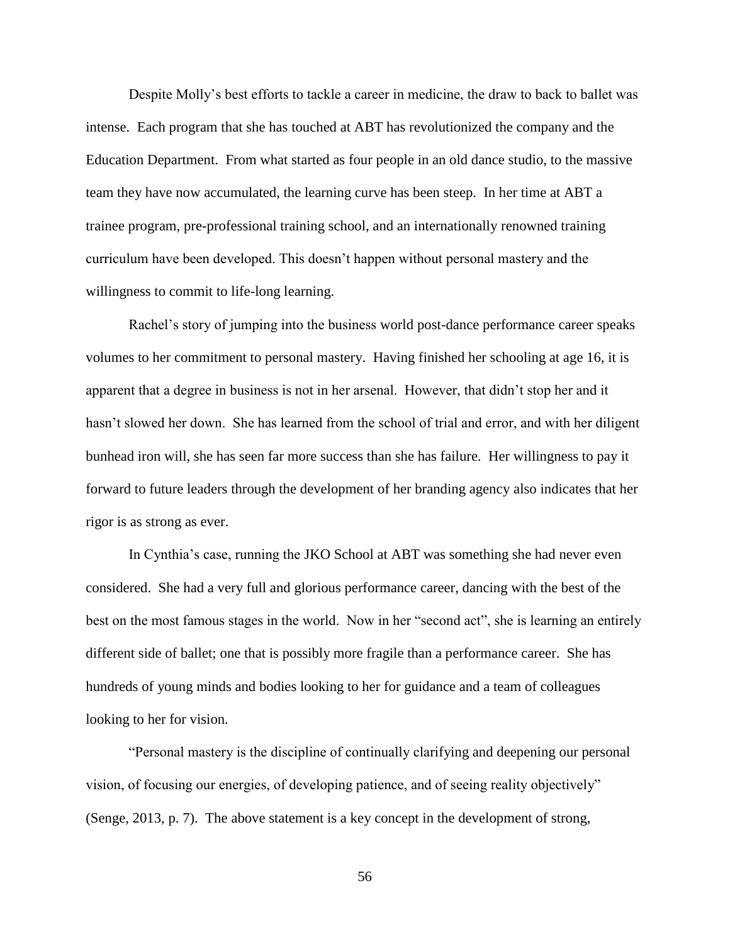Despite Molly's best efforts to tackle a career in medicine, the draw to back to ballet was intense. Each program that she has touched at ABT has revolutionized the company and the Education Department. From what started as four people in an old dance studio, to the massive team they have now accumulated, the learning curve has been steep. In her time at ABT a trainee program, pre-professional training school, and an internationally renowned training curriculum have been developed. This doesn't happen without personal mastery and the willingness to commit to life-long learning.

Rachel's story of jumping into the business world post-dance performance career speaks volumes to her commitment to personal mastery. Having finished her schooling at age 16, it is apparent that a degree in business is not in her arsenal. However, that didn't stop her and it hasn't slowed her down. She has learned from the school of trial and error, and with her diligent bunhead iron will, she has seen far more success than she has failure. Her willingness to pay it forward to future leaders through the development of her branding agency also indicates that her rigor is as strong as ever.

In Cynthia's case, running the JKO School at ABT was something she had never even considered. She had a very full and glorious performance career, dancing with the best of the best on the most famous stages in the world. Now in her "second act", she is learning an entirely different side of ballet; one that is possibly more fragile than a performance career. She has hundreds of young minds and bodies looking to her for guidance and a team of colleagues looking to her for vision.

"Personal mastery is the discipline of continually clarifying and deepening our personal vision, of focusing our energies, of developing patience, and of seeing reality objectively" (Senge, 2013, p. 7). The above statement is a key concept in the development of strong,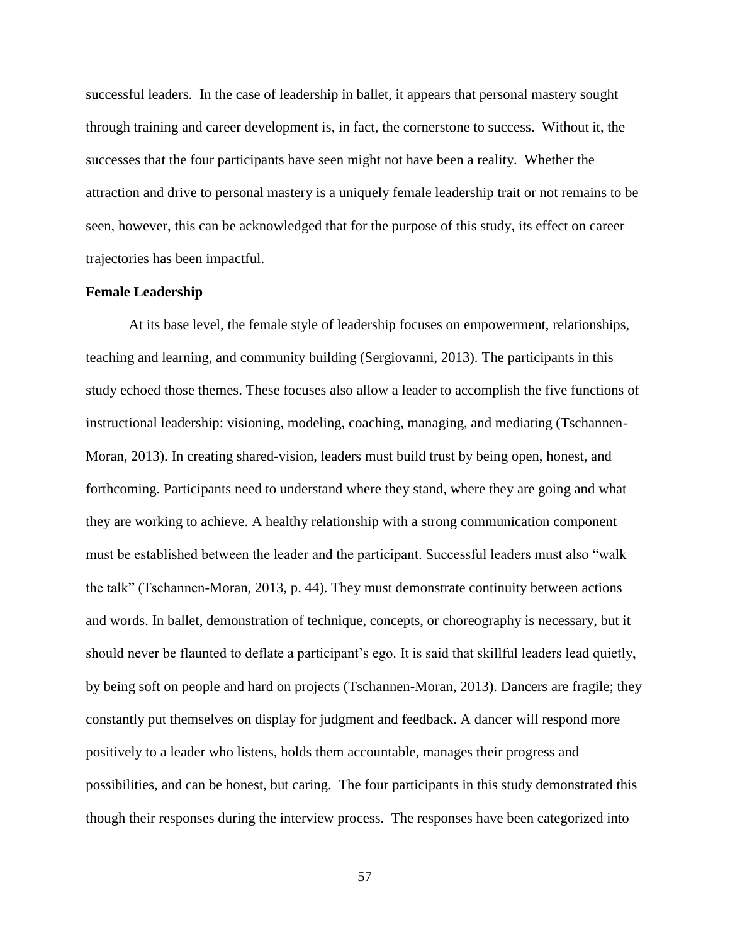successful leaders. In the case of leadership in ballet, it appears that personal mastery sought through training and career development is, in fact, the cornerstone to success. Without it, the successes that the four participants have seen might not have been a reality. Whether the attraction and drive to personal mastery is a uniquely female leadership trait or not remains to be seen, however, this can be acknowledged that for the purpose of this study, its effect on career trajectories has been impactful.

# **Female Leadership**

At its base level, the female style of leadership focuses on empowerment, relationships, teaching and learning, and community building (Sergiovanni, 2013). The participants in this study echoed those themes. These focuses also allow a leader to accomplish the five functions of instructional leadership: visioning, modeling, coaching, managing, and mediating (Tschannen-Moran, 2013). In creating shared-vision, leaders must build trust by being open, honest, and forthcoming. Participants need to understand where they stand, where they are going and what they are working to achieve. A healthy relationship with a strong communication component must be established between the leader and the participant. Successful leaders must also "walk the talk" (Tschannen-Moran, 2013, p. 44). They must demonstrate continuity between actions and words. In ballet, demonstration of technique, concepts, or choreography is necessary, but it should never be flaunted to deflate a participant's ego. It is said that skillful leaders lead quietly, by being soft on people and hard on projects (Tschannen-Moran, 2013). Dancers are fragile; they constantly put themselves on display for judgment and feedback. A dancer will respond more positively to a leader who listens, holds them accountable, manages their progress and possibilities, and can be honest, but caring. The four participants in this study demonstrated this though their responses during the interview process. The responses have been categorized into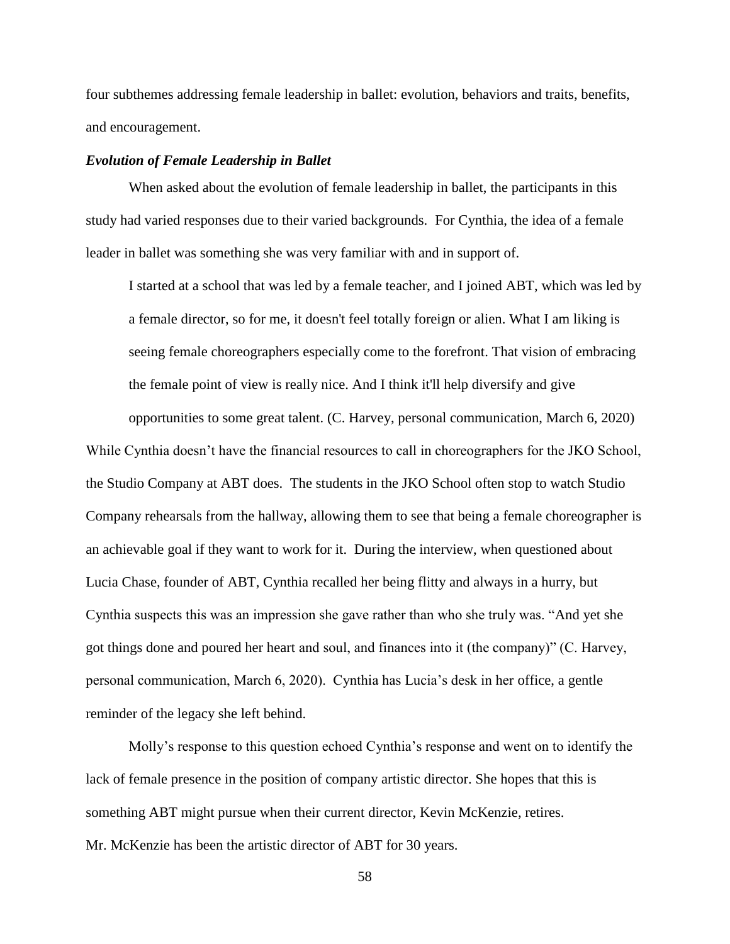four subthemes addressing female leadership in ballet: evolution, behaviors and traits, benefits, and encouragement.

#### *Evolution of Female Leadership in Ballet*

When asked about the evolution of female leadership in ballet, the participants in this study had varied responses due to their varied backgrounds. For Cynthia, the idea of a female leader in ballet was something she was very familiar with and in support of.

I started at a school that was led by a female teacher, and I joined ABT, which was led by a female director, so for me, it doesn't feel totally foreign or alien. What I am liking is seeing female choreographers especially come to the forefront. That vision of embracing the female point of view is really nice. And I think it'll help diversify and give

opportunities to some great talent. (C. Harvey, personal communication, March 6, 2020)

While Cynthia doesn't have the financial resources to call in choreographers for the JKO School, the Studio Company at ABT does. The students in the JKO School often stop to watch Studio Company rehearsals from the hallway, allowing them to see that being a female choreographer is an achievable goal if they want to work for it. During the interview, when questioned about Lucia Chase, founder of ABT, Cynthia recalled her being flitty and always in a hurry, but Cynthia suspects this was an impression she gave rather than who she truly was. "And yet she got things done and poured her heart and soul, and finances into it (the company)" (C. Harvey, personal communication, March 6, 2020). Cynthia has Lucia's desk in her office, a gentle reminder of the legacy she left behind.

Molly's response to this question echoed Cynthia's response and went on to identify the lack of female presence in the position of company artistic director. She hopes that this is something ABT might pursue when their current director, Kevin McKenzie, retires. Mr. McKenzie has been the artistic director of ABT for 30 years.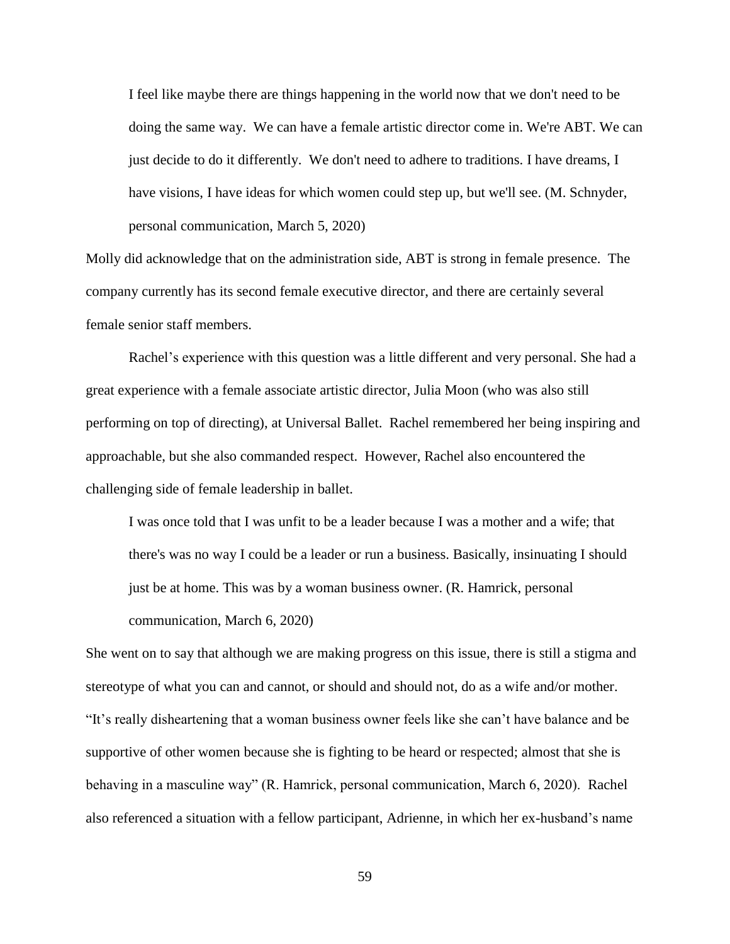I feel like maybe there are things happening in the world now that we don't need to be doing the same way. We can have a female artistic director come in. We're ABT. We can just decide to do it differently. We don't need to adhere to traditions. I have dreams, I have visions, I have ideas for which women could step up, but we'll see. (M. Schnyder, personal communication, March 5, 2020)

Molly did acknowledge that on the administration side, ABT is strong in female presence. The company currently has its second female executive director, and there are certainly several female senior staff members.

Rachel's experience with this question was a little different and very personal. She had a great experience with a female associate artistic director, Julia Moon (who was also still performing on top of directing), at Universal Ballet. Rachel remembered her being inspiring and approachable, but she also commanded respect. However, Rachel also encountered the challenging side of female leadership in ballet.

I was once told that I was unfit to be a leader because I was a mother and a wife; that there's was no way I could be a leader or run a business. Basically, insinuating I should just be at home. This was by a woman business owner. (R. Hamrick, personal communication, March 6, 2020)

She went on to say that although we are making progress on this issue, there is still a stigma and stereotype of what you can and cannot, or should and should not, do as a wife and/or mother. "It's really disheartening that a woman business owner feels like she can't have balance and be supportive of other women because she is fighting to be heard or respected; almost that she is behaving in a masculine way" (R. Hamrick, personal communication, March 6, 2020). Rachel also referenced a situation with a fellow participant, Adrienne, in which her ex-husband's name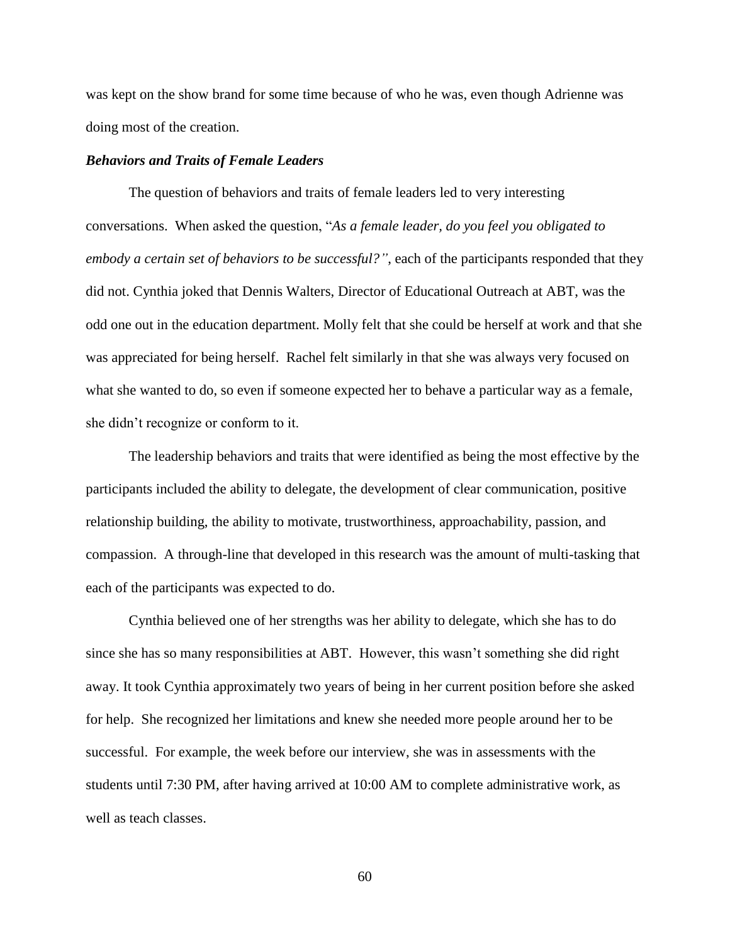was kept on the show brand for some time because of who he was, even though Adrienne was doing most of the creation.

### *Behaviors and Traits of Female Leaders*

The question of behaviors and traits of female leaders led to very interesting conversations. When asked the question, "*As a female leader, do you feel you obligated to embody a certain set of behaviors to be successful?"*, each of the participants responded that they did not. Cynthia joked that Dennis Walters, Director of Educational Outreach at ABT, was the odd one out in the education department. Molly felt that she could be herself at work and that she was appreciated for being herself. Rachel felt similarly in that she was always very focused on what she wanted to do, so even if someone expected her to behave a particular way as a female, she didn't recognize or conform to it.

The leadership behaviors and traits that were identified as being the most effective by the participants included the ability to delegate, the development of clear communication, positive relationship building, the ability to motivate, trustworthiness, approachability, passion, and compassion. A through-line that developed in this research was the amount of multi-tasking that each of the participants was expected to do.

Cynthia believed one of her strengths was her ability to delegate, which she has to do since she has so many responsibilities at ABT. However, this wasn't something she did right away. It took Cynthia approximately two years of being in her current position before she asked for help. She recognized her limitations and knew she needed more people around her to be successful. For example, the week before our interview, she was in assessments with the students until 7:30 PM, after having arrived at 10:00 AM to complete administrative work, as well as teach classes.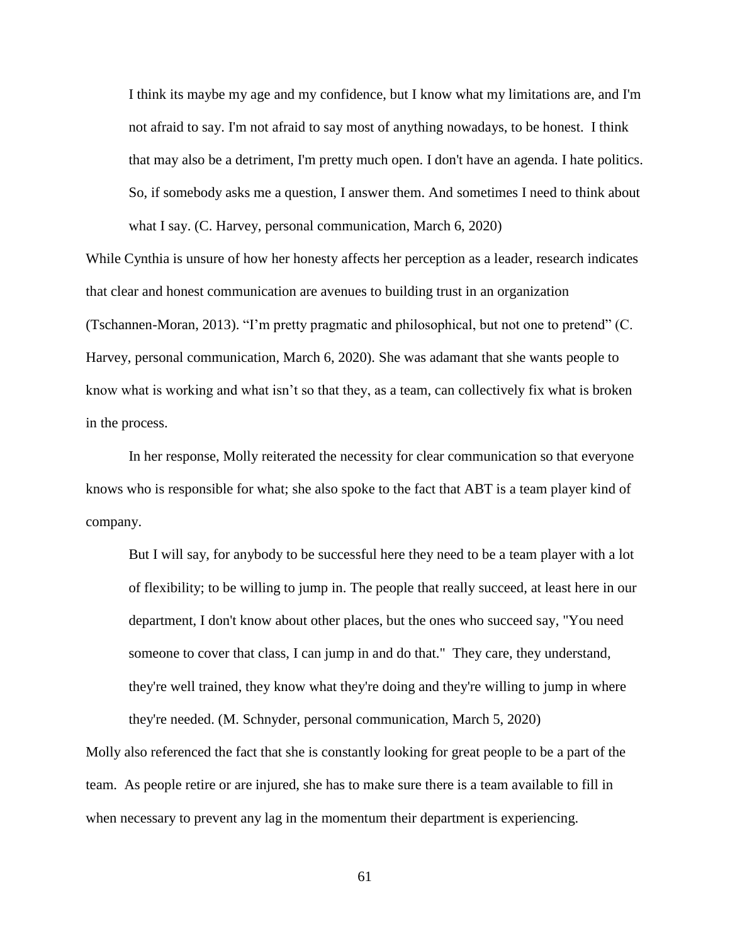I think its maybe my age and my confidence, but I know what my limitations are, and I'm not afraid to say. I'm not afraid to say most of anything nowadays, to be honest. I think that may also be a detriment, I'm pretty much open. I don't have an agenda. I hate politics. So, if somebody asks me a question, I answer them. And sometimes I need to think about what I say. (C. Harvey, personal communication, March 6, 2020)

While Cynthia is unsure of how her honesty affects her perception as a leader, research indicates that clear and honest communication are avenues to building trust in an organization (Tschannen-Moran, 2013). "I'm pretty pragmatic and philosophical, but not one to pretend" (C. Harvey, personal communication, March 6, 2020). She was adamant that she wants people to know what is working and what isn't so that they, as a team, can collectively fix what is broken in the process.

In her response, Molly reiterated the necessity for clear communication so that everyone knows who is responsible for what; she also spoke to the fact that ABT is a team player kind of company.

But I will say, for anybody to be successful here they need to be a team player with a lot of flexibility; to be willing to jump in. The people that really succeed, at least here in our department, I don't know about other places, but the ones who succeed say, "You need someone to cover that class, I can jump in and do that." They care, they understand, they're well trained, they know what they're doing and they're willing to jump in where they're needed. (M. Schnyder, personal communication, March 5, 2020)

Molly also referenced the fact that she is constantly looking for great people to be a part of the team. As people retire or are injured, she has to make sure there is a team available to fill in when necessary to prevent any lag in the momentum their department is experiencing.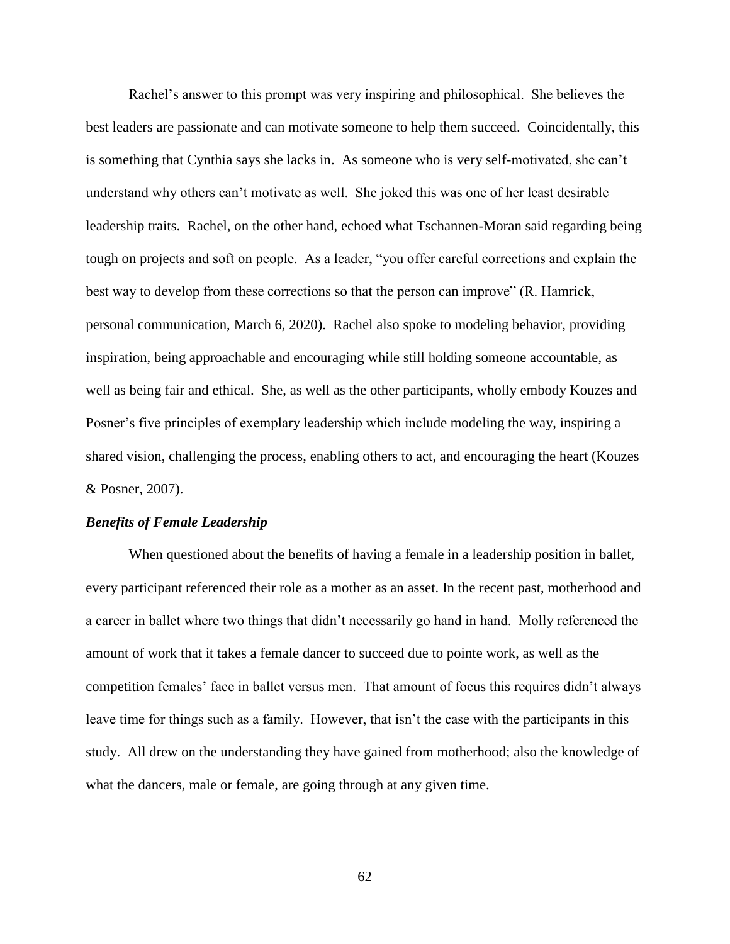Rachel's answer to this prompt was very inspiring and philosophical. She believes the best leaders are passionate and can motivate someone to help them succeed. Coincidentally, this is something that Cynthia says she lacks in. As someone who is very self-motivated, she can't understand why others can't motivate as well. She joked this was one of her least desirable leadership traits. Rachel, on the other hand, echoed what Tschannen-Moran said regarding being tough on projects and soft on people. As a leader, "you offer careful corrections and explain the best way to develop from these corrections so that the person can improve" (R. Hamrick, personal communication, March 6, 2020). Rachel also spoke to modeling behavior, providing inspiration, being approachable and encouraging while still holding someone accountable, as well as being fair and ethical. She, as well as the other participants, wholly embody Kouzes and Posner's five principles of exemplary leadership which include modeling the way, inspiring a shared vision, challenging the process, enabling others to act, and encouraging the heart (Kouzes & Posner, 2007).

#### *Benefits of Female Leadership*

When questioned about the benefits of having a female in a leadership position in ballet, every participant referenced their role as a mother as an asset. In the recent past, motherhood and a career in ballet where two things that didn't necessarily go hand in hand. Molly referenced the amount of work that it takes a female dancer to succeed due to pointe work, as well as the competition females' face in ballet versus men. That amount of focus this requires didn't always leave time for things such as a family. However, that isn't the case with the participants in this study. All drew on the understanding they have gained from motherhood; also the knowledge of what the dancers, male or female, are going through at any given time.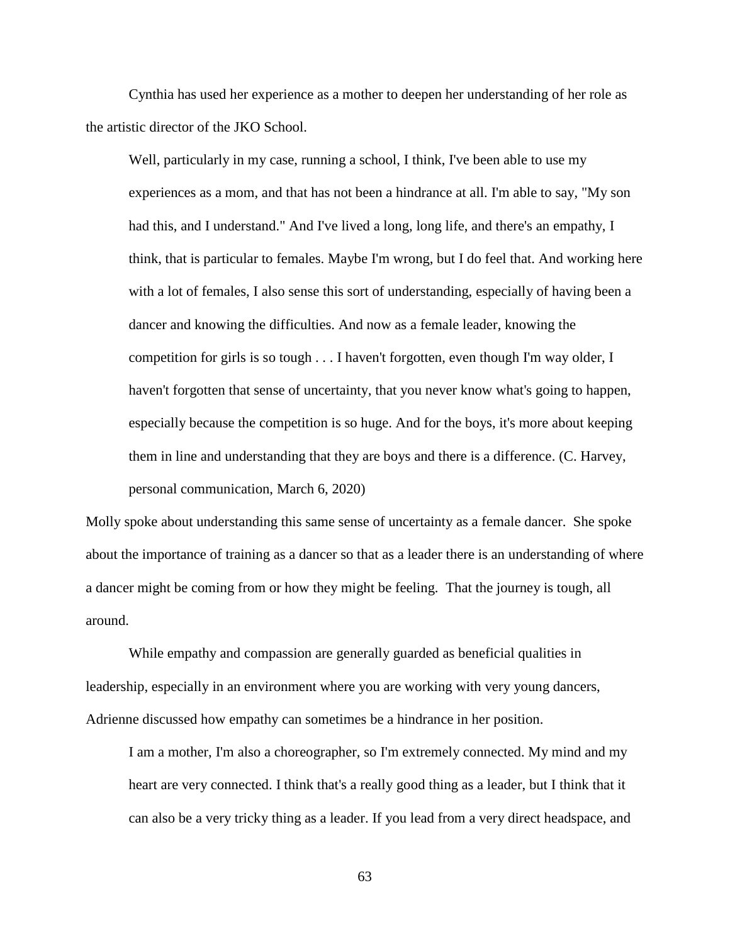Cynthia has used her experience as a mother to deepen her understanding of her role as the artistic director of the JKO School.

Well, particularly in my case, running a school, I think, I've been able to use my experiences as a mom, and that has not been a hindrance at all. I'm able to say, "My son had this, and I understand." And I've lived a long, long life, and there's an empathy, I think, that is particular to females. Maybe I'm wrong, but I do feel that. And working here with a lot of females, I also sense this sort of understanding, especially of having been a dancer and knowing the difficulties. And now as a female leader, knowing the competition for girls is so tough . . . I haven't forgotten, even though I'm way older, I haven't forgotten that sense of uncertainty, that you never know what's going to happen, especially because the competition is so huge. And for the boys, it's more about keeping them in line and understanding that they are boys and there is a difference. (C. Harvey, personal communication, March 6, 2020)

Molly spoke about understanding this same sense of uncertainty as a female dancer. She spoke about the importance of training as a dancer so that as a leader there is an understanding of where a dancer might be coming from or how they might be feeling. That the journey is tough, all around.

While empathy and compassion are generally guarded as beneficial qualities in leadership, especially in an environment where you are working with very young dancers, Adrienne discussed how empathy can sometimes be a hindrance in her position.

I am a mother, I'm also a choreographer, so I'm extremely connected. My mind and my heart are very connected. I think that's a really good thing as a leader, but I think that it can also be a very tricky thing as a leader. If you lead from a very direct headspace, and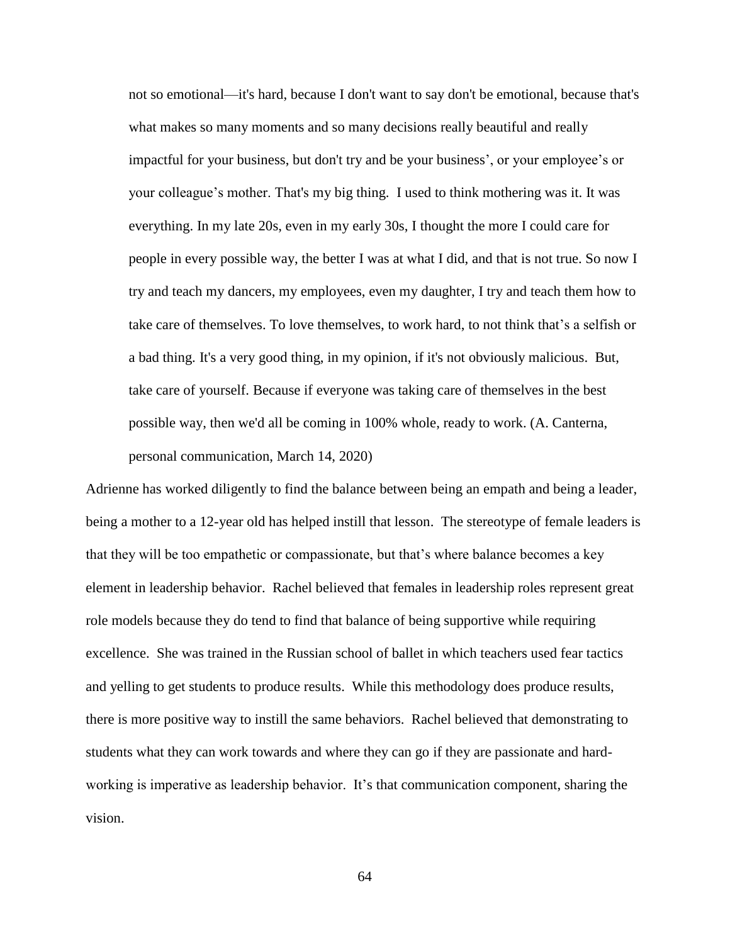not so emotional—it's hard, because I don't want to say don't be emotional, because that's what makes so many moments and so many decisions really beautiful and really impactful for your business, but don't try and be your business', or your employee's or your colleague's mother. That's my big thing. I used to think mothering was it. It was everything. In my late 20s, even in my early 30s, I thought the more I could care for people in every possible way, the better I was at what I did, and that is not true. So now I try and teach my dancers, my employees, even my daughter, I try and teach them how to take care of themselves. To love themselves, to work hard, to not think that's a selfish or a bad thing. It's a very good thing, in my opinion, if it's not obviously malicious. But, take care of yourself. Because if everyone was taking care of themselves in the best possible way, then we'd all be coming in 100% whole, ready to work. (A. Canterna, personal communication, March 14, 2020)

Adrienne has worked diligently to find the balance between being an empath and being a leader, being a mother to a 12-year old has helped instill that lesson. The stereotype of female leaders is that they will be too empathetic or compassionate, but that's where balance becomes a key element in leadership behavior. Rachel believed that females in leadership roles represent great role models because they do tend to find that balance of being supportive while requiring excellence. She was trained in the Russian school of ballet in which teachers used fear tactics and yelling to get students to produce results. While this methodology does produce results, there is more positive way to instill the same behaviors. Rachel believed that demonstrating to students what they can work towards and where they can go if they are passionate and hardworking is imperative as leadership behavior. It's that communication component, sharing the vision.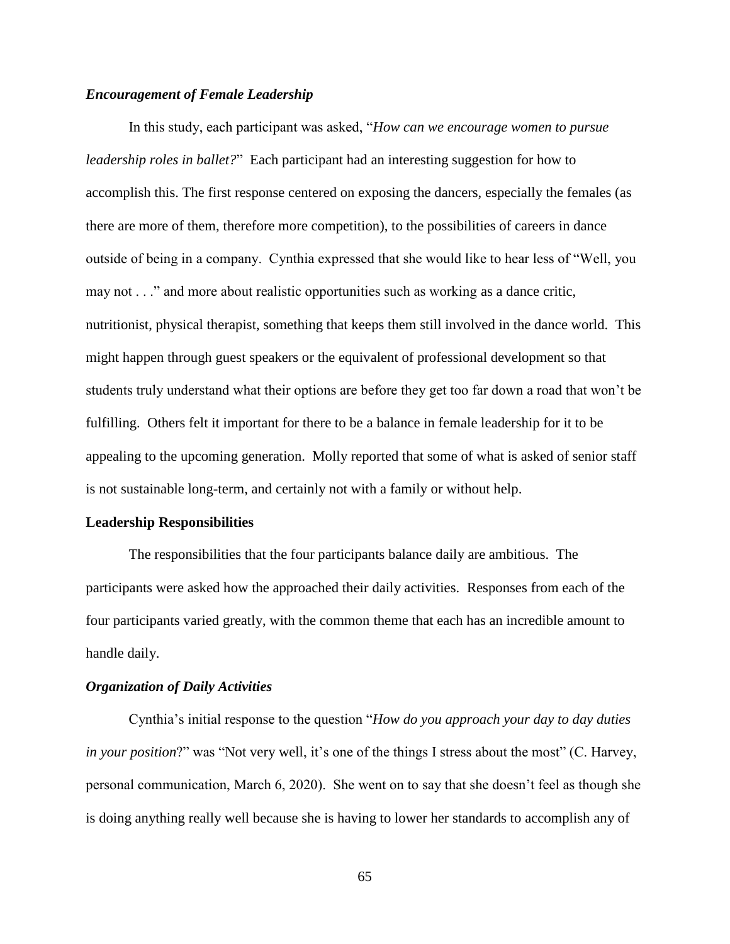### *Encouragement of Female Leadership*

In this study, each participant was asked, "*How can we encourage women to pursue leadership roles in ballet?*" Each participant had an interesting suggestion for how to accomplish this. The first response centered on exposing the dancers, especially the females (as there are more of them, therefore more competition), to the possibilities of careers in dance outside of being in a company. Cynthia expressed that she would like to hear less of "Well, you may not . . ." and more about realistic opportunities such as working as a dance critic, nutritionist, physical therapist, something that keeps them still involved in the dance world. This might happen through guest speakers or the equivalent of professional development so that students truly understand what their options are before they get too far down a road that won't be fulfilling. Others felt it important for there to be a balance in female leadership for it to be appealing to the upcoming generation. Molly reported that some of what is asked of senior staff is not sustainable long-term, and certainly not with a family or without help.

#### **Leadership Responsibilities**

The responsibilities that the four participants balance daily are ambitious. The participants were asked how the approached their daily activities. Responses from each of the four participants varied greatly, with the common theme that each has an incredible amount to handle daily.

#### *Organization of Daily Activities*

Cynthia's initial response to the question "*How do you approach your day to day duties in your position*?" was "Not very well, it's one of the things I stress about the most" (C. Harvey, personal communication, March 6, 2020). She went on to say that she doesn't feel as though she is doing anything really well because she is having to lower her standards to accomplish any of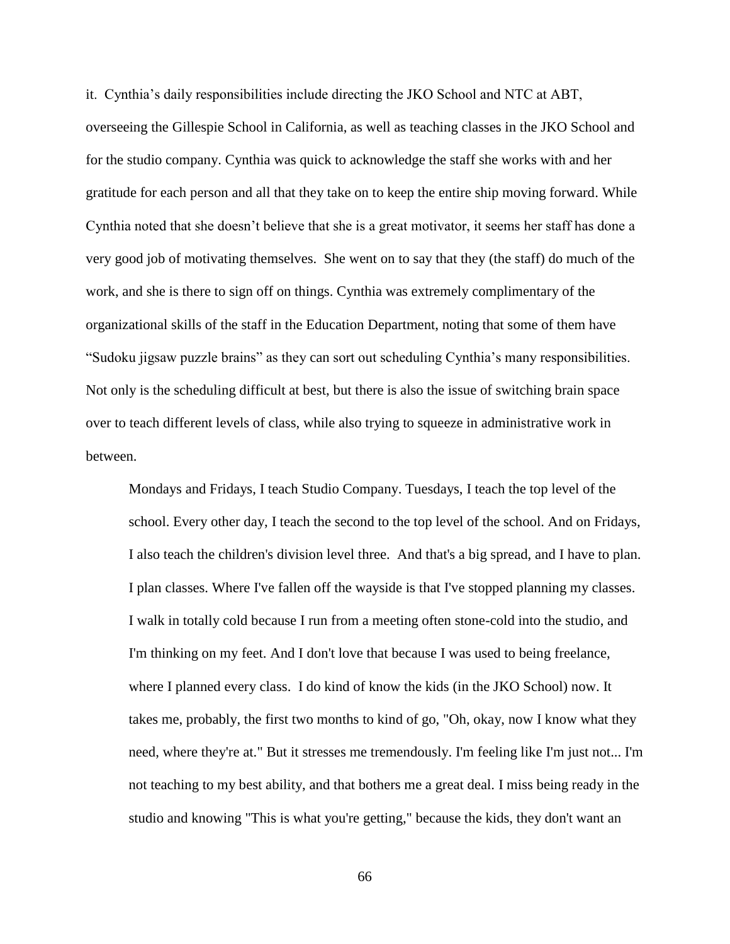it. Cynthia's daily responsibilities include directing the JKO School and NTC at ABT, overseeing the Gillespie School in California, as well as teaching classes in the JKO School and for the studio company. Cynthia was quick to acknowledge the staff she works with and her gratitude for each person and all that they take on to keep the entire ship moving forward. While Cynthia noted that she doesn't believe that she is a great motivator, it seems her staff has done a very good job of motivating themselves. She went on to say that they (the staff) do much of the work, and she is there to sign off on things. Cynthia was extremely complimentary of the organizational skills of the staff in the Education Department, noting that some of them have "Sudoku jigsaw puzzle brains" as they can sort out scheduling Cynthia's many responsibilities. Not only is the scheduling difficult at best, but there is also the issue of switching brain space over to teach different levels of class, while also trying to squeeze in administrative work in between.

Mondays and Fridays, I teach Studio Company. Tuesdays, I teach the top level of the school. Every other day, I teach the second to the top level of the school. And on Fridays, I also teach the children's division level three. And that's a big spread, and I have to plan. I plan classes. Where I've fallen off the wayside is that I've stopped planning my classes. I walk in totally cold because I run from a meeting often stone-cold into the studio, and I'm thinking on my feet. And I don't love that because I was used to being freelance, where I planned every class. I do kind of know the kids (in the JKO School) now. It takes me, probably, the first two months to kind of go, "Oh, okay, now I know what they need, where they're at." But it stresses me tremendously. I'm feeling like I'm just not... I'm not teaching to my best ability, and that bothers me a great deal. I miss being ready in the studio and knowing "This is what you're getting," because the kids, they don't want an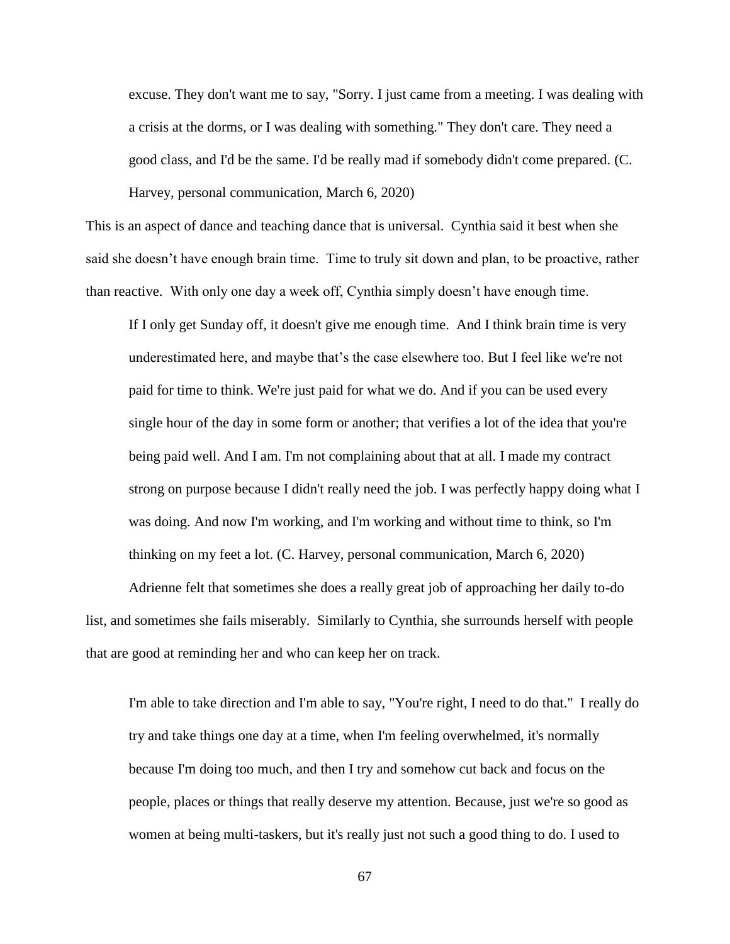excuse. They don't want me to say, "Sorry. I just came from a meeting. I was dealing with a crisis at the dorms, or I was dealing with something." They don't care. They need a good class, and I'd be the same. I'd be really mad if somebody didn't come prepared. (C. Harvey, personal communication, March 6, 2020)

This is an aspect of dance and teaching dance that is universal. Cynthia said it best when she said she doesn't have enough brain time. Time to truly sit down and plan, to be proactive, rather than reactive. With only one day a week off, Cynthia simply doesn't have enough time.

If I only get Sunday off, it doesn't give me enough time. And I think brain time is very underestimated here, and maybe that's the case elsewhere too. But I feel like we're not paid for time to think. We're just paid for what we do. And if you can be used every single hour of the day in some form or another; that verifies a lot of the idea that you're being paid well. And I am. I'm not complaining about that at all. I made my contract strong on purpose because I didn't really need the job. I was perfectly happy doing what I was doing. And now I'm working, and I'm working and without time to think, so I'm thinking on my feet a lot. (C. Harvey, personal communication, March 6, 2020)

Adrienne felt that sometimes she does a really great job of approaching her daily to-do list, and sometimes she fails miserably. Similarly to Cynthia, she surrounds herself with people that are good at reminding her and who can keep her on track.

I'm able to take direction and I'm able to say, "You're right, I need to do that." I really do try and take things one day at a time, when I'm feeling overwhelmed, it's normally because I'm doing too much, and then I try and somehow cut back and focus on the people, places or things that really deserve my attention. Because, just we're so good as women at being multi-taskers, but it's really just not such a good thing to do. I used to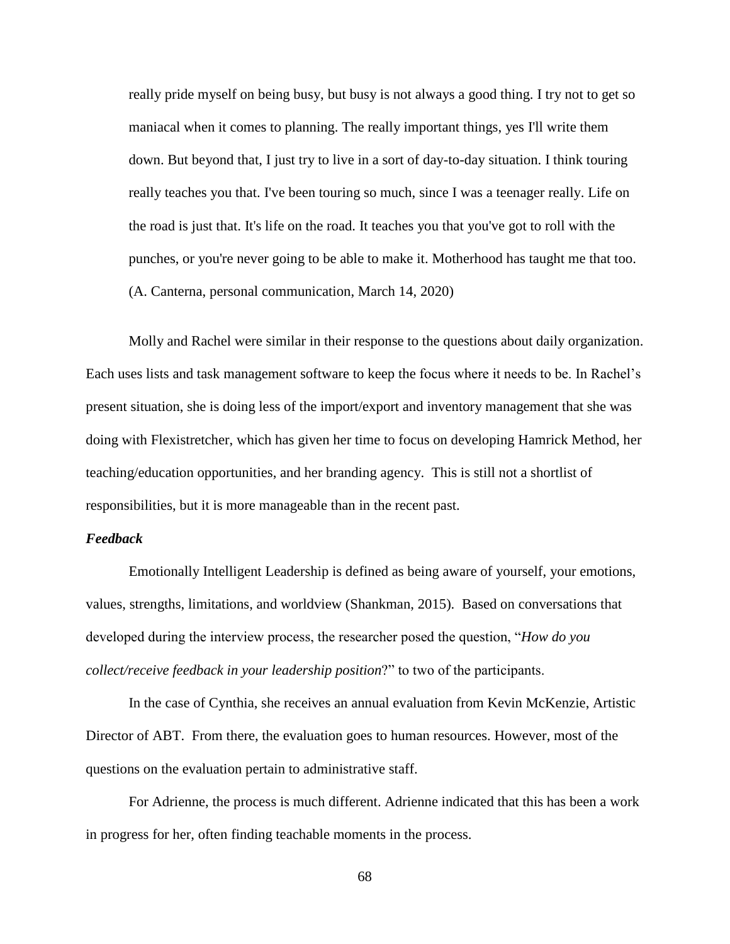really pride myself on being busy, but busy is not always a good thing. I try not to get so maniacal when it comes to planning. The really important things, yes I'll write them down. But beyond that, I just try to live in a sort of day-to-day situation. I think touring really teaches you that. I've been touring so much, since I was a teenager really. Life on the road is just that. It's life on the road. It teaches you that you've got to roll with the punches, or you're never going to be able to make it. Motherhood has taught me that too. (A. Canterna, personal communication, March 14, 2020)

Molly and Rachel were similar in their response to the questions about daily organization. Each uses lists and task management software to keep the focus where it needs to be. In Rachel's present situation, she is doing less of the import/export and inventory management that she was doing with Flexistretcher, which has given her time to focus on developing Hamrick Method, her teaching/education opportunities, and her branding agency. This is still not a shortlist of responsibilities, but it is more manageable than in the recent past.

## *Feedback*

Emotionally Intelligent Leadership is defined as being aware of yourself, your emotions, values, strengths, limitations, and worldview (Shankman, 2015). Based on conversations that developed during the interview process, the researcher posed the question, "*How do you collect/receive feedback in your leadership position*?" to two of the participants.

In the case of Cynthia, she receives an annual evaluation from Kevin McKenzie, Artistic Director of ABT. From there, the evaluation goes to human resources. However, most of the questions on the evaluation pertain to administrative staff.

For Adrienne, the process is much different. Adrienne indicated that this has been a work in progress for her, often finding teachable moments in the process.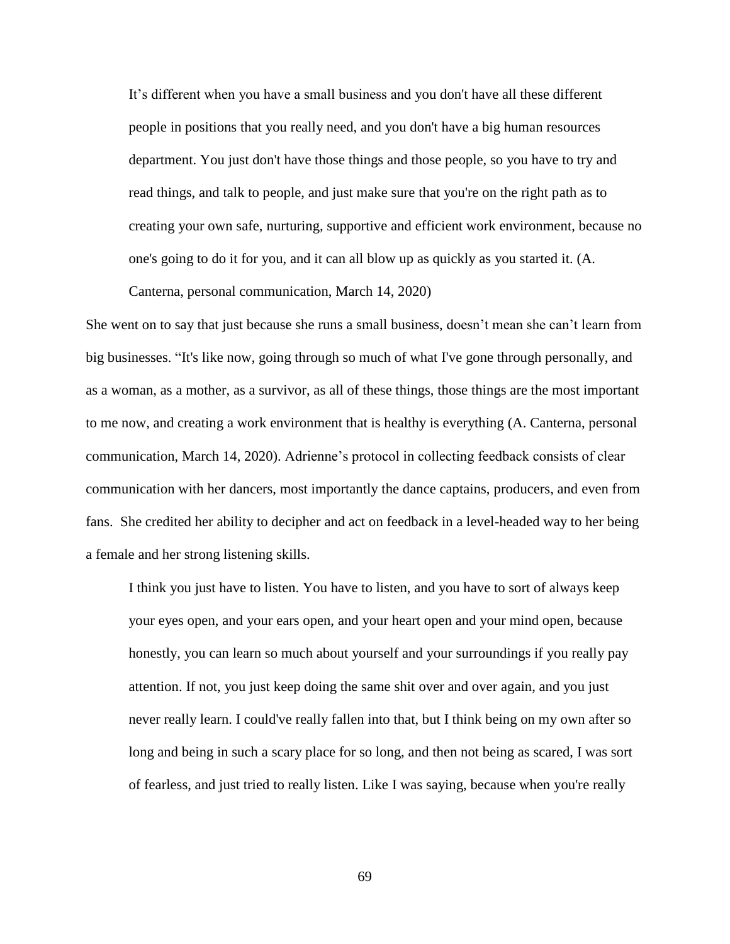It's different when you have a small business and you don't have all these different people in positions that you really need, and you don't have a big human resources department. You just don't have those things and those people, so you have to try and read things, and talk to people, and just make sure that you're on the right path as to creating your own safe, nurturing, supportive and efficient work environment, because no one's going to do it for you, and it can all blow up as quickly as you started it. (A.

Canterna, personal communication, March 14, 2020)

She went on to say that just because she runs a small business, doesn't mean she can't learn from big businesses. "It's like now, going through so much of what I've gone through personally, and as a woman, as a mother, as a survivor, as all of these things, those things are the most important to me now, and creating a work environment that is healthy is everything (A. Canterna, personal communication, March 14, 2020). Adrienne's protocol in collecting feedback consists of clear communication with her dancers, most importantly the dance captains, producers, and even from fans. She credited her ability to decipher and act on feedback in a level-headed way to her being a female and her strong listening skills.

I think you just have to listen. You have to listen, and you have to sort of always keep your eyes open, and your ears open, and your heart open and your mind open, because honestly, you can learn so much about yourself and your surroundings if you really pay attention. If not, you just keep doing the same shit over and over again, and you just never really learn. I could've really fallen into that, but I think being on my own after so long and being in such a scary place for so long, and then not being as scared, I was sort of fearless, and just tried to really listen. Like I was saying, because when you're really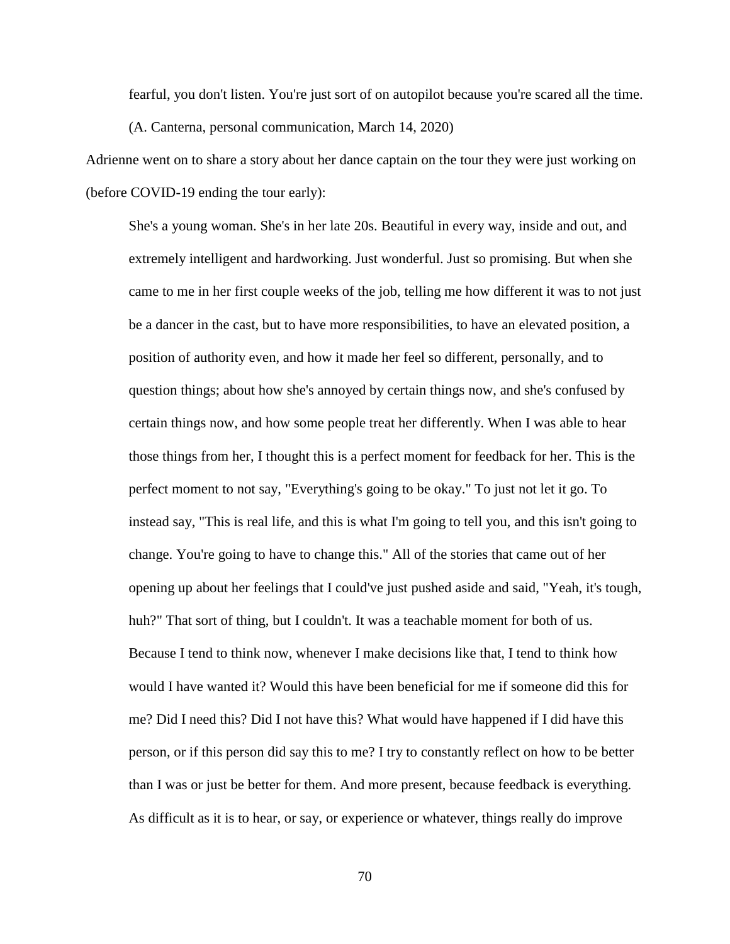fearful, you don't listen. You're just sort of on autopilot because you're scared all the time. (A. Canterna, personal communication, March 14, 2020)

Adrienne went on to share a story about her dance captain on the tour they were just working on (before COVID-19 ending the tour early):

She's a young woman. She's in her late 20s. Beautiful in every way, inside and out, and extremely intelligent and hardworking. Just wonderful. Just so promising. But when she came to me in her first couple weeks of the job, telling me how different it was to not just be a dancer in the cast, but to have more responsibilities, to have an elevated position, a position of authority even, and how it made her feel so different, personally, and to question things; about how she's annoyed by certain things now, and she's confused by certain things now, and how some people treat her differently. When I was able to hear those things from her, I thought this is a perfect moment for feedback for her. This is the perfect moment to not say, "Everything's going to be okay." To just not let it go. To instead say, "This is real life, and this is what I'm going to tell you, and this isn't going to change. You're going to have to change this." All of the stories that came out of her opening up about her feelings that I could've just pushed aside and said, "Yeah, it's tough, huh?" That sort of thing, but I couldn't. It was a teachable moment for both of us. Because I tend to think now, whenever I make decisions like that, I tend to think how would I have wanted it? Would this have been beneficial for me if someone did this for me? Did I need this? Did I not have this? What would have happened if I did have this person, or if this person did say this to me? I try to constantly reflect on how to be better than I was or just be better for them. And more present, because feedback is everything. As difficult as it is to hear, or say, or experience or whatever, things really do improve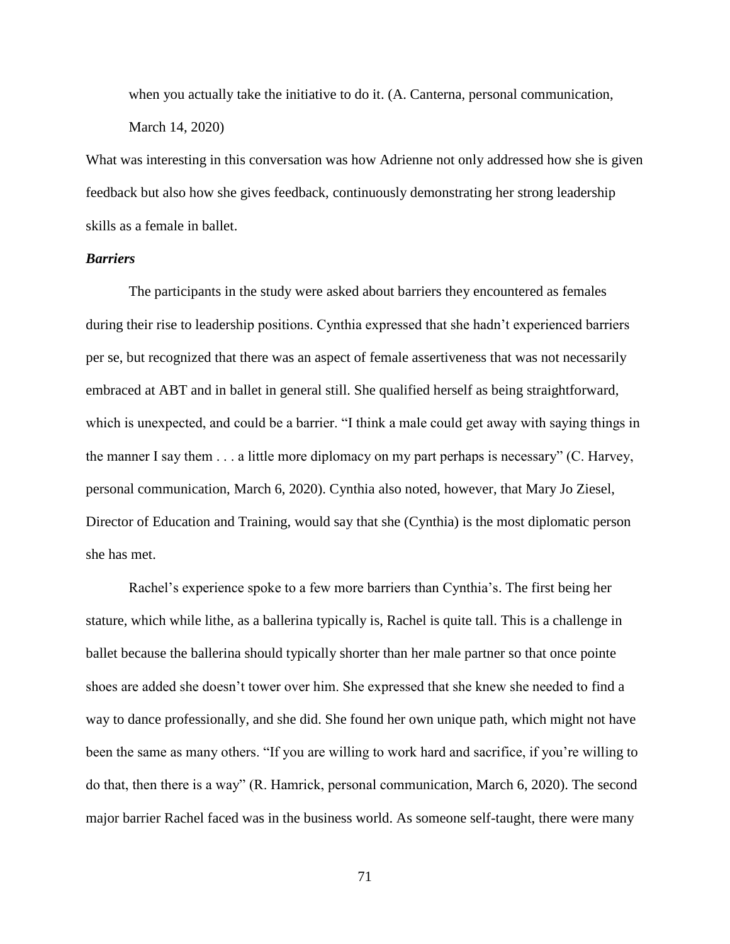when you actually take the initiative to do it. (A. Canterna, personal communication, March 14, 2020)

What was interesting in this conversation was how Adrienne not only addressed how she is given feedback but also how she gives feedback, continuously demonstrating her strong leadership skills as a female in ballet.

### *Barriers*

The participants in the study were asked about barriers they encountered as females during their rise to leadership positions. Cynthia expressed that she hadn't experienced barriers per se, but recognized that there was an aspect of female assertiveness that was not necessarily embraced at ABT and in ballet in general still. She qualified herself as being straightforward, which is unexpected, and could be a barrier. "I think a male could get away with saying things in the manner I say them . . . a little more diplomacy on my part perhaps is necessary" (C. Harvey, personal communication, March 6, 2020). Cynthia also noted, however, that Mary Jo Ziesel, Director of Education and Training, would say that she (Cynthia) is the most diplomatic person she has met.

Rachel's experience spoke to a few more barriers than Cynthia's. The first being her stature, which while lithe, as a ballerina typically is, Rachel is quite tall. This is a challenge in ballet because the ballerina should typically shorter than her male partner so that once pointe shoes are added she doesn't tower over him. She expressed that she knew she needed to find a way to dance professionally, and she did. She found her own unique path, which might not have been the same as many others. "If you are willing to work hard and sacrifice, if you're willing to do that, then there is a way" (R. Hamrick, personal communication, March 6, 2020). The second major barrier Rachel faced was in the business world. As someone self-taught, there were many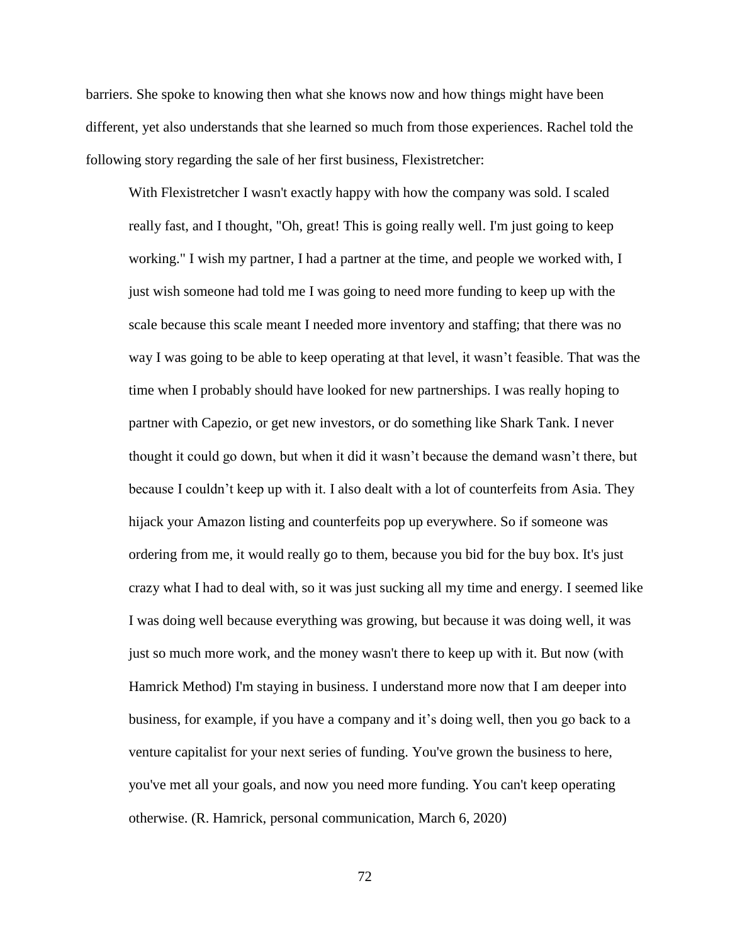barriers. She spoke to knowing then what she knows now and how things might have been different, yet also understands that she learned so much from those experiences. Rachel told the following story regarding the sale of her first business, Flexistretcher:

With Flexistretcher I wasn't exactly happy with how the company was sold. I scaled really fast, and I thought, "Oh, great! This is going really well. I'm just going to keep working." I wish my partner, I had a partner at the time, and people we worked with, I just wish someone had told me I was going to need more funding to keep up with the scale because this scale meant I needed more inventory and staffing; that there was no way I was going to be able to keep operating at that level, it wasn't feasible. That was the time when I probably should have looked for new partnerships. I was really hoping to partner with Capezio, or get new investors, or do something like Shark Tank. I never thought it could go down, but when it did it wasn't because the demand wasn't there, but because I couldn't keep up with it. I also dealt with a lot of counterfeits from Asia. They hijack your Amazon listing and counterfeits pop up everywhere. So if someone was ordering from me, it would really go to them, because you bid for the buy box. It's just crazy what I had to deal with, so it was just sucking all my time and energy. I seemed like I was doing well because everything was growing, but because it was doing well, it was just so much more work, and the money wasn't there to keep up with it. But now (with Hamrick Method) I'm staying in business. I understand more now that I am deeper into business, for example, if you have a company and it's doing well, then you go back to a venture capitalist for your next series of funding. You've grown the business to here, you've met all your goals, and now you need more funding. You can't keep operating otherwise. (R. Hamrick, personal communication, March 6, 2020)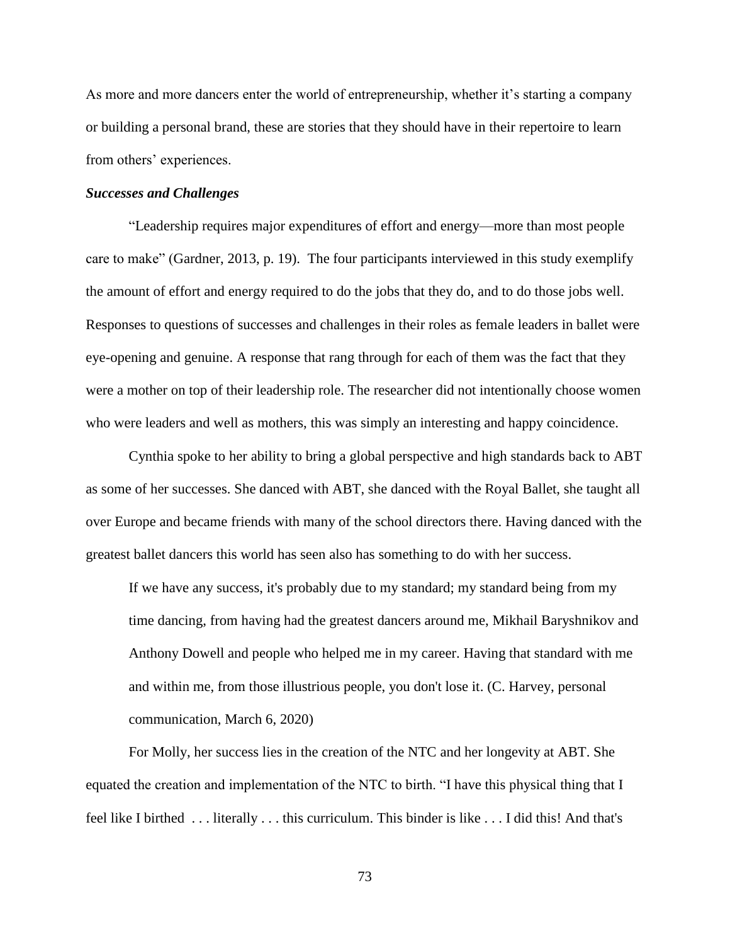As more and more dancers enter the world of entrepreneurship, whether it's starting a company or building a personal brand, these are stories that they should have in their repertoire to learn from others' experiences.

### *Successes and Challenges*

"Leadership requires major expenditures of effort and energy—more than most people care to make" (Gardner, 2013, p. 19). The four participants interviewed in this study exemplify the amount of effort and energy required to do the jobs that they do, and to do those jobs well. Responses to questions of successes and challenges in their roles as female leaders in ballet were eye-opening and genuine. A response that rang through for each of them was the fact that they were a mother on top of their leadership role. The researcher did not intentionally choose women who were leaders and well as mothers, this was simply an interesting and happy coincidence.

Cynthia spoke to her ability to bring a global perspective and high standards back to ABT as some of her successes. She danced with ABT, she danced with the Royal Ballet, she taught all over Europe and became friends with many of the school directors there. Having danced with the greatest ballet dancers this world has seen also has something to do with her success.

If we have any success, it's probably due to my standard; my standard being from my time dancing, from having had the greatest dancers around me, Mikhail Baryshnikov and Anthony Dowell and people who helped me in my career. Having that standard with me and within me, from those illustrious people, you don't lose it. (C. Harvey, personal communication, March 6, 2020)

For Molly, her success lies in the creation of the NTC and her longevity at ABT. She equated the creation and implementation of the NTC to birth. "I have this physical thing that I feel like I birthed . . . literally . . . this curriculum. This binder is like . . . I did this! And that's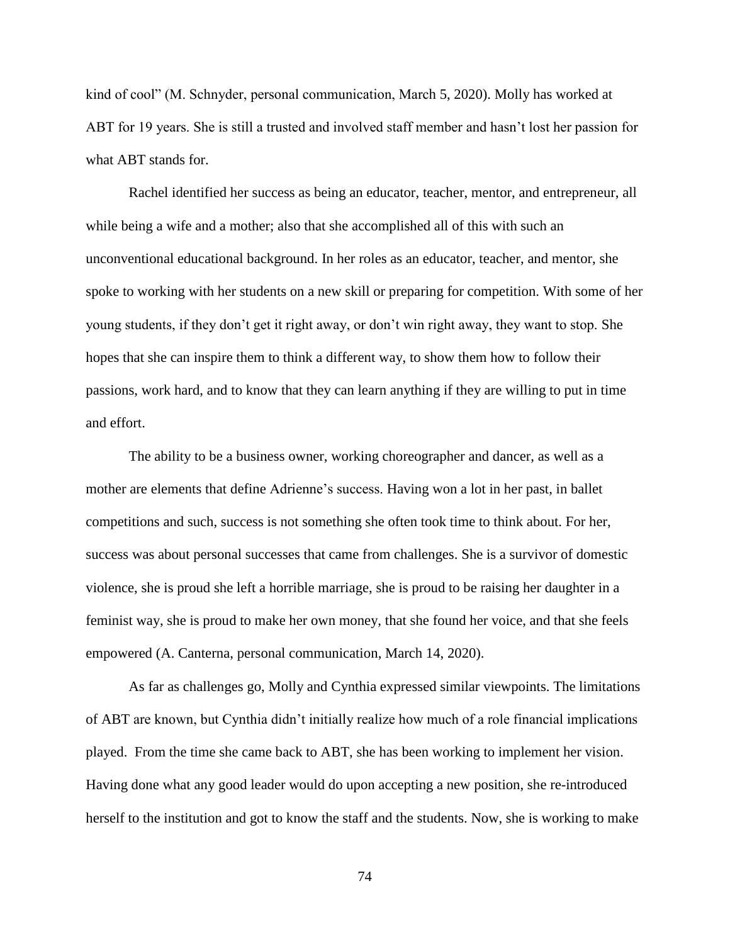kind of cool" (M. Schnyder, personal communication, March 5, 2020). Molly has worked at ABT for 19 years. She is still a trusted and involved staff member and hasn't lost her passion for what ABT stands for.

Rachel identified her success as being an educator, teacher, mentor, and entrepreneur, all while being a wife and a mother; also that she accomplished all of this with such an unconventional educational background. In her roles as an educator, teacher, and mentor, she spoke to working with her students on a new skill or preparing for competition. With some of her young students, if they don't get it right away, or don't win right away, they want to stop. She hopes that she can inspire them to think a different way, to show them how to follow their passions, work hard, and to know that they can learn anything if they are willing to put in time and effort.

The ability to be a business owner, working choreographer and dancer, as well as a mother are elements that define Adrienne's success. Having won a lot in her past, in ballet competitions and such, success is not something she often took time to think about. For her, success was about personal successes that came from challenges. She is a survivor of domestic violence, she is proud she left a horrible marriage, she is proud to be raising her daughter in a feminist way, she is proud to make her own money, that she found her voice, and that she feels empowered (A. Canterna, personal communication, March 14, 2020).

As far as challenges go, Molly and Cynthia expressed similar viewpoints. The limitations of ABT are known, but Cynthia didn't initially realize how much of a role financial implications played. From the time she came back to ABT, she has been working to implement her vision. Having done what any good leader would do upon accepting a new position, she re-introduced herself to the institution and got to know the staff and the students. Now, she is working to make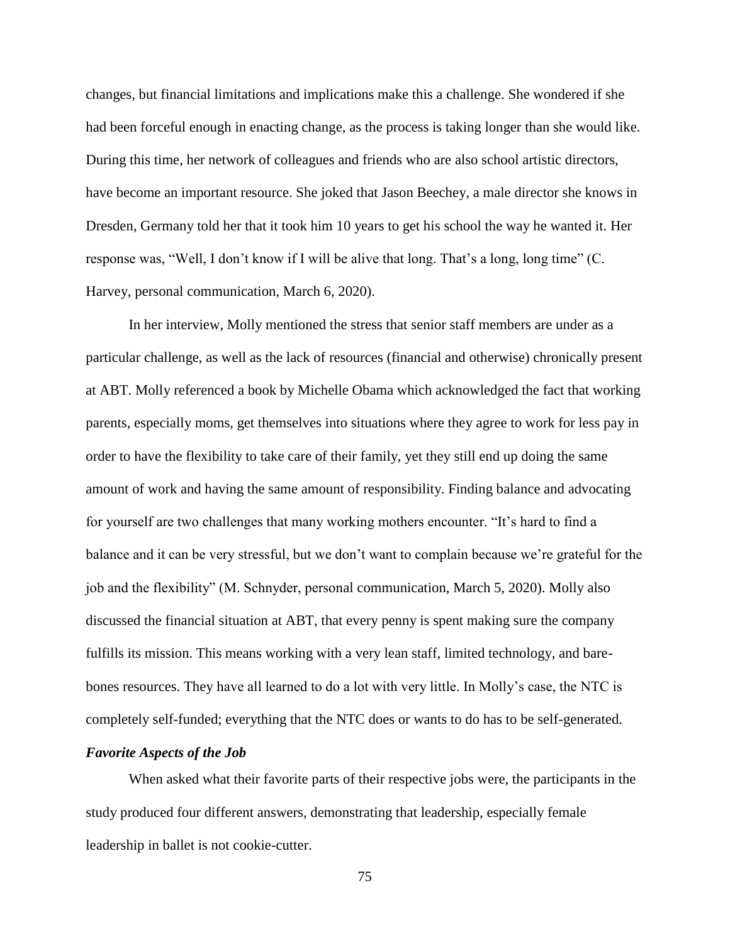changes, but financial limitations and implications make this a challenge. She wondered if she had been forceful enough in enacting change, as the process is taking longer than she would like. During this time, her network of colleagues and friends who are also school artistic directors, have become an important resource. She joked that Jason Beechey, a male director she knows in Dresden, Germany told her that it took him 10 years to get his school the way he wanted it. Her response was, "Well, I don't know if I will be alive that long. That's a long, long time" (C. Harvey, personal communication, March 6, 2020).

In her interview, Molly mentioned the stress that senior staff members are under as a particular challenge, as well as the lack of resources (financial and otherwise) chronically present at ABT. Molly referenced a book by Michelle Obama which acknowledged the fact that working parents, especially moms, get themselves into situations where they agree to work for less pay in order to have the flexibility to take care of their family, yet they still end up doing the same amount of work and having the same amount of responsibility. Finding balance and advocating for yourself are two challenges that many working mothers encounter. "It's hard to find a balance and it can be very stressful, but we don't want to complain because we're grateful for the job and the flexibility" (M. Schnyder, personal communication, March 5, 2020). Molly also discussed the financial situation at ABT, that every penny is spent making sure the company fulfills its mission. This means working with a very lean staff, limited technology, and barebones resources. They have all learned to do a lot with very little. In Molly's case, the NTC is completely self-funded; everything that the NTC does or wants to do has to be self-generated.

#### *Favorite Aspects of the Job*

When asked what their favorite parts of their respective jobs were, the participants in the study produced four different answers, demonstrating that leadership, especially female leadership in ballet is not cookie-cutter.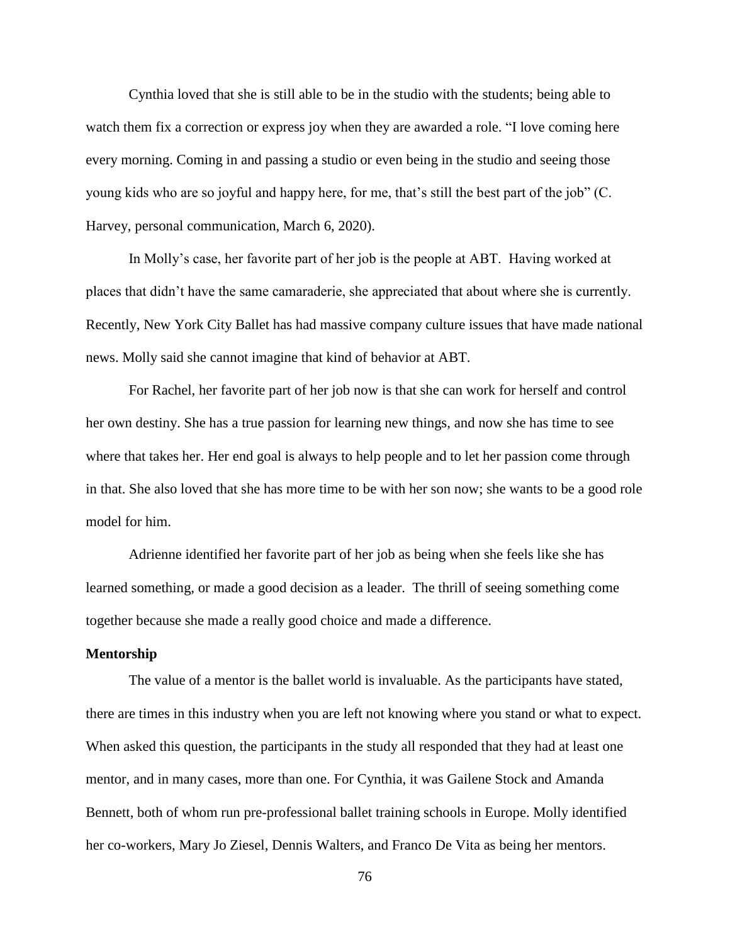Cynthia loved that she is still able to be in the studio with the students; being able to watch them fix a correction or express joy when they are awarded a role. "I love coming here every morning. Coming in and passing a studio or even being in the studio and seeing those young kids who are so joyful and happy here, for me, that's still the best part of the job" (C. Harvey, personal communication, March 6, 2020).

In Molly's case, her favorite part of her job is the people at ABT. Having worked at places that didn't have the same camaraderie, she appreciated that about where she is currently. Recently, New York City Ballet has had massive company culture issues that have made national news. Molly said she cannot imagine that kind of behavior at ABT.

For Rachel, her favorite part of her job now is that she can work for herself and control her own destiny. She has a true passion for learning new things, and now she has time to see where that takes her. Her end goal is always to help people and to let her passion come through in that. She also loved that she has more time to be with her son now; she wants to be a good role model for him.

Adrienne identified her favorite part of her job as being when she feels like she has learned something, or made a good decision as a leader. The thrill of seeing something come together because she made a really good choice and made a difference.

### **Mentorship**

The value of a mentor is the ballet world is invaluable. As the participants have stated, there are times in this industry when you are left not knowing where you stand or what to expect. When asked this question, the participants in the study all responded that they had at least one mentor, and in many cases, more than one. For Cynthia, it was Gailene Stock and Amanda Bennett, both of whom run pre-professional ballet training schools in Europe. Molly identified her co-workers, Mary Jo Ziesel, Dennis Walters, and Franco De Vita as being her mentors.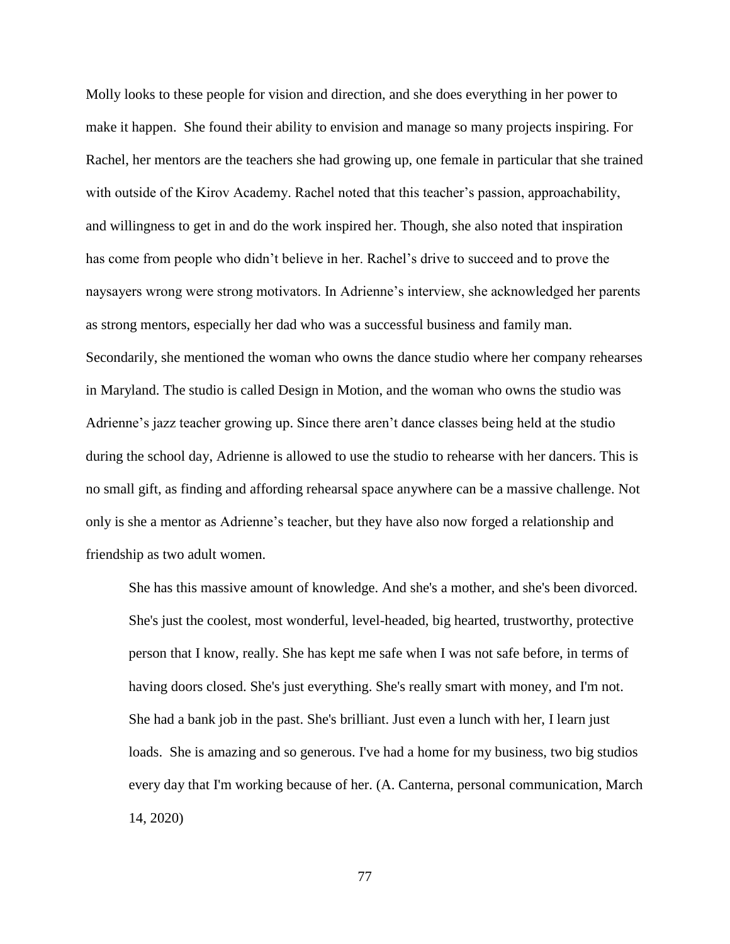Molly looks to these people for vision and direction, and she does everything in her power to make it happen. She found their ability to envision and manage so many projects inspiring. For Rachel, her mentors are the teachers she had growing up, one female in particular that she trained with outside of the Kirov Academy. Rachel noted that this teacher's passion, approachability, and willingness to get in and do the work inspired her. Though, she also noted that inspiration has come from people who didn't believe in her. Rachel's drive to succeed and to prove the naysayers wrong were strong motivators. In Adrienne's interview, she acknowledged her parents as strong mentors, especially her dad who was a successful business and family man. Secondarily, she mentioned the woman who owns the dance studio where her company rehearses in Maryland. The studio is called Design in Motion, and the woman who owns the studio was Adrienne's jazz teacher growing up. Since there aren't dance classes being held at the studio during the school day, Adrienne is allowed to use the studio to rehearse with her dancers. This is no small gift, as finding and affording rehearsal space anywhere can be a massive challenge. Not only is she a mentor as Adrienne's teacher, but they have also now forged a relationship and friendship as two adult women.

She has this massive amount of knowledge. And she's a mother, and she's been divorced. She's just the coolest, most wonderful, level-headed, big hearted, trustworthy, protective person that I know, really. She has kept me safe when I was not safe before, in terms of having doors closed. She's just everything. She's really smart with money, and I'm not. She had a bank job in the past. She's brilliant. Just even a lunch with her, I learn just loads. She is amazing and so generous. I've had a home for my business, two big studios every day that I'm working because of her. (A. Canterna, personal communication, March 14, 2020)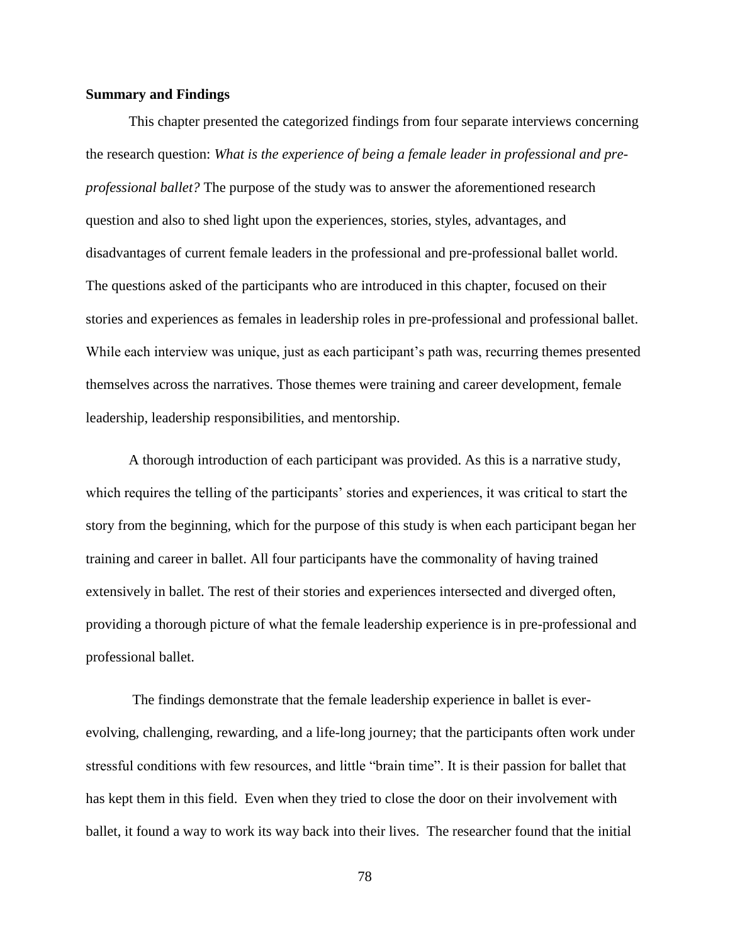### **Summary and Findings**

This chapter presented the categorized findings from four separate interviews concerning the research question: *What is the experience of being a female leader in professional and preprofessional ballet?* The purpose of the study was to answer the aforementioned research question and also to shed light upon the experiences, stories, styles, advantages, and disadvantages of current female leaders in the professional and pre-professional ballet world. The questions asked of the participants who are introduced in this chapter, focused on their stories and experiences as females in leadership roles in pre-professional and professional ballet. While each interview was unique, just as each participant's path was, recurring themes presented themselves across the narratives. Those themes were training and career development, female leadership, leadership responsibilities, and mentorship.

A thorough introduction of each participant was provided. As this is a narrative study, which requires the telling of the participants' stories and experiences, it was critical to start the story from the beginning, which for the purpose of this study is when each participant began her training and career in ballet. All four participants have the commonality of having trained extensively in ballet. The rest of their stories and experiences intersected and diverged often, providing a thorough picture of what the female leadership experience is in pre-professional and professional ballet.

The findings demonstrate that the female leadership experience in ballet is everevolving, challenging, rewarding, and a life-long journey; that the participants often work under stressful conditions with few resources, and little "brain time". It is their passion for ballet that has kept them in this field. Even when they tried to close the door on their involvement with ballet, it found a way to work its way back into their lives. The researcher found that the initial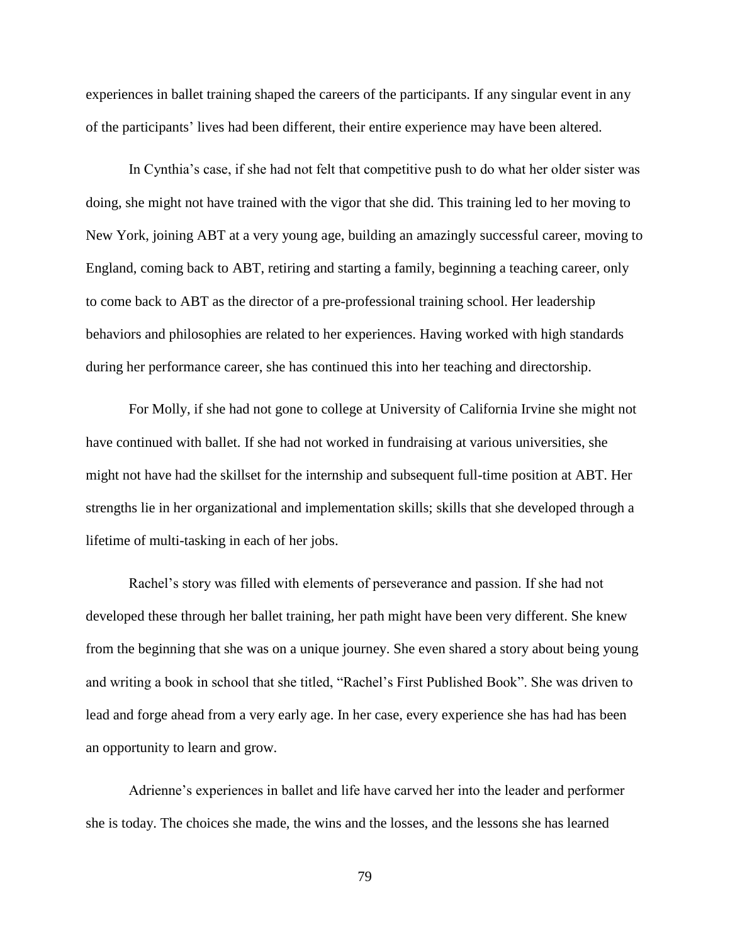experiences in ballet training shaped the careers of the participants. If any singular event in any of the participants' lives had been different, their entire experience may have been altered.

In Cynthia's case, if she had not felt that competitive push to do what her older sister was doing, she might not have trained with the vigor that she did. This training led to her moving to New York, joining ABT at a very young age, building an amazingly successful career, moving to England, coming back to ABT, retiring and starting a family, beginning a teaching career, only to come back to ABT as the director of a pre-professional training school. Her leadership behaviors and philosophies are related to her experiences. Having worked with high standards during her performance career, she has continued this into her teaching and directorship.

For Molly, if she had not gone to college at University of California Irvine she might not have continued with ballet. If she had not worked in fundraising at various universities, she might not have had the skillset for the internship and subsequent full-time position at ABT. Her strengths lie in her organizational and implementation skills; skills that she developed through a lifetime of multi-tasking in each of her jobs.

Rachel's story was filled with elements of perseverance and passion. If she had not developed these through her ballet training, her path might have been very different. She knew from the beginning that she was on a unique journey. She even shared a story about being young and writing a book in school that she titled, "Rachel's First Published Book". She was driven to lead and forge ahead from a very early age. In her case, every experience she has had has been an opportunity to learn and grow.

Adrienne's experiences in ballet and life have carved her into the leader and performer she is today. The choices she made, the wins and the losses, and the lessons she has learned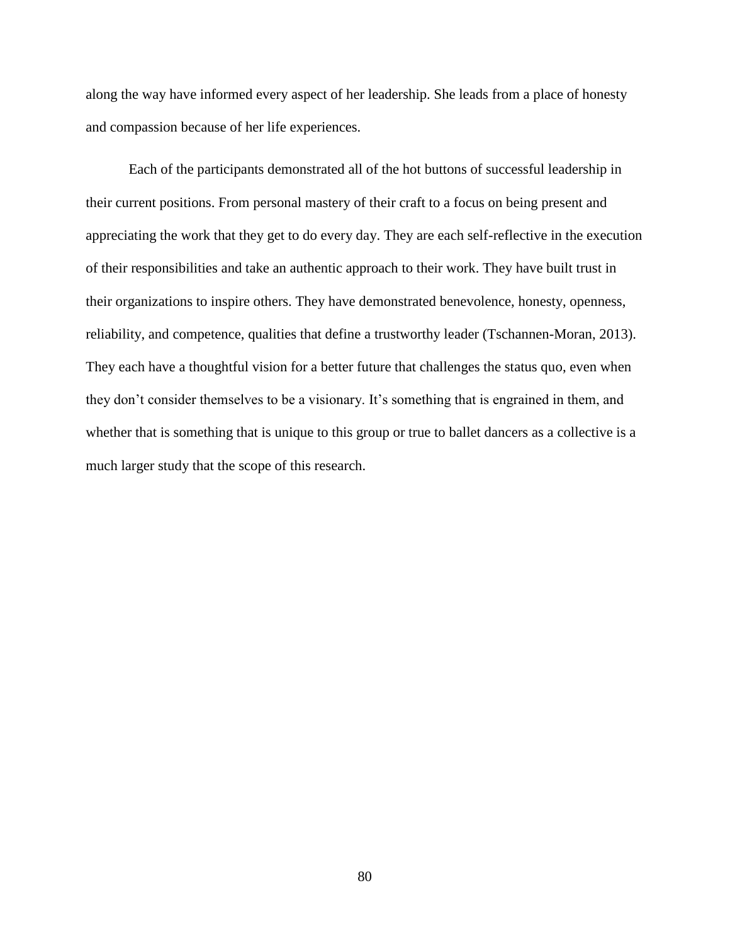along the way have informed every aspect of her leadership. She leads from a place of honesty and compassion because of her life experiences.

Each of the participants demonstrated all of the hot buttons of successful leadership in their current positions. From personal mastery of their craft to a focus on being present and appreciating the work that they get to do every day. They are each self-reflective in the execution of their responsibilities and take an authentic approach to their work. They have built trust in their organizations to inspire others. They have demonstrated benevolence, honesty, openness, reliability, and competence, qualities that define a trustworthy leader (Tschannen-Moran, 2013). They each have a thoughtful vision for a better future that challenges the status quo, even when they don't consider themselves to be a visionary. It's something that is engrained in them, and whether that is something that is unique to this group or true to ballet dancers as a collective is a much larger study that the scope of this research.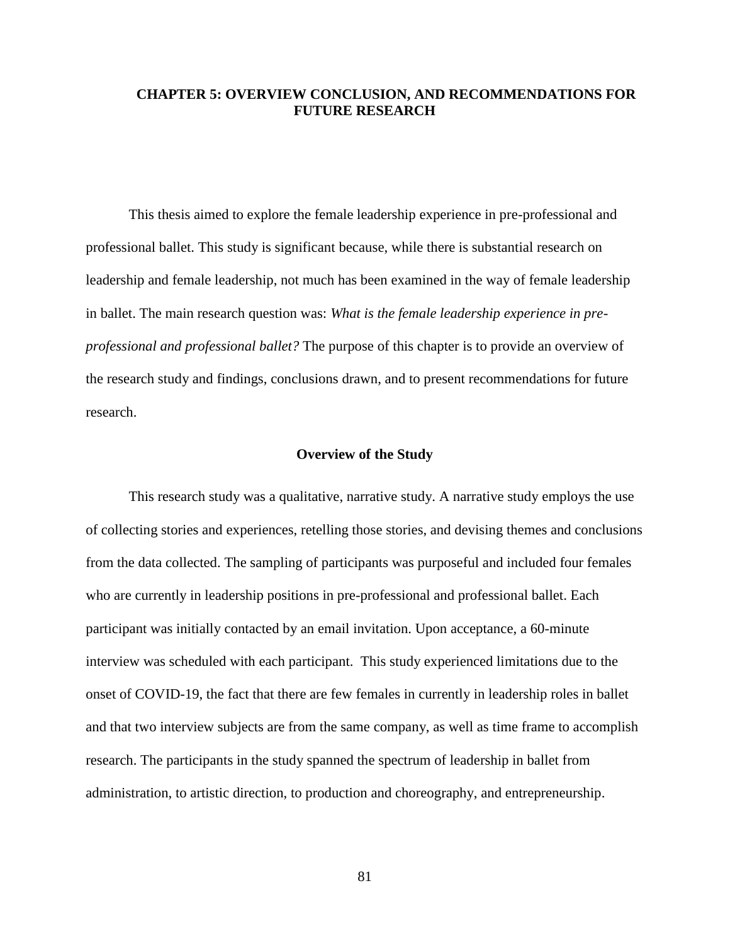### **CHAPTER 5: OVERVIEW CONCLUSION, AND RECOMMENDATIONS FOR FUTURE RESEARCH**

This thesis aimed to explore the female leadership experience in pre-professional and professional ballet. This study is significant because, while there is substantial research on leadership and female leadership, not much has been examined in the way of female leadership in ballet. The main research question was: *What is the female leadership experience in preprofessional and professional ballet?* The purpose of this chapter is to provide an overview of the research study and findings, conclusions drawn, and to present recommendations for future research.

### **Overview of the Study**

This research study was a qualitative, narrative study. A narrative study employs the use of collecting stories and experiences, retelling those stories, and devising themes and conclusions from the data collected. The sampling of participants was purposeful and included four females who are currently in leadership positions in pre-professional and professional ballet. Each participant was initially contacted by an email invitation. Upon acceptance, a 60-minute interview was scheduled with each participant. This study experienced limitations due to the onset of COVID-19, the fact that there are few females in currently in leadership roles in ballet and that two interview subjects are from the same company, as well as time frame to accomplish research. The participants in the study spanned the spectrum of leadership in ballet from administration, to artistic direction, to production and choreography, and entrepreneurship.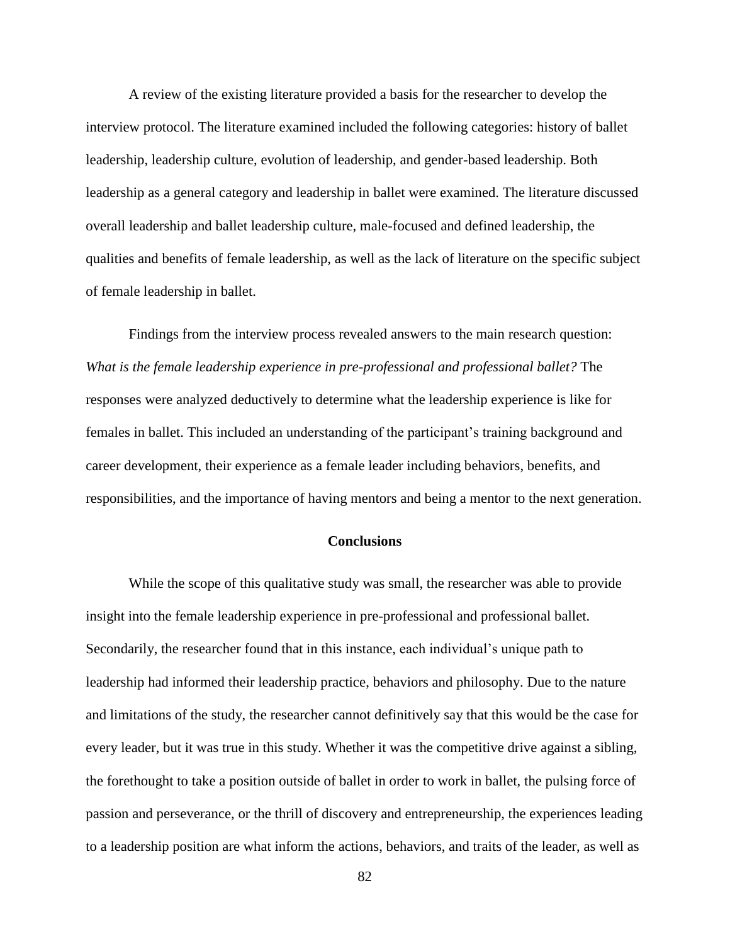A review of the existing literature provided a basis for the researcher to develop the interview protocol. The literature examined included the following categories: history of ballet leadership, leadership culture, evolution of leadership, and gender-based leadership. Both leadership as a general category and leadership in ballet were examined. The literature discussed overall leadership and ballet leadership culture, male-focused and defined leadership, the qualities and benefits of female leadership, as well as the lack of literature on the specific subject of female leadership in ballet.

Findings from the interview process revealed answers to the main research question: *What is the female leadership experience in pre-professional and professional ballet?* The responses were analyzed deductively to determine what the leadership experience is like for females in ballet. This included an understanding of the participant's training background and career development, their experience as a female leader including behaviors, benefits, and responsibilities, and the importance of having mentors and being a mentor to the next generation.

#### **Conclusions**

While the scope of this qualitative study was small, the researcher was able to provide insight into the female leadership experience in pre-professional and professional ballet. Secondarily, the researcher found that in this instance, each individual's unique path to leadership had informed their leadership practice, behaviors and philosophy. Due to the nature and limitations of the study, the researcher cannot definitively say that this would be the case for every leader, but it was true in this study. Whether it was the competitive drive against a sibling, the forethought to take a position outside of ballet in order to work in ballet, the pulsing force of passion and perseverance, or the thrill of discovery and entrepreneurship, the experiences leading to a leadership position are what inform the actions, behaviors, and traits of the leader, as well as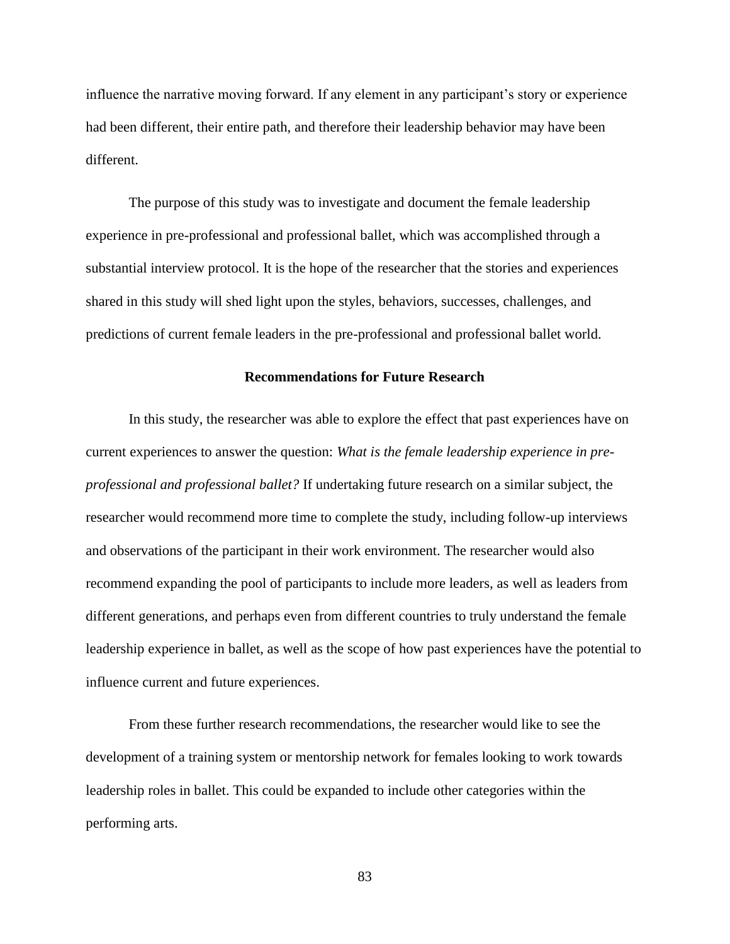influence the narrative moving forward. If any element in any participant's story or experience had been different, their entire path, and therefore their leadership behavior may have been different.

The purpose of this study was to investigate and document the female leadership experience in pre-professional and professional ballet, which was accomplished through a substantial interview protocol. It is the hope of the researcher that the stories and experiences shared in this study will shed light upon the styles, behaviors, successes, challenges, and predictions of current female leaders in the pre-professional and professional ballet world.

### **Recommendations for Future Research**

In this study, the researcher was able to explore the effect that past experiences have on current experiences to answer the question: *What is the female leadership experience in preprofessional and professional ballet?* If undertaking future research on a similar subject, the researcher would recommend more time to complete the study, including follow-up interviews and observations of the participant in their work environment. The researcher would also recommend expanding the pool of participants to include more leaders, as well as leaders from different generations, and perhaps even from different countries to truly understand the female leadership experience in ballet, as well as the scope of how past experiences have the potential to influence current and future experiences.

From these further research recommendations, the researcher would like to see the development of a training system or mentorship network for females looking to work towards leadership roles in ballet. This could be expanded to include other categories within the performing arts.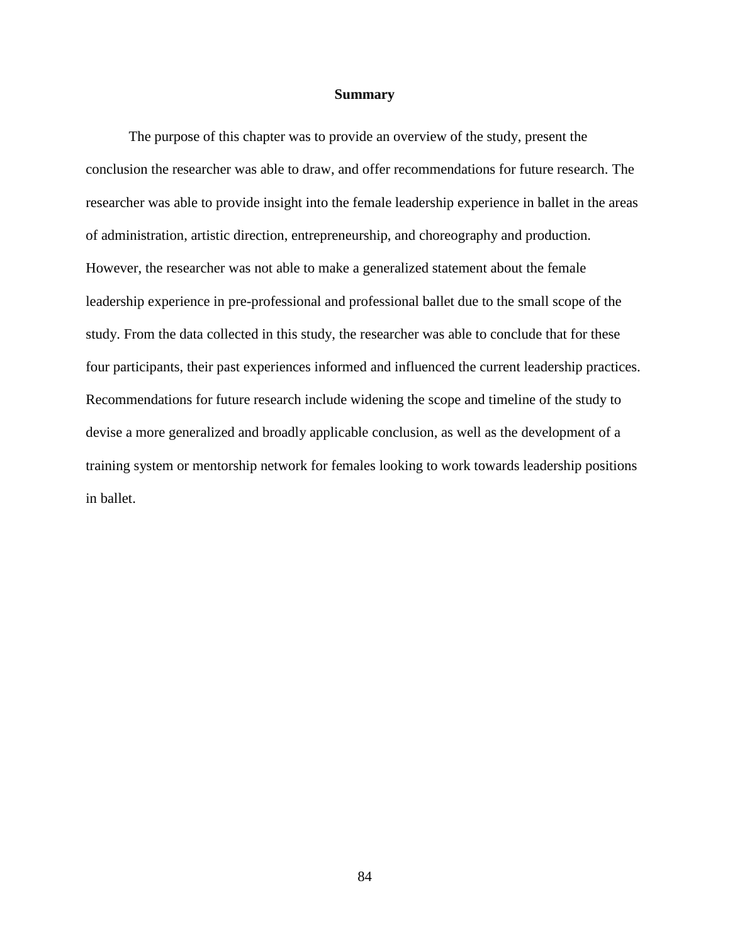### **Summary**

The purpose of this chapter was to provide an overview of the study, present the conclusion the researcher was able to draw, and offer recommendations for future research. The researcher was able to provide insight into the female leadership experience in ballet in the areas of administration, artistic direction, entrepreneurship, and choreography and production. However, the researcher was not able to make a generalized statement about the female leadership experience in pre-professional and professional ballet due to the small scope of the study. From the data collected in this study, the researcher was able to conclude that for these four participants, their past experiences informed and influenced the current leadership practices. Recommendations for future research include widening the scope and timeline of the study to devise a more generalized and broadly applicable conclusion, as well as the development of a training system or mentorship network for females looking to work towards leadership positions in ballet.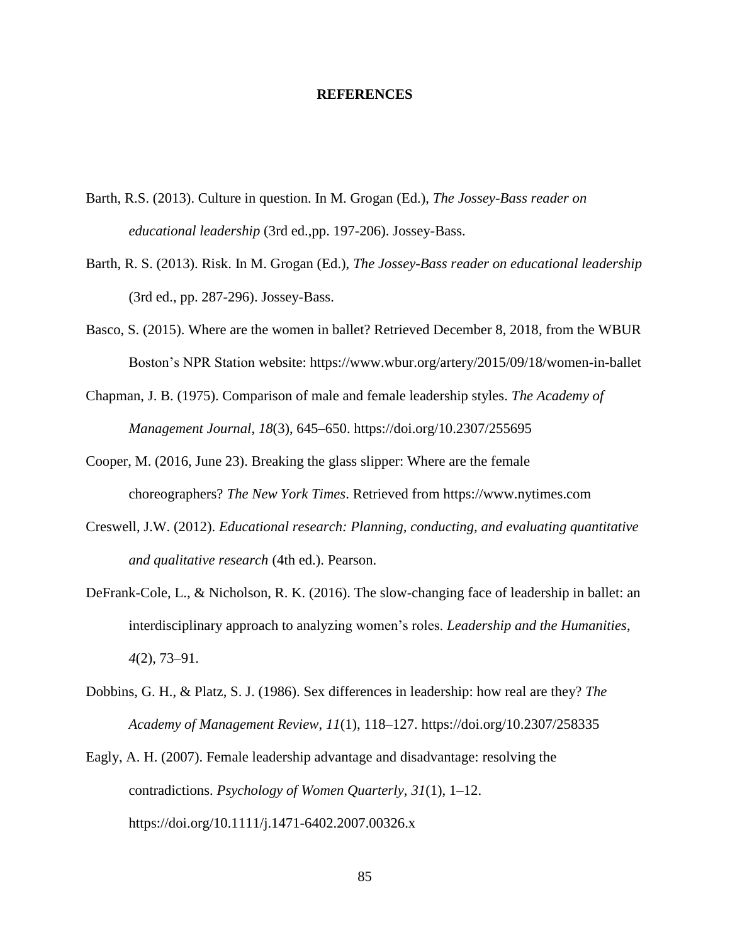### **REFERENCES**

- Barth, R.S. (2013). Culture in question. In M. Grogan (Ed.), *The Jossey-Bass reader on educational leadership* (3rd ed.,pp. 197-206). Jossey-Bass.
- Barth, R. S. (2013). Risk. In M. Grogan (Ed.), *The Jossey-Bass reader on educational leadership* (3rd ed., pp. 287-296). Jossey-Bass.
- Basco, S. (2015). Where are the women in ballet? Retrieved December 8, 2018, from the WBUR Boston's NPR Station website: https://www.wbur.org/artery/2015/09/18/women-in-ballet
- Chapman, J. B. (1975). Comparison of male and female leadership styles. *The Academy of Management Journal*, *18*(3), 645–650. https://doi.org/10.2307/255695
- Cooper, M. (2016, June 23). Breaking the glass slipper: Where are the female choreographers? *The New York Times*. Retrieved from https://www.nytimes.com
- Creswell, J.W. (2012). *Educational research: Planning, conducting, and evaluating quantitative and qualitative research* (4th ed.). Pearson.
- DeFrank-Cole, L., & Nicholson, R. K. (2016). The slow-changing face of leadership in ballet: an interdisciplinary approach to analyzing women's roles. *Leadership and the Humanities*, *4*(2), 73–91.
- Dobbins, G. H., & Platz, S. J. (1986). Sex differences in leadership: how real are they? *The Academy of Management Review*, *11*(1), 118–127. https://doi.org/10.2307/258335
- Eagly, A. H. (2007). Female leadership advantage and disadvantage: resolving the contradictions. *Psychology of Women Quarterly*, *31*(1), 1–12. https://doi.org/10.1111/j.1471-6402.2007.00326.x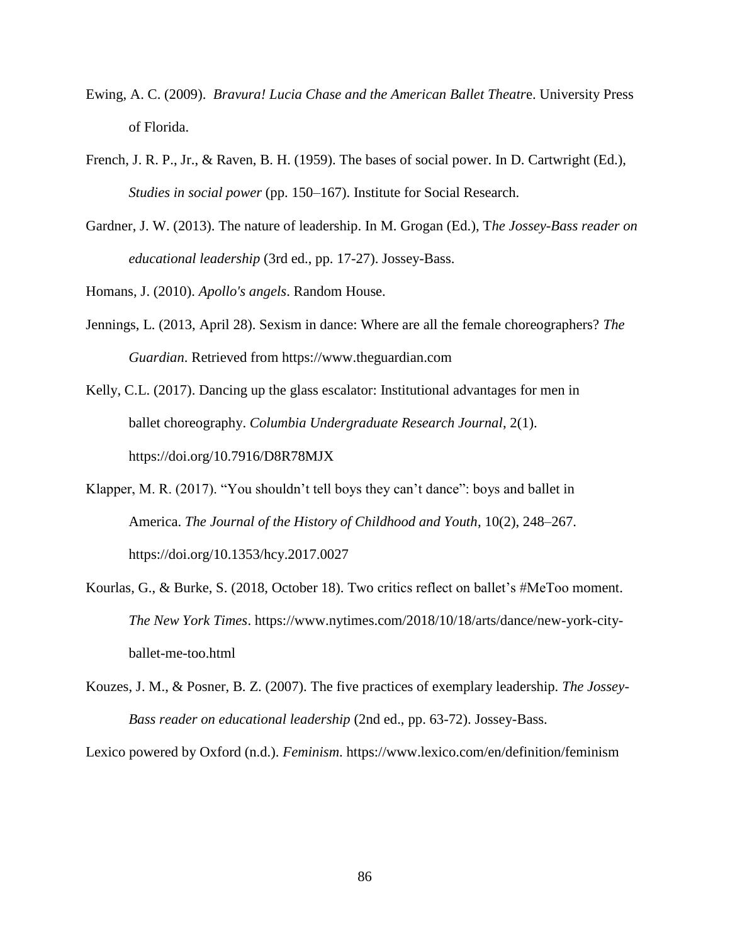- Ewing, A. C. (2009). *Bravura! Lucia Chase and the American Ballet Theatr*e. University Press of Florida.
- French, J. R. P., Jr., & Raven, B. H. (1959). The bases of social power. In D. Cartwright (Ed.), *Studies in social power* (pp. 150–167). Institute for Social Research.
- Gardner, J. W. (2013). The nature of leadership. In M. Grogan (Ed.), T*he Jossey-Bass reader on educational leadership* (3rd ed., pp. 17-27). Jossey-Bass.

Homans, J. (2010). *Apollo's angels*. Random House.

Jennings, L. (2013, April 28). Sexism in dance: Where are all the female choreographers? *The Guardian*. Retrieved from https://www.theguardian.com

Kelly, C.L. (2017). Dancing up the glass escalator: Institutional advantages for men in ballet choreography. *Columbia Undergraduate Research Journal*, 2(1). https://doi.org/10.7916/D8R78MJX

- Klapper, M. R. (2017). "You shouldn't tell boys they can't dance": boys and ballet in America. *The Journal of the History of Childhood and Youth*, 10(2), 248–267. https://doi.org/10.1353/hcy.2017.0027
- Kourlas, G., & Burke, S. (2018, October 18). Two critics reflect on ballet's #MeToo moment. *The New York Times*. https://www.nytimes.com/2018/10/18/arts/dance/new-york-cityballet-me-too.html
- Kouzes, J. M., & Posner, B. Z. (2007). The five practices of exemplary leadership. *The Jossey-Bass reader on educational leadership* (2nd ed., pp. 63-72). Jossey-Bass.

Lexico powered by Oxford (n.d.). *Feminism*. https://www.lexico.com/en/definition/feminism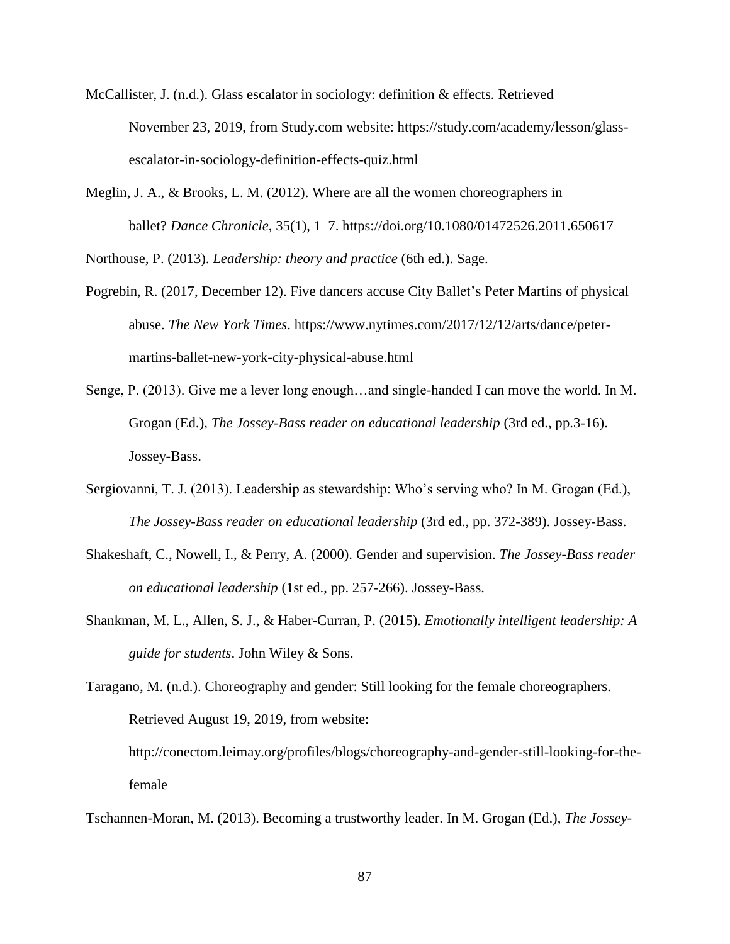- McCallister, J. (n.d.). Glass escalator in sociology: definition & effects. Retrieved November 23, 2019, from Study.com website: https://study.com/academy/lesson/glassescalator-in-sociology-definition-effects-quiz.html
- Meglin, J. A., & Brooks, L. M. (2012). Where are all the women choreographers in ballet? *Dance Chronicle*, 35(1), 1–7. https://doi.org/10.1080/01472526.2011.650617

Northouse, P. (2013). *Leadership: theory and practice* (6th ed.). Sage.

- Pogrebin, R. (2017, December 12). Five dancers accuse City Ballet's Peter Martins of physical abuse. *The New York Times*. https://www.nytimes.com/2017/12/12/arts/dance/petermartins-ballet-new-york-city-physical-abuse.html
- Senge, P. (2013). Give me a lever long enough…and single-handed I can move the world. In M. Grogan (Ed.), *The Jossey-Bass reader on educational leadership* (3rd ed., pp.3-16). Jossey-Bass.
- Sergiovanni, T. J. (2013). Leadership as stewardship: Who's serving who? In M. Grogan (Ed.), *The Jossey-Bass reader on educational leadership* (3rd ed., pp. 372-389). Jossey-Bass.
- Shakeshaft, C., Nowell, I., & Perry, A. (2000). Gender and supervision. *The Jossey-Bass reader on educational leadership* (1st ed., pp. 257-266). Jossey-Bass.
- Shankman, M. L., Allen, S. J., & Haber-Curran, P. (2015). *Emotionally intelligent leadership: A guide for students*. John Wiley & Sons.

Taragano, M. (n.d.). Choreography and gender: Still looking for the female choreographers. Retrieved August 19, 2019, from website: http://conectom.leimay.org/profiles/blogs/choreography-and-gender-still-looking-for-thefemale

Tschannen-Moran, M. (2013). Becoming a trustworthy leader. In M. Grogan (Ed.), *The Jossey-*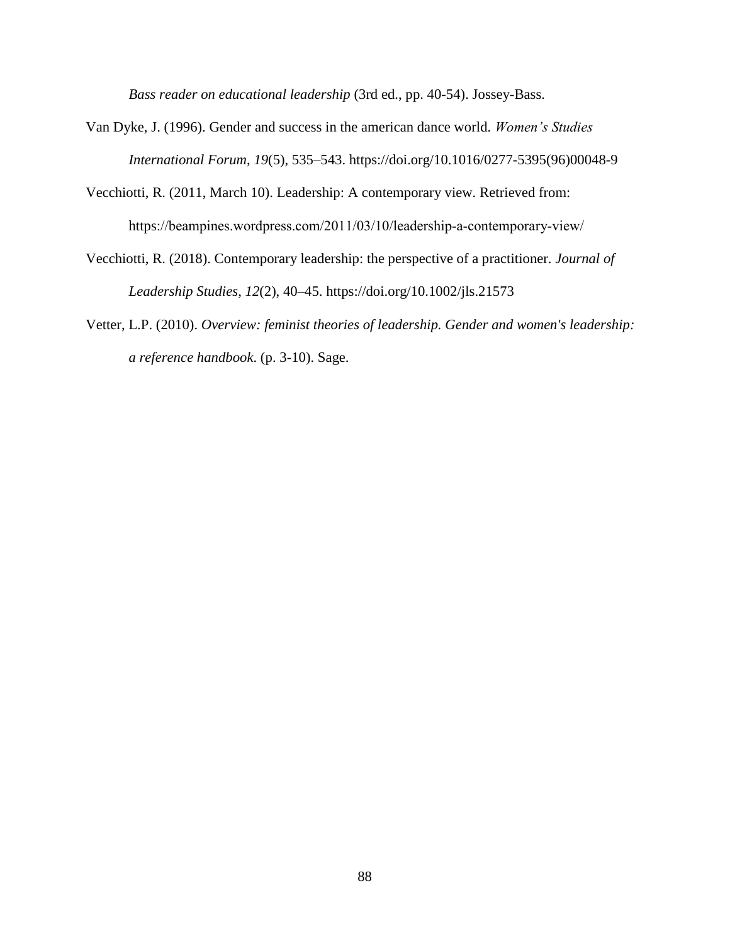*Bass reader on educational leadership* (3rd ed., pp. 40-54). Jossey-Bass.

- Van Dyke, J. (1996). Gender and success in the american dance world. *Women's Studies International Forum*, *19*(5), 535–543. https://doi.org/10.1016/0277-5395(96)00048-9
- Vecchiotti, R. (2011, March 10). Leadership: A contemporary view. Retrieved from: https://beampines.wordpress.com/2011/03/10/leadership‐a‐contemporary‐view/
- Vecchiotti, R. (2018). Contemporary leadership: the perspective of a practitioner. *Journal of Leadership Studies*, *12*(2), 40–45. https://doi.org/10.1002/jls.21573
- Vetter, L.P. (2010). *Overview: feminist theories of leadership. Gender and women's leadership: a reference handbook*. (p. 3-10). Sage.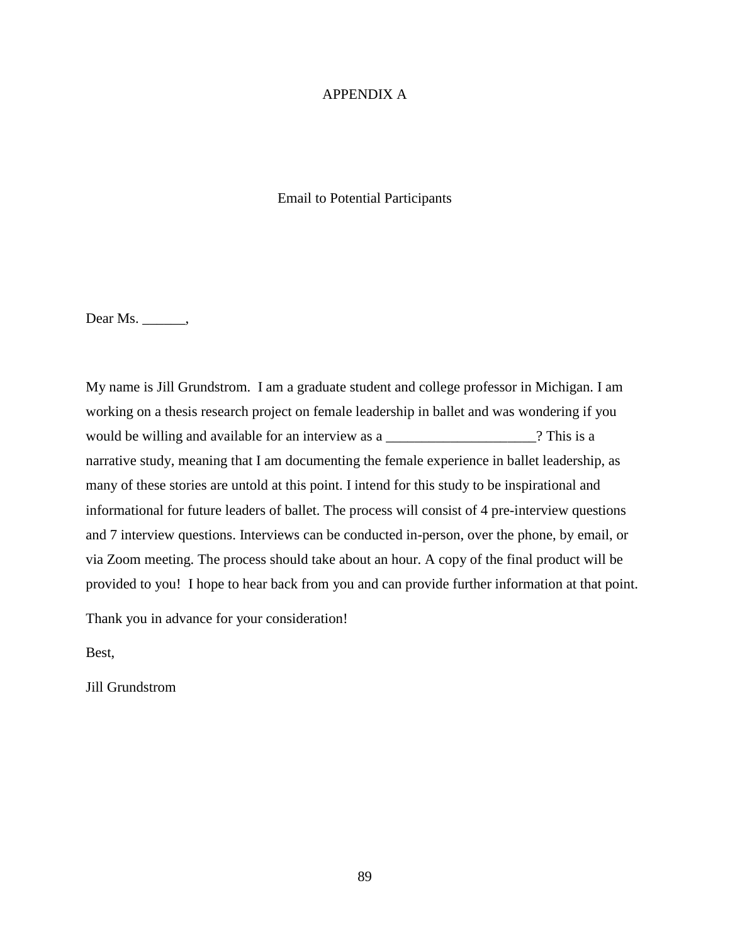### APPENDIX A

### Email to Potential Participants

Dear Ms. \_\_\_\_\_\_,

My name is Jill Grundstrom. I am a graduate student and college professor in Michigan. I am working on a thesis research project on female leadership in ballet and was wondering if you would be willing and available for an interview as a \_\_\_\_\_\_\_\_\_\_\_\_\_\_\_\_\_\_\_\_\_\_\_\_\_? This is a narrative study, meaning that I am documenting the female experience in ballet leadership, as many of these stories are untold at this point. I intend for this study to be inspirational and informational for future leaders of ballet. The process will consist of 4 pre-interview questions and 7 interview questions. Interviews can be conducted in-person, over the phone, by email, or via Zoom meeting. The process should take about an hour. A copy of the final product will be provided to you! I hope to hear back from you and can provide further information at that point.

Thank you in advance for your consideration!

Best,

Jill Grundstrom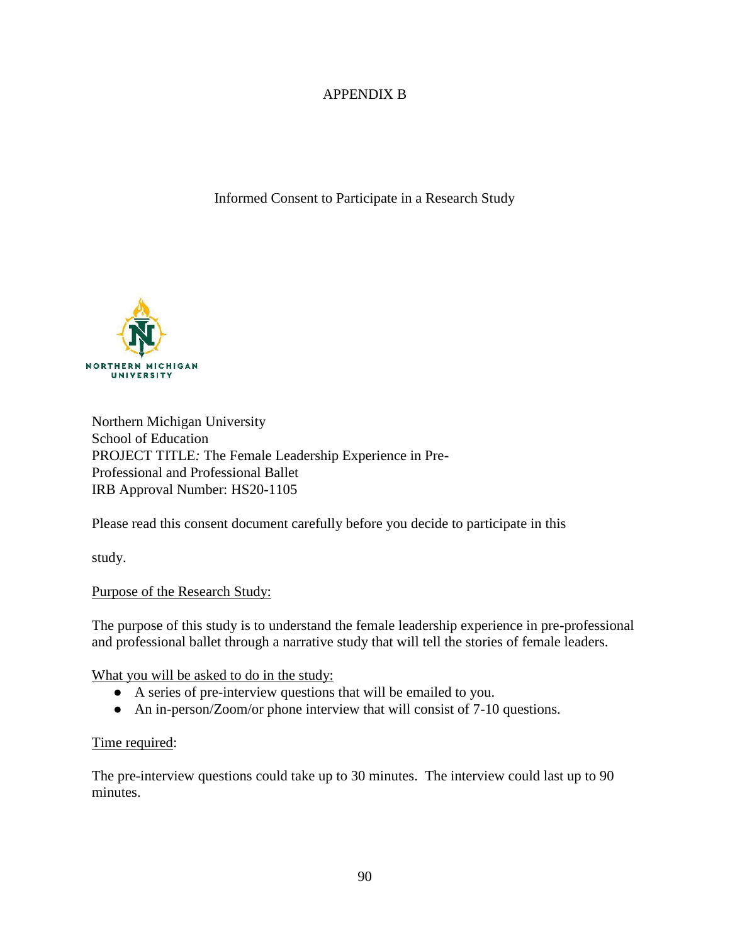# APPENDIX B

Informed Consent to Participate in a Research Study



Northern Michigan University School of Education PROJECT TITLE*:* The Female Leadership Experience in Pre-Professional and Professional Ballet IRB Approval Number: HS20-1105

Please read this consent document carefully before you decide to participate in this

study.

## Purpose of the Research Study:

The purpose of this study is to understand the female leadership experience in pre-professional and professional ballet through a narrative study that will tell the stories of female leaders.

What you will be asked to do in the study:

- A series of pre-interview questions that will be emailed to you.
- An in-person/Zoom/or phone interview that will consist of 7-10 questions.

## Time required:

The pre-interview questions could take up to 30 minutes. The interview could last up to 90 minutes.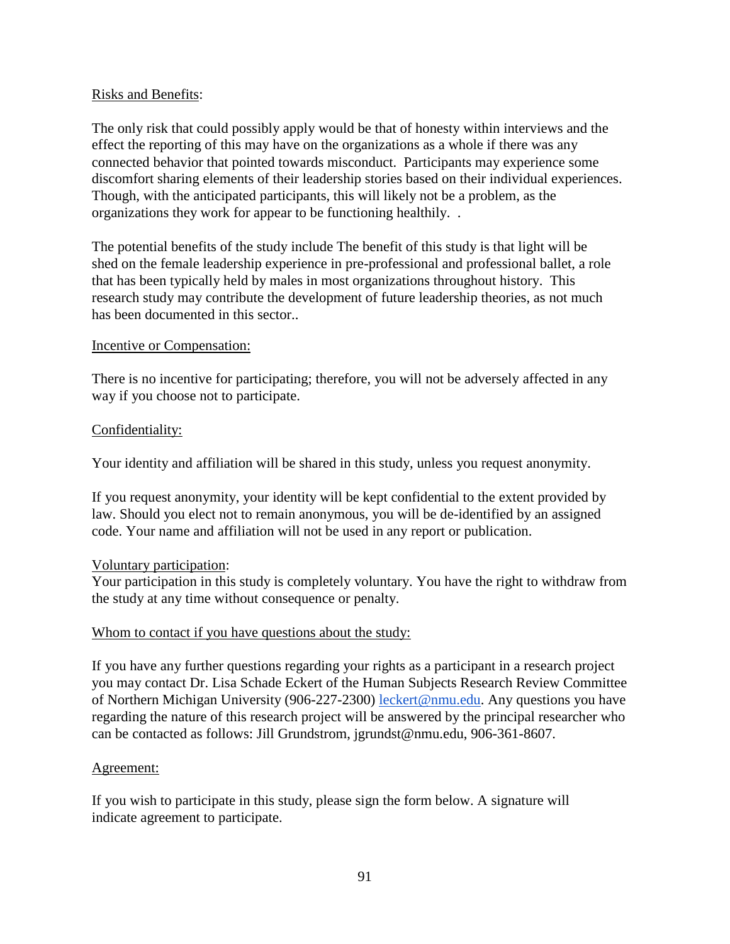## Risks and Benefits:

The only risk that could possibly apply would be that of honesty within interviews and the effect the reporting of this may have on the organizations as a whole if there was any connected behavior that pointed towards misconduct. Participants may experience some discomfort sharing elements of their leadership stories based on their individual experiences. Though, with the anticipated participants, this will likely not be a problem, as the organizations they work for appear to be functioning healthily. .

The potential benefits of the study include The benefit of this study is that light will be shed on the female leadership experience in pre-professional and professional ballet, a role that has been typically held by males in most organizations throughout history. This research study may contribute the development of future leadership theories, as not much has been documented in this sector..

## Incentive or Compensation:

There is no incentive for participating; therefore, you will not be adversely affected in any way if you choose not to participate.

## Confidentiality:

Your identity and affiliation will be shared in this study, unless you request anonymity.

If you request anonymity, your identity will be kept confidential to the extent provided by law. Should you elect not to remain anonymous, you will be de-identified by an assigned code. Your name and affiliation will not be used in any report or publication.

## Voluntary participation:

Your participation in this study is completely voluntary. You have the right to withdraw from the study at any time without consequence or penalty.

## Whom to contact if you have questions about the study:

If you have any further questions regarding your rights as a participant in a research project you may contact Dr. Lisa Schade Eckert of the Human Subjects Research Review Committee of Northern Michigan University (906-227-2300) [leckert@nmu.edu.](mailto:leckert@nmu.edu) Any questions you have regarding the nature of this research project will be answered by the principal researcher who can be contacted as follows: Jill Grundstrom, jgrundst@nmu.edu, 906-361-8607.

## Agreement:

If you wish to participate in this study, please sign the form below. A signature will indicate agreement to participate.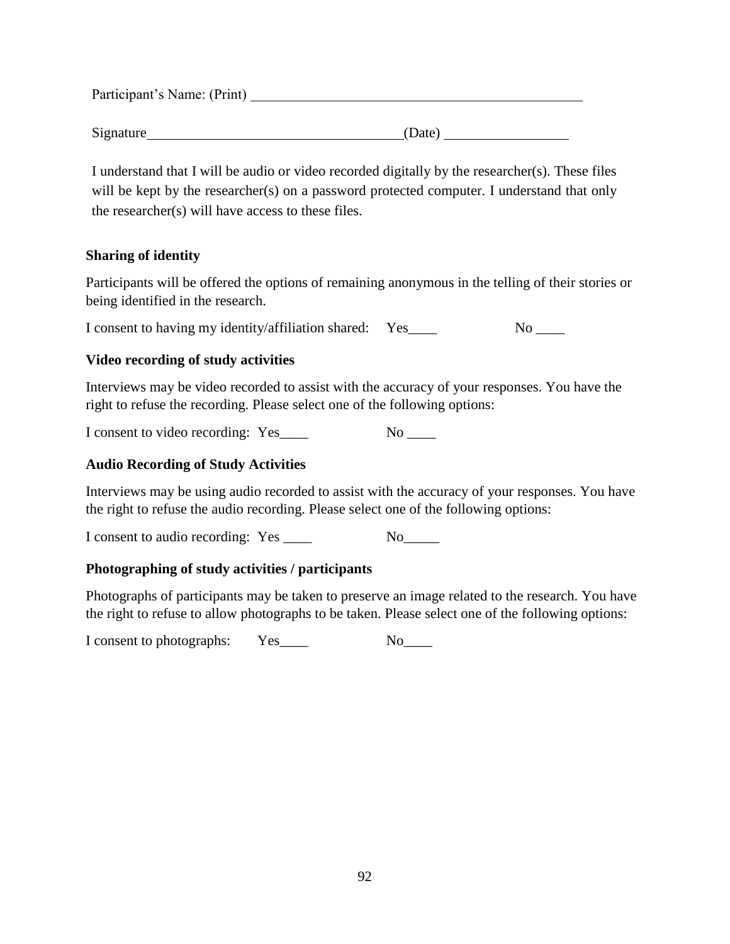Participant's Name: (Print)

Signature (Date)

I understand that I will be audio or video recorded digitally by the researcher(s). These files will be kept by the researcher(s) on a password protected computer. I understand that only the researcher(s) will have access to these files.

## **Sharing of identity**

Participants will be offered the options of remaining anonymous in the telling of their stories or being identified in the research.

I consent to having my identity/affiliation shared: Yes\_\_\_\_ No \_\_\_

# **Video recording of study activities**

Interviews may be video recorded to assist with the accuracy of your responses. You have the right to refuse the recording. Please select one of the following options:

I consent to video recording: Yes\_\_\_\_ No \_\_\_\_

# **Audio Recording of Study Activities**

Interviews may be using audio recorded to assist with the accuracy of your responses. You have the right to refuse the audio recording. Please select one of the following options:

I consent to audio recording: Yes \_\_\_\_\_ No\_\_\_\_\_

## **Photographing of study activities / participants**

Photographs of participants may be taken to preserve an image related to the research. You have the right to refuse to allow photographs to be taken. Please select one of the following options:

I consent to photographs: Yes\_\_\_\_ No\_\_\_\_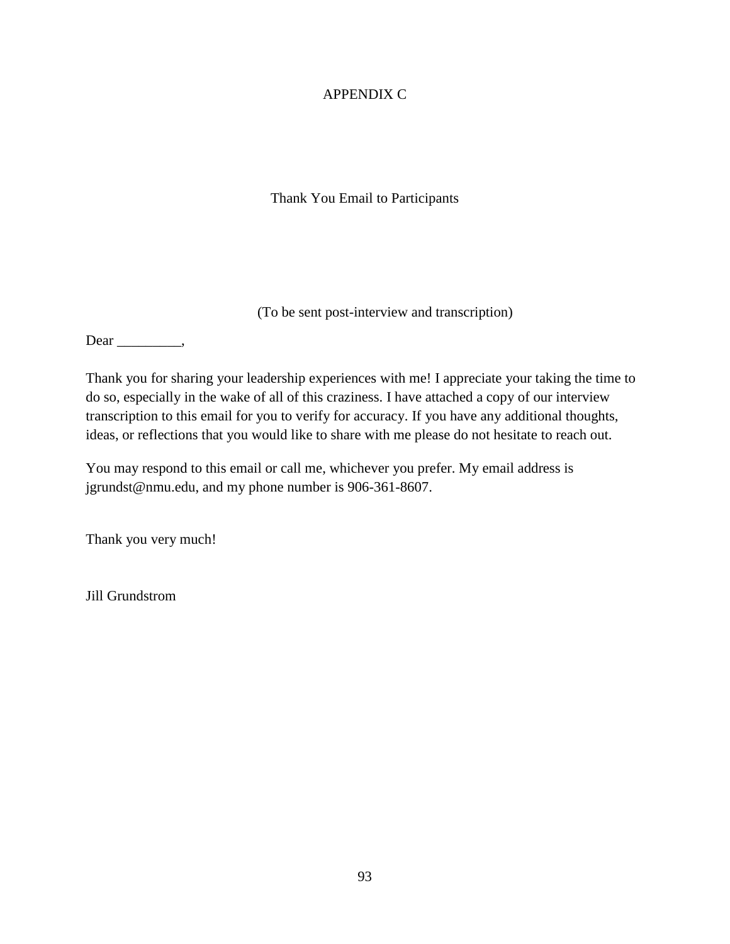# APPENDIX C

Thank You Email to Participants

(To be sent post-interview and transcription)

Dear \_\_\_\_\_\_\_\_\_\_,

Thank you for sharing your leadership experiences with me! I appreciate your taking the time to do so, especially in the wake of all of this craziness. I have attached a copy of our interview transcription to this email for you to verify for accuracy. If you have any additional thoughts, ideas, or reflections that you would like to share with me please do not hesitate to reach out.

You may respond to this email or call me, whichever you prefer. My email address is jgrundst@nmu.edu, and my phone number is 906-361-8607.

Thank you very much!

Jill Grundstrom